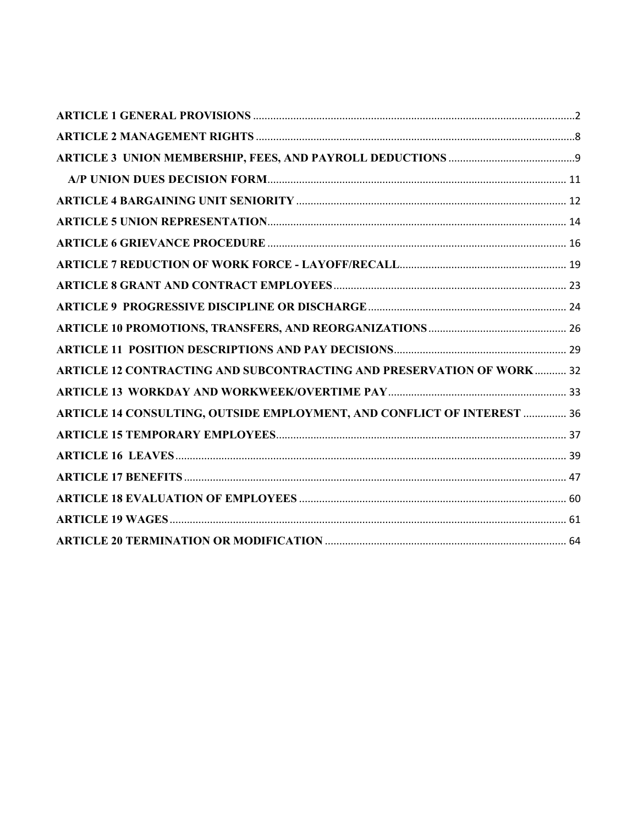| <b>ARTICLE 12 CONTRACTING AND SUBCONTRACTING AND PRESERVATION OF WORK  32</b>  |  |
|--------------------------------------------------------------------------------|--|
|                                                                                |  |
| <b>ARTICLE 14 CONSULTING, OUTSIDE EMPLOYMENT, AND CONFLICT OF INTEREST  36</b> |  |
|                                                                                |  |
|                                                                                |  |
|                                                                                |  |
|                                                                                |  |
|                                                                                |  |
|                                                                                |  |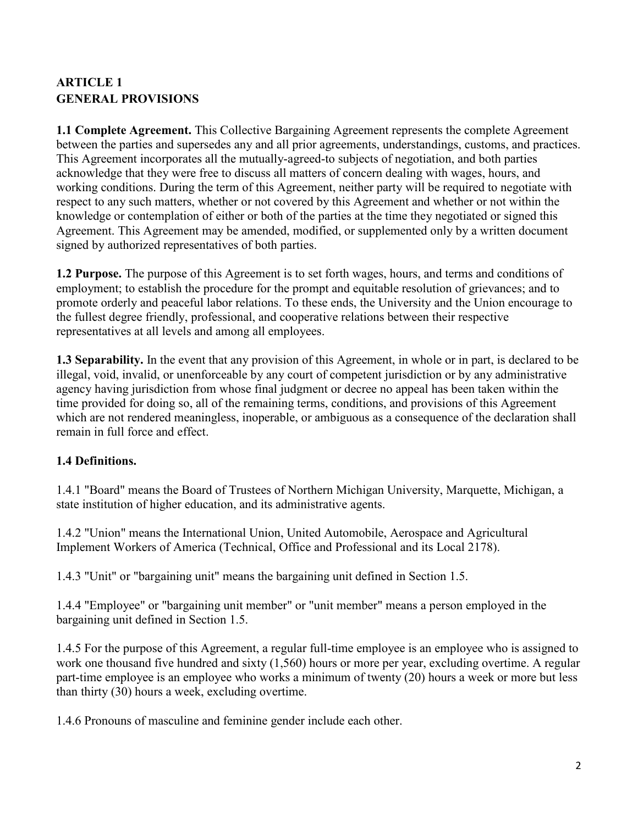# <span id="page-1-0"></span>**ARTICLE 1 GENERAL PROVISIONS**

**1.1 Complete Agreement.** This Collective Bargaining Agreement represents the complete Agreement between the parties and supersedes any and all prior agreements, understandings, customs, and practices. This Agreement incorporates all the mutually-agreed-to subjects of negotiation, and both parties acknowledge that they were free to discuss all matters of concern dealing with wages, hours, and working conditions. During the term of this Agreement, neither party will be required to negotiate with respect to any such matters, whether or not covered by this Agreement and whether or not within the knowledge or contemplation of either or both of the parties at the time they negotiated or signed this Agreement. This Agreement may be amended, modified, or supplemented only by a written document signed by authorized representatives of both parties.

**1.2 Purpose.** The purpose of this Agreement is to set forth wages, hours, and terms and conditions of employment; to establish the procedure for the prompt and equitable resolution of grievances; and to promote orderly and peaceful labor relations. To these ends, the University and the Union encourage to the fullest degree friendly, professional, and cooperative relations between their respective representatives at all levels and among all employees.

**1.3 Separability.** In the event that any provision of this Agreement, in whole or in part, is declared to be illegal, void, invalid, or unenforceable by any court of competent jurisdiction or by any administrative agency having jurisdiction from whose final judgment or decree no appeal has been taken within the time provided for doing so, all of the remaining terms, conditions, and provisions of this Agreement which are not rendered meaningless, inoperable, or ambiguous as a consequence of the declaration shall remain in full force and effect.

## **1.4 Definitions.**

1.4.1 "Board" means the Board of Trustees of Northern Michigan University, Marquette, Michigan, a state institution of higher education, and its administrative agents.

1.4.2 "Union" means the International Union, United Automobile, Aerospace and Agricultural Implement Workers of America (Technical, Office and Professional and its Local 2178).

1.4.3 "Unit" or "bargaining unit" means the bargaining unit defined in Section 1.5.

1.4.4 "Employee" or "bargaining unit member" or "unit member" means a person employed in the bargaining unit defined in Section 1.5.

1.4.5 For the purpose of this Agreement, a regular full-time employee is an employee who is assigned to work one thousand five hundred and sixty (1,560) hours or more per year, excluding overtime. A regular part-time employee is an employee who works a minimum of twenty (20) hours a week or more but less than thirty (30) hours a week, excluding overtime.

1.4.6 Pronouns of masculine and feminine gender include each other.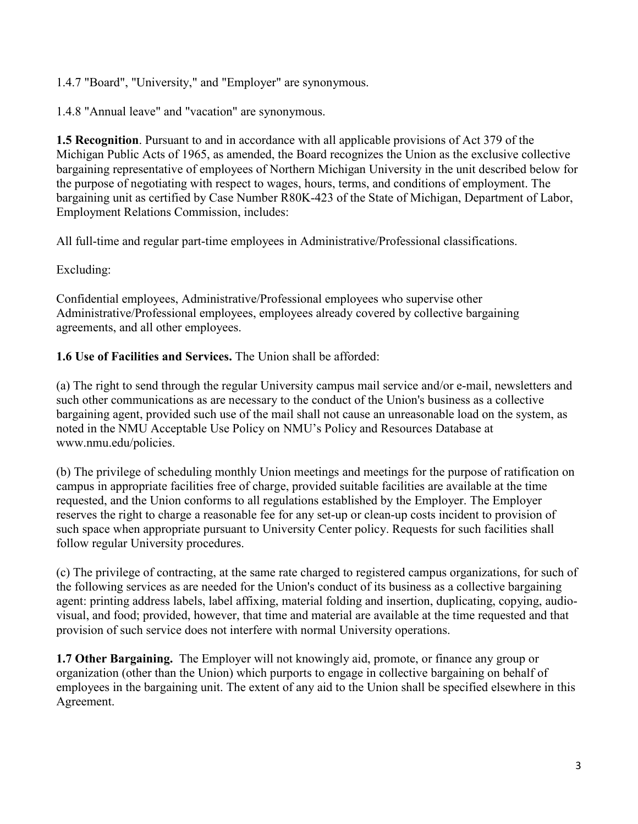1.4.7 "Board", "University," and "Employer" are synonymous.

1.4.8 "Annual leave" and "vacation" are synonymous.

**1.5 Recognition**. Pursuant to and in accordance with all applicable provisions of Act 379 of the Michigan Public Acts of 1965, as amended, the Board recognizes the Union as the exclusive collective bargaining representative of employees of Northern Michigan University in the unit described below for the purpose of negotiating with respect to wages, hours, terms, and conditions of employment. The bargaining unit as certified by Case Number R80K-423 of the State of Michigan, Department of Labor, Employment Relations Commission, includes:

All full-time and regular part-time employees in Administrative/Professional classifications.

Excluding:

Confidential employees, Administrative/Professional employees who supervise other Administrative/Professional employees, employees already covered by collective bargaining agreements, and all other employees.

**1.6 Use of Facilities and Services.** The Union shall be afforded:

(a) The right to send through the regular University campus mail service and/or e-mail, newsletters and such other communications as are necessary to the conduct of the Union's business as a collective bargaining agent, provided such use of the mail shall not cause an unreasonable load on the system, as noted in the NMU Acceptable Use Policy on NMU's Policy and Resources Database at www.nmu.edu/policies.

(b) The privilege of scheduling monthly Union meetings and meetings for the purpose of ratification on campus in appropriate facilities free of charge, provided suitable facilities are available at the time requested, and the Union conforms to all regulations established by the Employer. The Employer reserves the right to charge a reasonable fee for any set-up or clean-up costs incident to provision of such space when appropriate pursuant to University Center policy. Requests for such facilities shall follow regular University procedures.

(c) The privilege of contracting, at the same rate charged to registered campus organizations, for such of the following services as are needed for the Union's conduct of its business as a collective bargaining agent: printing address labels, label affixing, material folding and insertion, duplicating, copying, audiovisual, and food; provided, however, that time and material are available at the time requested and that provision of such service does not interfere with normal University operations.

**1.7 Other Bargaining.** The Employer will not knowingly aid, promote, or finance any group or organization (other than the Union) which purports to engage in collective bargaining on behalf of employees in the bargaining unit. The extent of any aid to the Union shall be specified elsewhere in this Agreement.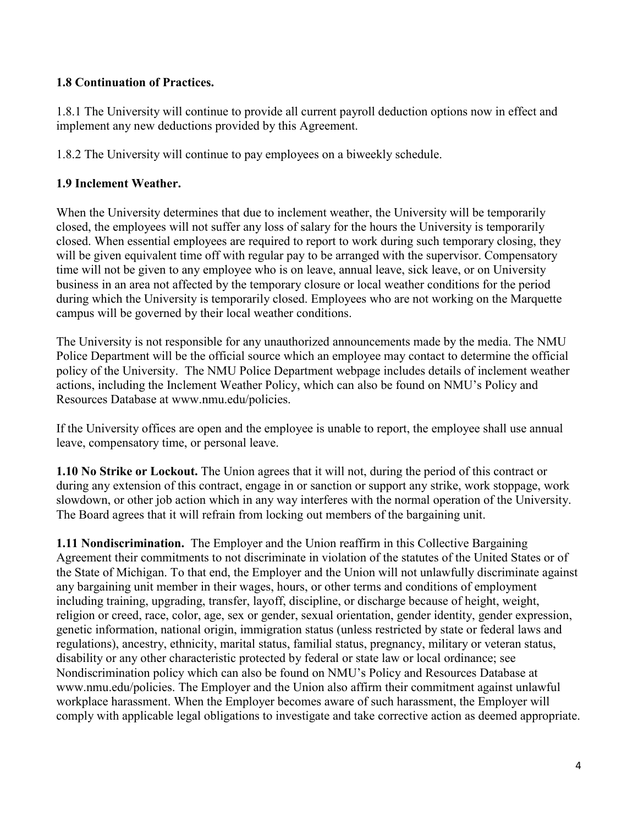### **1.8 Continuation of Practices.**

1.8.1 The University will continue to provide all current payroll deduction options now in effect and implement any new deductions provided by this Agreement.

1.8.2 The University will continue to pay employees on a biweekly schedule.

### **1.9 Inclement Weather.**

When the University determines that due to inclement weather, the University will be temporarily closed, the employees will not suffer any loss of salary for the hours the University is temporarily closed. When essential employees are required to report to work during such temporary closing, they will be given equivalent time off with regular pay to be arranged with the supervisor. Compensatory time will not be given to any employee who is on leave, annual leave, sick leave, or on University business in an area not affected by the temporary closure or local weather conditions for the period during which the University is temporarily closed. Employees who are not working on the Marquette campus will be governed by their local weather conditions.

The University is not responsible for any unauthorized announcements made by the media. The NMU Police Department will be the official source which an employee may contact to determine the official policy of the University. The NMU Police Department webpage includes details of inclement weather actions, including the Inclement Weather Policy, which can also be found on NMU's Policy and Resources Database at www.nmu.edu/policies.

If the University offices are open and the employee is unable to report, the employee shall use annual leave, compensatory time, or personal leave.

**1.10 No Strike or Lockout.** The Union agrees that it will not, during the period of this contract or during any extension of this contract, engage in or sanction or support any strike, work stoppage, work slowdown, or other job action which in any way interferes with the normal operation of the University. The Board agrees that it will refrain from locking out members of the bargaining unit.

**1.11 Nondiscrimination.** The Employer and the Union reaffirm in this Collective Bargaining Agreement their commitments to not discriminate in violation of the statutes of the United States or of the State of Michigan. To that end, the Employer and the Union will not unlawfully discriminate against any bargaining unit member in their wages, hours, or other terms and conditions of employment including training, upgrading, transfer, layoff, discipline, or discharge because of height, weight, religion or creed, race, color, age, sex or gender, sexual orientation, gender identity, gender expression, genetic information, national origin, immigration status (unless restricted by state or federal laws and regulations), ancestry, ethnicity, marital status, familial status, pregnancy, military or veteran status, disability or any other characteristic protected by federal or state law or local ordinance; see Nondiscrimination policy which can also be found on NMU's Policy and Resources Database at www.nmu.edu/policies. The Employer and the Union also affirm their commitment against unlawful workplace harassment. When the Employer becomes aware of such harassment, the Employer will comply with applicable legal obligations to investigate and take corrective action as deemed appropriate.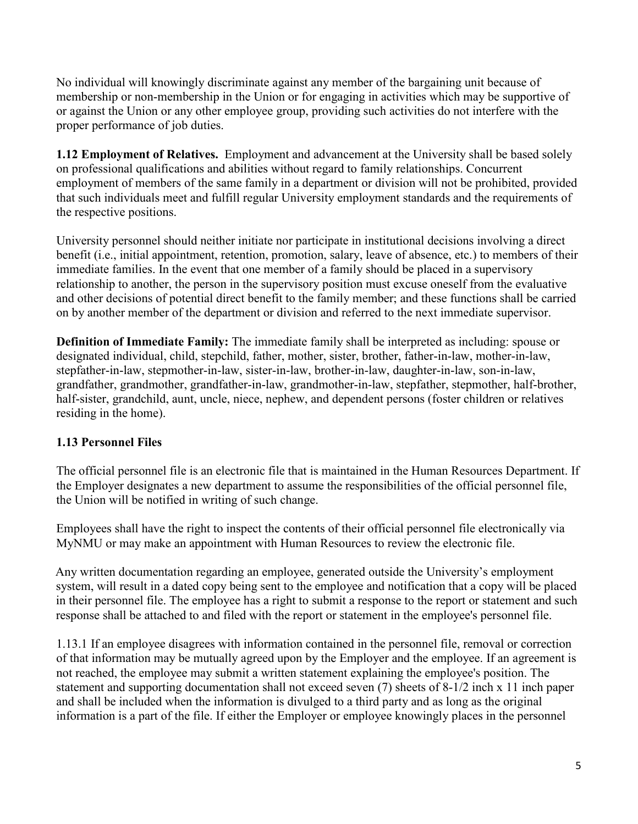No individual will knowingly discriminate against any member of the bargaining unit because of membership or non-membership in the Union or for engaging in activities which may be supportive of or against the Union or any other employee group, providing such activities do not interfere with the proper performance of job duties.

**1.12 Employment of Relatives.** Employment and advancement at the University shall be based solely on professional qualifications and abilities without regard to family relationships. Concurrent employment of members of the same family in a department or division will not be prohibited, provided that such individuals meet and fulfill regular University employment standards and the requirements of the respective positions.

University personnel should neither initiate nor participate in institutional decisions involving a direct benefit (i.e., initial appointment, retention, promotion, salary, leave of absence, etc.) to members of their immediate families. In the event that one member of a family should be placed in a supervisory relationship to another, the person in the supervisory position must excuse oneself from the evaluative and other decisions of potential direct benefit to the family member; and these functions shall be carried on by another member of the department or division and referred to the next immediate supervisor.

**Definition of Immediate Family:** The immediate family shall be interpreted as including: spouse or designated individual, child, stepchild, father, mother, sister, brother, father-in-law, mother-in-law, stepfather-in-law, stepmother-in-law, sister-in-law, brother-in-law, daughter-in-law, son-in-law, grandfather, grandmother, grandfather-in-law, grandmother-in-law, stepfather, stepmother, half-brother, half-sister, grandchild, aunt, uncle, niece, nephew, and dependent persons (foster children or relatives residing in the home).

## **1.13 Personnel Files**

The official personnel file is an electronic file that is maintained in the Human Resources Department. If the Employer designates a new department to assume the responsibilities of the official personnel file, the Union will be notified in writing of such change.

Employees shall have the right to inspect the contents of their official personnel file electronically via MyNMU or may make an appointment with Human Resources to review the electronic file.

Any written documentation regarding an employee, generated outside the University's employment system, will result in a dated copy being sent to the employee and notification that a copy will be placed in their personnel file. The employee has a right to submit a response to the report or statement and such response shall be attached to and filed with the report or statement in the employee's personnel file.

1.13.1 If an employee disagrees with information contained in the personnel file, removal or correction of that information may be mutually agreed upon by the Employer and the employee. If an agreement is not reached, the employee may submit a written statement explaining the employee's position. The statement and supporting documentation shall not exceed seven (7) sheets of 8-1/2 inch x 11 inch paper and shall be included when the information is divulged to a third party and as long as the original information is a part of the file. If either the Employer or employee knowingly places in the personnel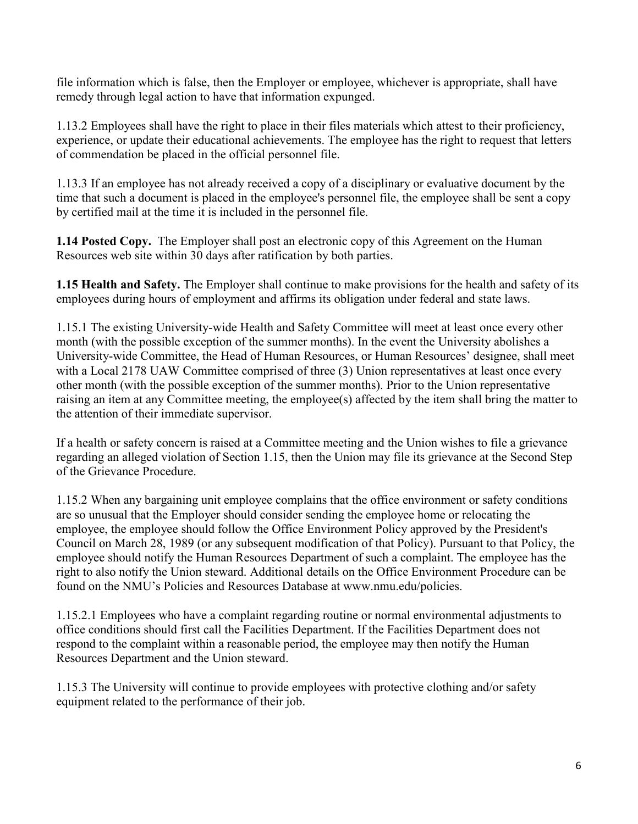file information which is false, then the Employer or employee, whichever is appropriate, shall have remedy through legal action to have that information expunged.

1.13.2 Employees shall have the right to place in their files materials which attest to their proficiency, experience, or update their educational achievements. The employee has the right to request that letters of commendation be placed in the official personnel file.

1.13.3 If an employee has not already received a copy of a disciplinary or evaluative document by the time that such a document is placed in the employee's personnel file, the employee shall be sent a copy by certified mail at the time it is included in the personnel file.

**1.14 Posted Copy.** The Employer shall post an electronic copy of this Agreement on the Human Resources web site within 30 days after ratification by both parties.

**1.15 Health and Safety.** The Employer shall continue to make provisions for the health and safety of its employees during hours of employment and affirms its obligation under federal and state laws.

1.15.1 The existing University-wide Health and Safety Committee will meet at least once every other month (with the possible exception of the summer months). In the event the University abolishes a University-wide Committee, the Head of Human Resources, or Human Resources' designee, shall meet with a Local 2178 UAW Committee comprised of three (3) Union representatives at least once every other month (with the possible exception of the summer months). Prior to the Union representative raising an item at any Committee meeting, the employee(s) affected by the item shall bring the matter to the attention of their immediate supervisor.

If a health or safety concern is raised at a Committee meeting and the Union wishes to file a grievance regarding an alleged violation of Section 1.15, then the Union may file its grievance at the Second Step of the Grievance Procedure.

1.15.2 When any bargaining unit employee complains that the office environment or safety conditions are so unusual that the Employer should consider sending the employee home or relocating the employee, the employee should follow the Office Environment Policy approved by the President's Council on March 28, 1989 (or any subsequent modification of that Policy). Pursuant to that Policy, the employee should notify the Human Resources Department of such a complaint. The employee has the right to also notify the Union steward. Additional details on the Office Environment Procedure can be found on the NMU's Policies and Resources Database at www.nmu.edu/policies.

1.15.2.1 Employees who have a complaint regarding routine or normal environmental adjustments to office conditions should first call the Facilities Department. If the Facilities Department does not respond to the complaint within a reasonable period, the employee may then notify the Human Resources Department and the Union steward.

1.15.3 The University will continue to provide employees with protective clothing and/or safety equipment related to the performance of their job.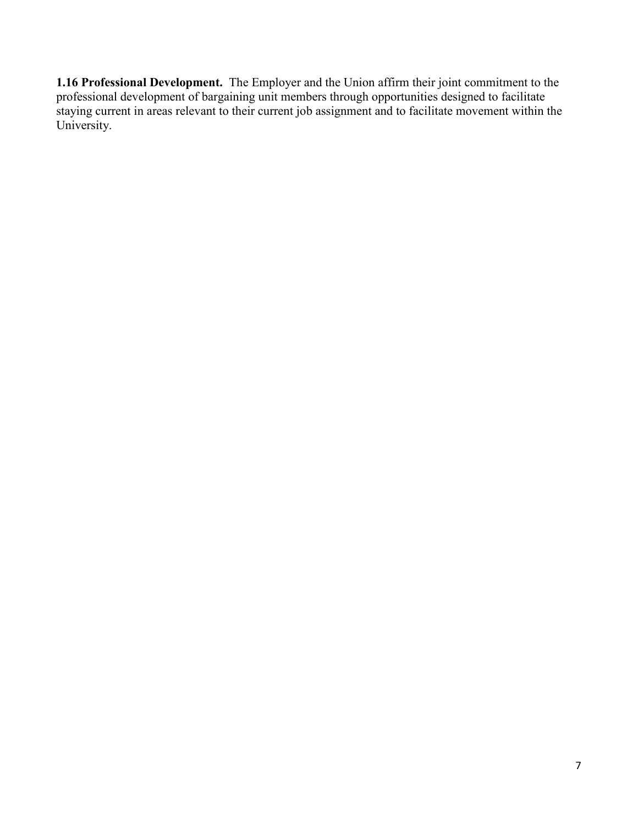**1.16 Professional Development.** The Employer and the Union affirm their joint commitment to the professional development of bargaining unit members through opportunities designed to facilitate staying current in areas relevant to their current job assignment and to facilitate movement within the University.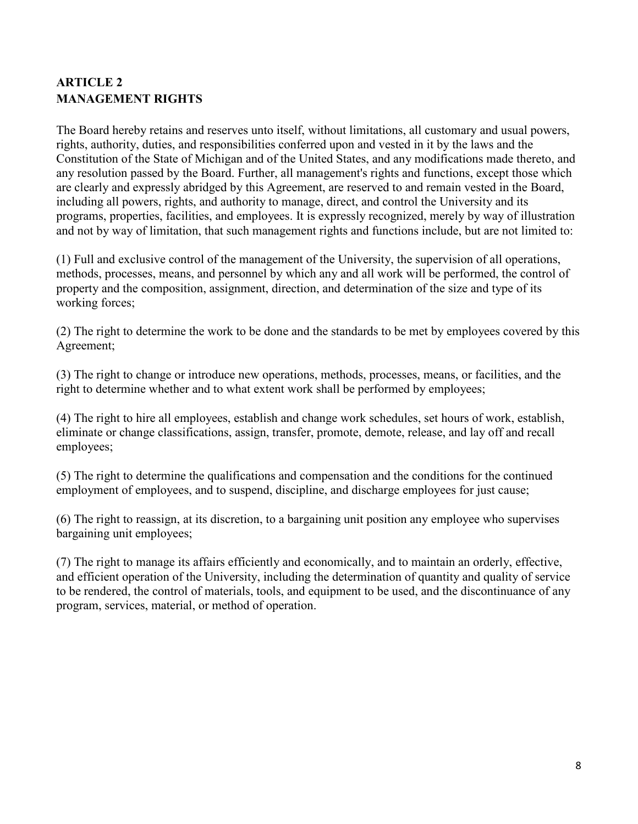# <span id="page-7-0"></span>**ARTICLE 2 MANAGEMENT RIGHTS**

The Board hereby retains and reserves unto itself, without limitations, all customary and usual powers, rights, authority, duties, and responsibilities conferred upon and vested in it by the laws and the Constitution of the State of Michigan and of the United States, and any modifications made thereto, and any resolution passed by the Board. Further, all management's rights and functions, except those which are clearly and expressly abridged by this Agreement, are reserved to and remain vested in the Board, including all powers, rights, and authority to manage, direct, and control the University and its programs, properties, facilities, and employees. It is expressly recognized, merely by way of illustration and not by way of limitation, that such management rights and functions include, but are not limited to:

(1) Full and exclusive control of the management of the University, the supervision of all operations, methods, processes, means, and personnel by which any and all work will be performed, the control of property and the composition, assignment, direction, and determination of the size and type of its working forces;

(2) The right to determine the work to be done and the standards to be met by employees covered by this Agreement;

(3) The right to change or introduce new operations, methods, processes, means, or facilities, and the right to determine whether and to what extent work shall be performed by employees;

(4) The right to hire all employees, establish and change work schedules, set hours of work, establish, eliminate or change classifications, assign, transfer, promote, demote, release, and lay off and recall employees;

(5) The right to determine the qualifications and compensation and the conditions for the continued employment of employees, and to suspend, discipline, and discharge employees for just cause;

(6) The right to reassign, at its discretion, to a bargaining unit position any employee who supervises bargaining unit employees;

(7) The right to manage its affairs efficiently and economically, and to maintain an orderly, effective, and efficient operation of the University, including the determination of quantity and quality of service to be rendered, the control of materials, tools, and equipment to be used, and the discontinuance of any program, services, material, or method of operation.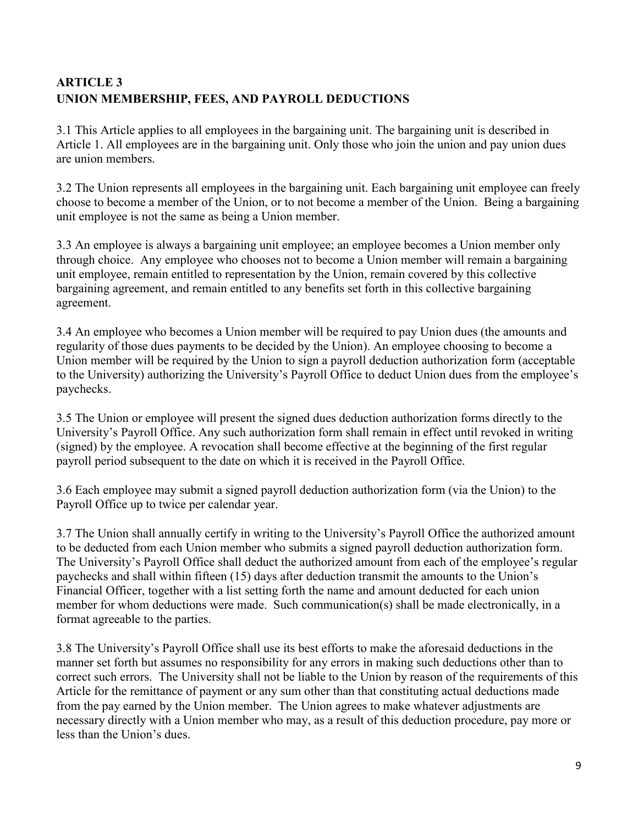# <span id="page-8-0"></span>**ARTICLE 3 UNION MEMBERSHIP, FEES, AND PAYROLL DEDUCTIONS**

3.1 This Article applies to all employees in the bargaining unit. The bargaining unit is described in Article 1. All employees are in the bargaining unit. Only those who join the union and pay union dues are union members.

3.2 The Union represents all employees in the bargaining unit. Each bargaining unit employee can freely choose to become a member of the Union, or to not become a member of the Union. Being a bargaining unit employee is not the same as being a Union member.

3.3 An employee is always a bargaining unit employee; an employee becomes a Union member only through choice. Any employee who chooses not to become a Union member will remain a bargaining unit employee, remain entitled to representation by the Union, remain covered by this collective bargaining agreement, and remain entitled to any benefits set forth in this collective bargaining agreement.

3.4 An employee who becomes a Union member will be required to pay Union dues (the amounts and regularity of those dues payments to be decided by the Union). An employee choosing to become a Union member will be required by the Union to sign a payroll deduction authorization form (acceptable to the University) authorizing the University's Payroll Office to deduct Union dues from the employee's paychecks.

3.5 The Union or employee will present the signed dues deduction authorization forms directly to the University's Payroll Office. Any such authorization form shall remain in effect until revoked in writing (signed) by the employee. A revocation shall become effective at the beginning of the first regular payroll period subsequent to the date on which it is received in the Payroll Office.

3.6 Each employee may submit a signed payroll deduction authorization form (via the Union) to the Payroll Office up to twice per calendar year.

3.7 The Union shall annually certify in writing to the University's Payroll Office the authorized amount to be deducted from each Union member who submits a signed payroll deduction authorization form. The University's Payroll Office shall deduct the authorized amount from each of the employee's regular paychecks and shall within fifteen (15) days after deduction transmit the amounts to the Union's Financial Officer, together with a list setting forth the name and amount deducted for each union member for whom deductions were made. Such communication(s) shall be made electronically, in a format agreeable to the parties.

3.8 The University's Payroll Office shall use its best efforts to make the aforesaid deductions in the manner set forth but assumes no responsibility for any errors in making such deductions other than to correct such errors. The University shall not be liable to the Union by reason of the requirements of this Article for the remittance of payment or any sum other than that constituting actual deductions made from the pay earned by the Union member. The Union agrees to make whatever adjustments are necessary directly with a Union member who may, as a result of this deduction procedure, pay more or less than the Union's dues.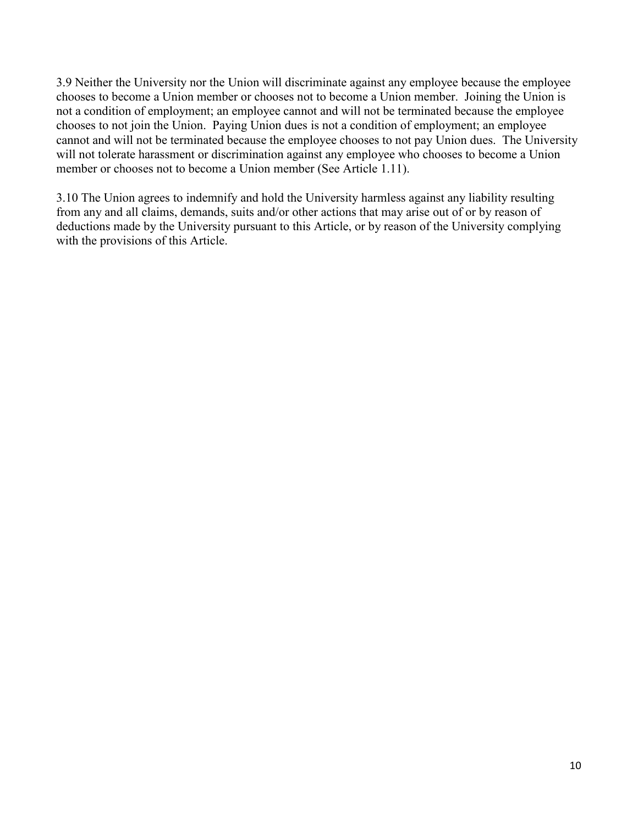3.9 Neither the University nor the Union will discriminate against any employee because the employee chooses to become a Union member or chooses not to become a Union member. Joining the Union is not a condition of employment; an employee cannot and will not be terminated because the employee chooses to not join the Union. Paying Union dues is not a condition of employment; an employee cannot and will not be terminated because the employee chooses to not pay Union dues. The University will not tolerate harassment or discrimination against any employee who chooses to become a Union member or chooses not to become a Union member (See Article 1.11).

3.10 The Union agrees to indemnify and hold the University harmless against any liability resulting from any and all claims, demands, suits and/or other actions that may arise out of or by reason of deductions made by the University pursuant to this Article, or by reason of the University complying with the provisions of this Article.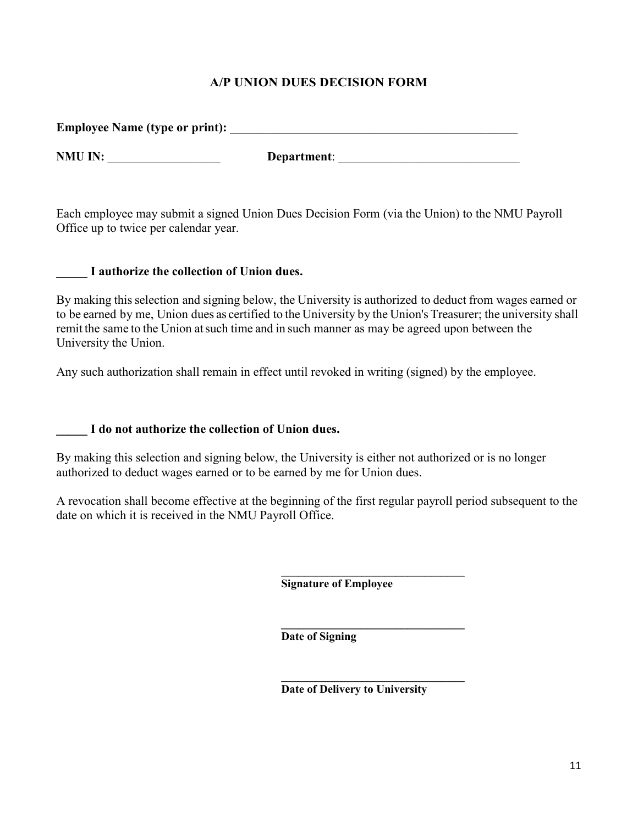### **A/P UNION DUES DECISION FORM**

<span id="page-10-0"></span>

| Employee Name (type or print): |             |
|--------------------------------|-------------|
| NMU IN:                        | Department: |

Each employee may submit a signed Union Dues Decision Form (via the Union) to the NMU Payroll Office up to twice per calendar year.

#### **\_\_\_\_\_ I authorize the collection of Union dues.**

By making thisselection and signing below, the University is authorized to deduct from wages earned or to be earned by me, Union dues as certified to the University by the Union's Treasurer; the university shall remit the same to the Union atsuch time and in such manner as may be agreed upon between the University the Union.

Any such authorization shall remain in effect until revoked in writing (signed) by the employee.

**\_\_\_\_\_ I do not authorize the collection of Union dues.**

By making this selection and signing below, the University is either not authorized or is no longer authorized to deduct wages earned or to be earned by me for Union dues.

A revocation shall become effective at the beginning of the first regular payroll period subsequent to the date on which it is received in the NMU Payroll Office.

> \_\_\_\_\_\_\_\_\_\_\_\_\_\_\_\_\_\_\_\_\_\_\_\_\_\_\_\_\_\_\_\_ **Signature of Employee**

> **\_\_\_\_\_\_\_\_\_\_\_\_\_\_\_\_\_\_\_\_\_\_\_\_\_\_\_\_\_\_\_\_ Date of Signing**

> **\_\_\_\_\_\_\_\_\_\_\_\_\_\_\_\_\_\_\_\_\_\_\_\_\_\_\_\_\_\_\_\_ Date of Delivery to University**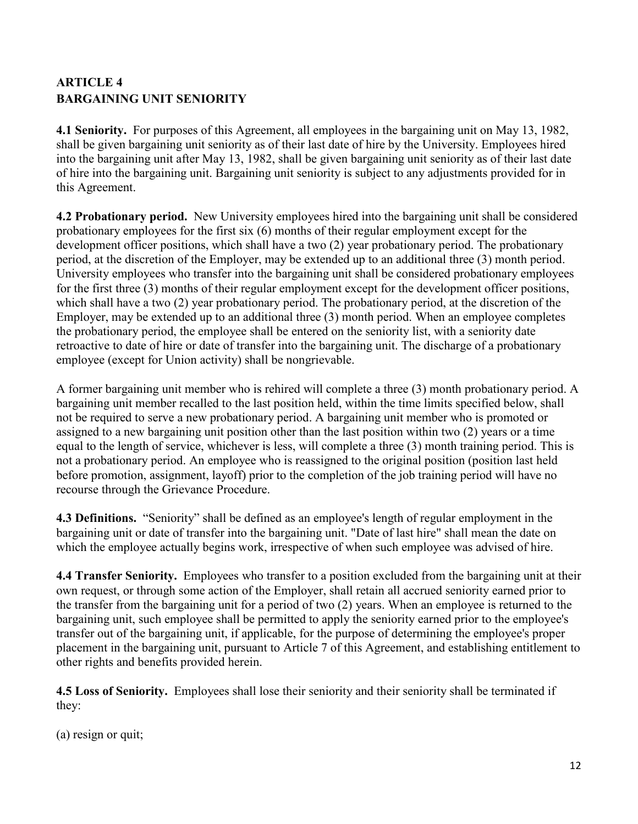# <span id="page-11-0"></span>**ARTICLE 4 BARGAINING UNIT SENIORITY**

**4.1 Seniority.** For purposes of this Agreement, all employees in the bargaining unit on May 13, 1982, shall be given bargaining unit seniority as of their last date of hire by the University. Employees hired into the bargaining unit after May 13, 1982, shall be given bargaining unit seniority as of their last date of hire into the bargaining unit. Bargaining unit seniority is subject to any adjustments provided for in this Agreement.

**4.2 Probationary period.** New University employees hired into the bargaining unit shall be considered probationary employees for the first six (6) months of their regular employment except for the development officer positions, which shall have a two (2) year probationary period. The probationary period, at the discretion of the Employer, may be extended up to an additional three (3) month period. University employees who transfer into the bargaining unit shall be considered probationary employees for the first three (3) months of their regular employment except for the development officer positions, which shall have a two (2) year probationary period. The probationary period, at the discretion of the Employer, may be extended up to an additional three (3) month period. When an employee completes the probationary period, the employee shall be entered on the seniority list, with a seniority date retroactive to date of hire or date of transfer into the bargaining unit. The discharge of a probationary employee (except for Union activity) shall be nongrievable.

A former bargaining unit member who is rehired will complete a three (3) month probationary period. A bargaining unit member recalled to the last position held, within the time limits specified below, shall not be required to serve a new probationary period. A bargaining unit member who is promoted or assigned to a new bargaining unit position other than the last position within two (2) years or a time equal to the length of service, whichever is less, will complete a three (3) month training period. This is not a probationary period. An employee who is reassigned to the original position (position last held before promotion, assignment, layoff) prior to the completion of the job training period will have no recourse through the Grievance Procedure.

**4.3 Definitions.** "Seniority" shall be defined as an employee's length of regular employment in the bargaining unit or date of transfer into the bargaining unit. "Date of last hire" shall mean the date on which the employee actually begins work, irrespective of when such employee was advised of hire.

**4.4 Transfer Seniority.** Employees who transfer to a position excluded from the bargaining unit at their own request, or through some action of the Employer, shall retain all accrued seniority earned prior to the transfer from the bargaining unit for a period of two (2) years. When an employee is returned to the bargaining unit, such employee shall be permitted to apply the seniority earned prior to the employee's transfer out of the bargaining unit, if applicable, for the purpose of determining the employee's proper placement in the bargaining unit, pursuant to Article 7 of this Agreement, and establishing entitlement to other rights and benefits provided herein.

**4.5 Loss of Seniority.** Employees shall lose their seniority and their seniority shall be terminated if they:

```
(a) resign or quit;
```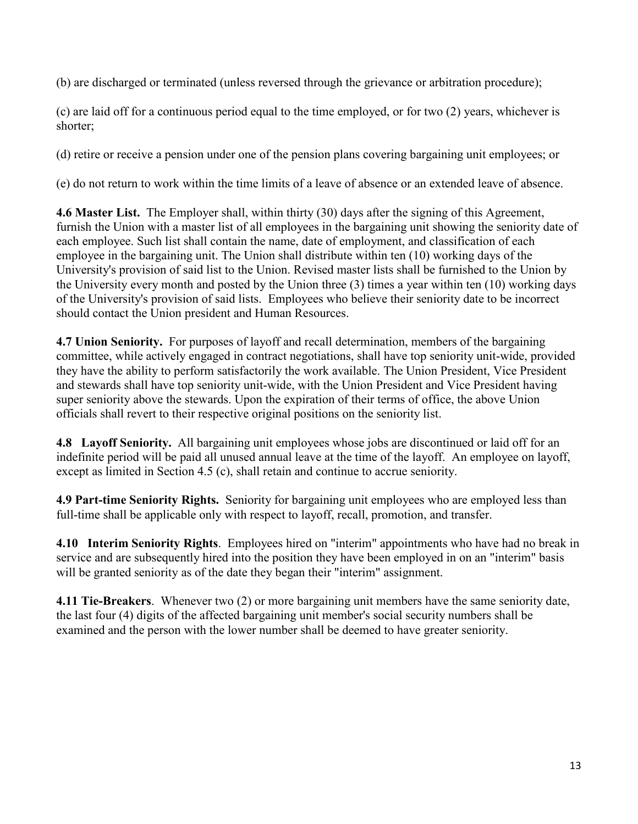(b) are discharged or terminated (unless reversed through the grievance or arbitration procedure);

(c) are laid off for a continuous period equal to the time employed, or for two (2) years, whichever is shorter;

(d) retire or receive a pension under one of the pension plans covering bargaining unit employees; or

(e) do not return to work within the time limits of a leave of absence or an extended leave of absence.

**4.6 Master List.** The Employer shall, within thirty (30) days after the signing of this Agreement, furnish the Union with a master list of all employees in the bargaining unit showing the seniority date of each employee. Such list shall contain the name, date of employment, and classification of each employee in the bargaining unit. The Union shall distribute within ten (10) working days of the University's provision of said list to the Union. Revised master lists shall be furnished to the Union by the University every month and posted by the Union three (3) times a year within ten (10) working days of the University's provision of said lists. Employees who believe their seniority date to be incorrect should contact the Union president and Human Resources.

**4.7 Union Seniority.** For purposes of layoff and recall determination, members of the bargaining committee, while actively engaged in contract negotiations, shall have top seniority unit-wide, provided they have the ability to perform satisfactorily the work available. The Union President, Vice President and stewards shall have top seniority unit-wide, with the Union President and Vice President having super seniority above the stewards. Upon the expiration of their terms of office, the above Union officials shall revert to their respective original positions on the seniority list.

**4.8 Layoff Seniority.** All bargaining unit employees whose jobs are discontinued or laid off for an indefinite period will be paid all unused annual leave at the time of the layoff. An employee on layoff, except as limited in Section 4.5 (c), shall retain and continue to accrue seniority.

**4.9 Part-time Seniority Rights.** Seniority for bargaining unit employees who are employed less than full-time shall be applicable only with respect to layoff, recall, promotion, and transfer.

**4.10 Interim Seniority Rights**. Employees hired on "interim" appointments who have had no break in service and are subsequently hired into the position they have been employed in on an "interim" basis will be granted seniority as of the date they began their "interim" assignment.

**4.11 Tie-Breakers**. Whenever two (2) or more bargaining unit members have the same seniority date, the last four (4) digits of the affected bargaining unit member's social security numbers shall be examined and the person with the lower number shall be deemed to have greater seniority.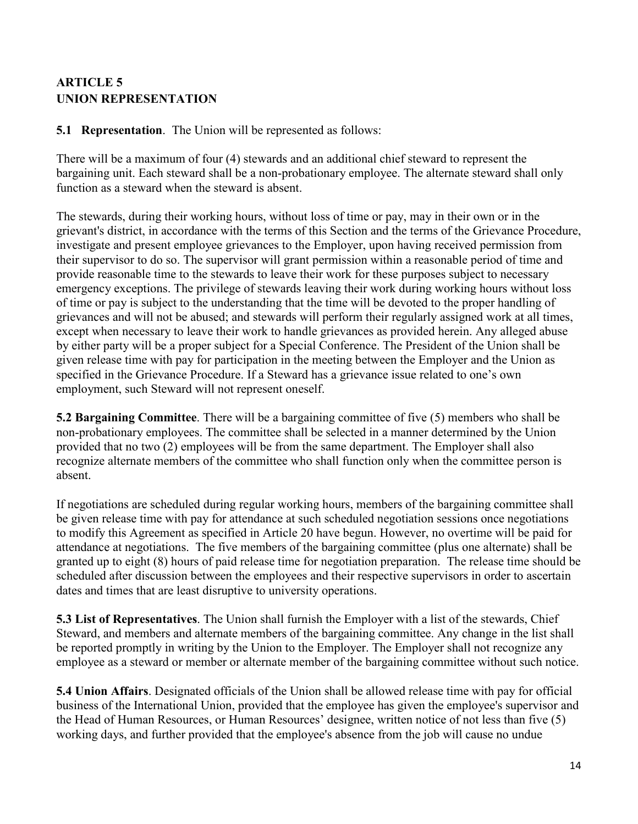# <span id="page-13-0"></span>**ARTICLE 5 UNION REPRESENTATION**

**5.1 Representation**. The Union will be represented as follows:

There will be a maximum of four (4) stewards and an additional chief steward to represent the bargaining unit. Each steward shall be a non-probationary employee. The alternate steward shall only function as a steward when the steward is absent.

The stewards, during their working hours, without loss of time or pay, may in their own or in the grievant's district, in accordance with the terms of this Section and the terms of the Grievance Procedure, investigate and present employee grievances to the Employer, upon having received permission from their supervisor to do so. The supervisor will grant permission within a reasonable period of time and provide reasonable time to the stewards to leave their work for these purposes subject to necessary emergency exceptions. The privilege of stewards leaving their work during working hours without loss of time or pay is subject to the understanding that the time will be devoted to the proper handling of grievances and will not be abused; and stewards will perform their regularly assigned work at all times, except when necessary to leave their work to handle grievances as provided herein. Any alleged abuse by either party will be a proper subject for a Special Conference. The President of the Union shall be given release time with pay for participation in the meeting between the Employer and the Union as specified in the Grievance Procedure. If a Steward has a grievance issue related to one's own employment, such Steward will not represent oneself.

**5.2 Bargaining Committee**. There will be a bargaining committee of five (5) members who shall be non-probationary employees. The committee shall be selected in a manner determined by the Union provided that no two (2) employees will be from the same department. The Employer shall also recognize alternate members of the committee who shall function only when the committee person is absent.

If negotiations are scheduled during regular working hours, members of the bargaining committee shall be given release time with pay for attendance at such scheduled negotiation sessions once negotiations to modify this Agreement as specified in Article 20 have begun. However, no overtime will be paid for attendance at negotiations. The five members of the bargaining committee (plus one alternate) shall be granted up to eight (8) hours of paid release time for negotiation preparation. The release time should be scheduled after discussion between the employees and their respective supervisors in order to ascertain dates and times that are least disruptive to university operations.

**5.3 List of Representatives**. The Union shall furnish the Employer with a list of the stewards, Chief Steward, and members and alternate members of the bargaining committee. Any change in the list shall be reported promptly in writing by the Union to the Employer. The Employer shall not recognize any employee as a steward or member or alternate member of the bargaining committee without such notice.

**5.4 Union Affairs**. Designated officials of the Union shall be allowed release time with pay for official business of the International Union, provided that the employee has given the employee's supervisor and the Head of Human Resources, or Human Resources' designee, written notice of not less than five (5) working days, and further provided that the employee's absence from the job will cause no undue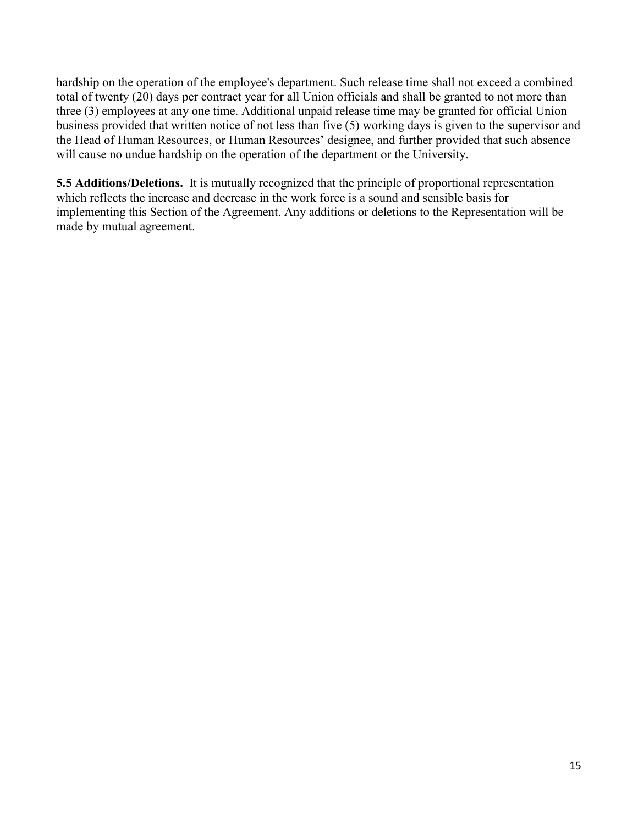hardship on the operation of the employee's department. Such release time shall not exceed a combined total of twenty (20) days per contract year for all Union officials and shall be granted to not more than three (3) employees at any one time. Additional unpaid release time may be granted for official Union business provided that written notice of not less than five (5) working days is given to the supervisor and the Head of Human Resources, or Human Resources' designee, and further provided that such absence will cause no undue hardship on the operation of the department or the University.

**5.5 Additions/Deletions.** It is mutually recognized that the principle of proportional representation which reflects the increase and decrease in the work force is a sound and sensible basis for implementing this Section of the Agreement. Any additions or deletions to the Representation will be made by mutual agreement.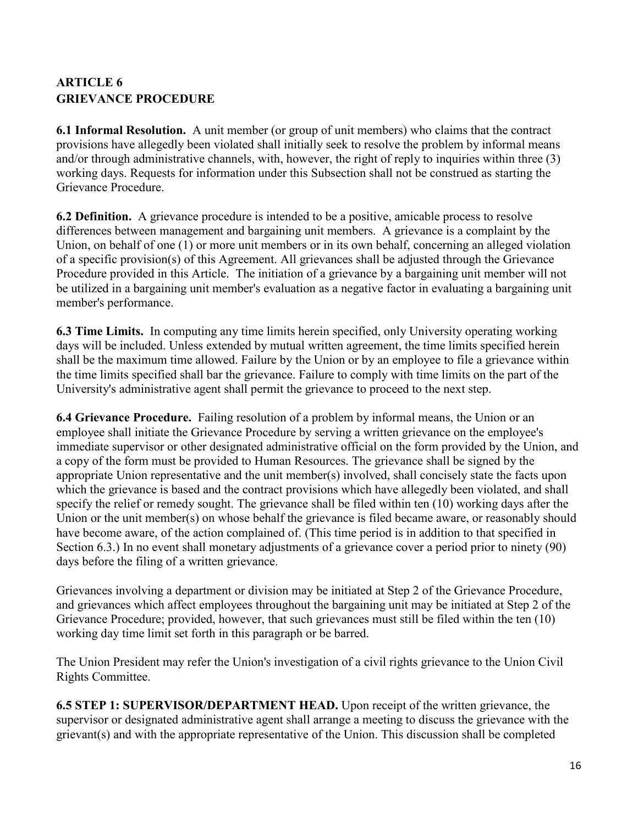# <span id="page-15-0"></span>**ARTICLE 6 GRIEVANCE PROCEDURE**

**6.1 Informal Resolution.** A unit member (or group of unit members) who claims that the contract provisions have allegedly been violated shall initially seek to resolve the problem by informal means and/or through administrative channels, with, however, the right of reply to inquiries within three (3) working days. Requests for information under this Subsection shall not be construed as starting the Grievance Procedure.

**6.2 Definition.** A grievance procedure is intended to be a positive, amicable process to resolve differences between management and bargaining unit members. A grievance is a complaint by the Union, on behalf of one (1) or more unit members or in its own behalf, concerning an alleged violation of a specific provision(s) of this Agreement. All grievances shall be adjusted through the Grievance Procedure provided in this Article. The initiation of a grievance by a bargaining unit member will not be utilized in a bargaining unit member's evaluation as a negative factor in evaluating a bargaining unit member's performance.

**6.3 Time Limits.** In computing any time limits herein specified, only University operating working days will be included. Unless extended by mutual written agreement, the time limits specified herein shall be the maximum time allowed. Failure by the Union or by an employee to file a grievance within the time limits specified shall bar the grievance. Failure to comply with time limits on the part of the University's administrative agent shall permit the grievance to proceed to the next step.

**6.4 Grievance Procedure.** Failing resolution of a problem by informal means, the Union or an employee shall initiate the Grievance Procedure by serving a written grievance on the employee's immediate supervisor or other designated administrative official on the form provided by the Union, and a copy of the form must be provided to Human Resources. The grievance shall be signed by the appropriate Union representative and the unit member(s) involved, shall concisely state the facts upon which the grievance is based and the contract provisions which have allegedly been violated, and shall specify the relief or remedy sought. The grievance shall be filed within ten (10) working days after the Union or the unit member(s) on whose behalf the grievance is filed became aware, or reasonably should have become aware, of the action complained of. (This time period is in addition to that specified in Section 6.3.) In no event shall monetary adjustments of a grievance cover a period prior to ninety (90) days before the filing of a written grievance.

Grievances involving a department or division may be initiated at Step 2 of the Grievance Procedure, and grievances which affect employees throughout the bargaining unit may be initiated at Step 2 of the Grievance Procedure; provided, however, that such grievances must still be filed within the ten (10) working day time limit set forth in this paragraph or be barred.

The Union President may refer the Union's investigation of a civil rights grievance to the Union Civil Rights Committee.

**6.5 STEP 1: SUPERVISOR/DEPARTMENT HEAD.** Upon receipt of the written grievance, the supervisor or designated administrative agent shall arrange a meeting to discuss the grievance with the grievant(s) and with the appropriate representative of the Union. This discussion shall be completed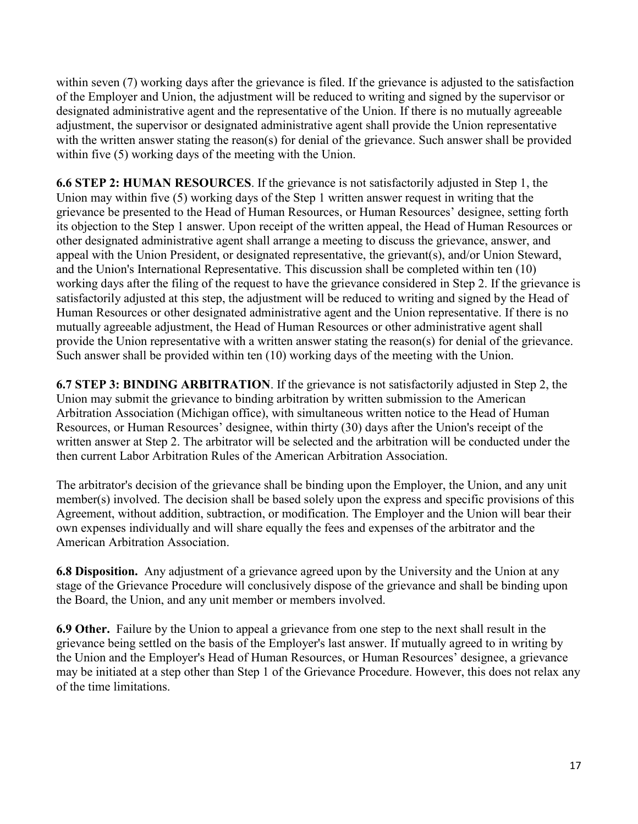within seven (7) working days after the grievance is filed. If the grievance is adjusted to the satisfaction of the Employer and Union, the adjustment will be reduced to writing and signed by the supervisor or designated administrative agent and the representative of the Union. If there is no mutually agreeable adjustment, the supervisor or designated administrative agent shall provide the Union representative with the written answer stating the reason(s) for denial of the grievance. Such answer shall be provided within five (5) working days of the meeting with the Union.

**6.6 STEP 2: HUMAN RESOURCES**. If the grievance is not satisfactorily adjusted in Step 1, the Union may within five (5) working days of the Step 1 written answer request in writing that the grievance be presented to the Head of Human Resources, or Human Resources' designee, setting forth its objection to the Step 1 answer. Upon receipt of the written appeal, the Head of Human Resources or other designated administrative agent shall arrange a meeting to discuss the grievance, answer, and appeal with the Union President, or designated representative, the grievant(s), and/or Union Steward, and the Union's International Representative. This discussion shall be completed within ten (10) working days after the filing of the request to have the grievance considered in Step 2. If the grievance is satisfactorily adjusted at this step, the adjustment will be reduced to writing and signed by the Head of Human Resources or other designated administrative agent and the Union representative. If there is no mutually agreeable adjustment, the Head of Human Resources or other administrative agent shall provide the Union representative with a written answer stating the reason(s) for denial of the grievance. Such answer shall be provided within ten (10) working days of the meeting with the Union.

**6.7 STEP 3: BINDING ARBITRATION**. If the grievance is not satisfactorily adjusted in Step 2, the Union may submit the grievance to binding arbitration by written submission to the American Arbitration Association (Michigan office), with simultaneous written notice to the Head of Human Resources, or Human Resources' designee, within thirty (30) days after the Union's receipt of the written answer at Step 2. The arbitrator will be selected and the arbitration will be conducted under the then current Labor Arbitration Rules of the American Arbitration Association.

The arbitrator's decision of the grievance shall be binding upon the Employer, the Union, and any unit member(s) involved. The decision shall be based solely upon the express and specific provisions of this Agreement, without addition, subtraction, or modification. The Employer and the Union will bear their own expenses individually and will share equally the fees and expenses of the arbitrator and the American Arbitration Association.

**6.8 Disposition.** Any adjustment of a grievance agreed upon by the University and the Union at any stage of the Grievance Procedure will conclusively dispose of the grievance and shall be binding upon the Board, the Union, and any unit member or members involved.

**6.9 Other.** Failure by the Union to appeal a grievance from one step to the next shall result in the grievance being settled on the basis of the Employer's last answer. If mutually agreed to in writing by the Union and the Employer's Head of Human Resources, or Human Resources' designee, a grievance may be initiated at a step other than Step 1 of the Grievance Procedure. However, this does not relax any of the time limitations.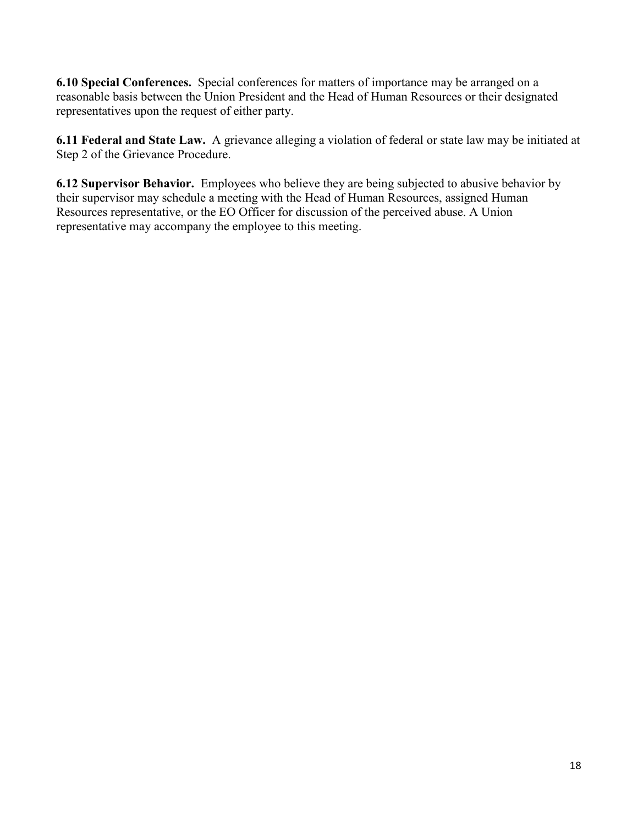**6.10 Special Conferences.** Special conferences for matters of importance may be arranged on a reasonable basis between the Union President and the Head of Human Resources or their designated representatives upon the request of either party.

**6.11 Federal and State Law.** A grievance alleging a violation of federal or state law may be initiated at Step 2 of the Grievance Procedure.

**6.12 Supervisor Behavior.** Employees who believe they are being subjected to abusive behavior by their supervisor may schedule a meeting with the Head of Human Resources, assigned Human Resources representative, or the EO Officer for discussion of the perceived abuse. A Union representative may accompany the employee to this meeting.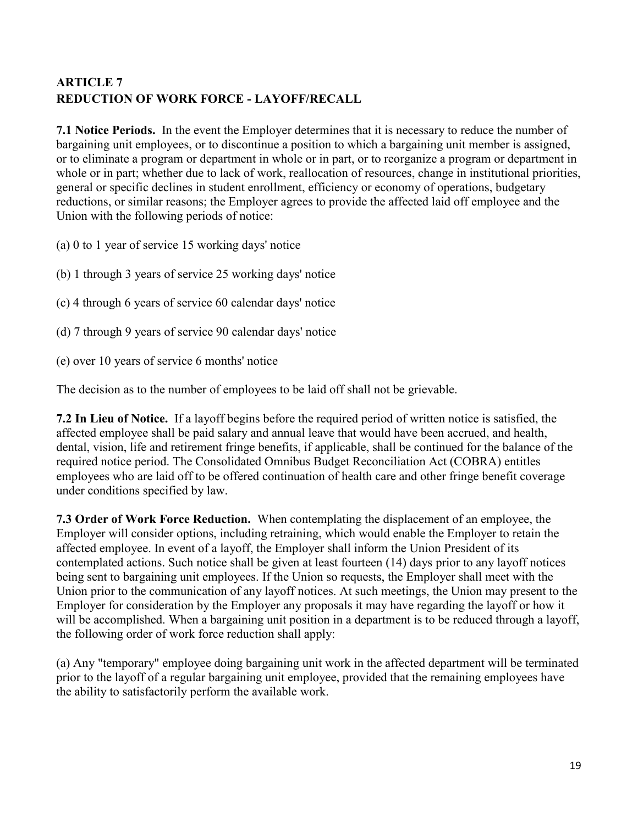# <span id="page-18-0"></span>**ARTICLE 7 REDUCTION OF WORK FORCE - LAYOFF/RECALL**

**7.1 Notice Periods.** In the event the Employer determines that it is necessary to reduce the number of bargaining unit employees, or to discontinue a position to which a bargaining unit member is assigned, or to eliminate a program or department in whole or in part, or to reorganize a program or department in whole or in part; whether due to lack of work, reallocation of resources, change in institutional priorities, general or specific declines in student enrollment, efficiency or economy of operations, budgetary reductions, or similar reasons; the Employer agrees to provide the affected laid off employee and the Union with the following periods of notice:

- (a) 0 to 1 year of service 15 working days' notice
- (b) 1 through 3 years of service 25 working days' notice
- (c) 4 through 6 years of service 60 calendar days' notice
- (d) 7 through 9 years of service 90 calendar days' notice
- (e) over 10 years of service 6 months' notice

The decision as to the number of employees to be laid off shall not be grievable.

**7.2 In Lieu of Notice.** If a layoff begins before the required period of written notice is satisfied, the affected employee shall be paid salary and annual leave that would have been accrued, and health, dental, vision, life and retirement fringe benefits, if applicable, shall be continued for the balance of the required notice period. The Consolidated Omnibus Budget Reconciliation Act (COBRA) entitles employees who are laid off to be offered continuation of health care and other fringe benefit coverage under conditions specified by law.

**7.3 Order of Work Force Reduction.** When contemplating the displacement of an employee, the Employer will consider options, including retraining, which would enable the Employer to retain the affected employee. In event of a layoff, the Employer shall inform the Union President of its contemplated actions. Such notice shall be given at least fourteen (14) days prior to any layoff notices being sent to bargaining unit employees. If the Union so requests, the Employer shall meet with the Union prior to the communication of any layoff notices. At such meetings, the Union may present to the Employer for consideration by the Employer any proposals it may have regarding the layoff or how it will be accomplished. When a bargaining unit position in a department is to be reduced through a layoff, the following order of work force reduction shall apply:

(a) Any "temporary" employee doing bargaining unit work in the affected department will be terminated prior to the layoff of a regular bargaining unit employee, provided that the remaining employees have the ability to satisfactorily perform the available work.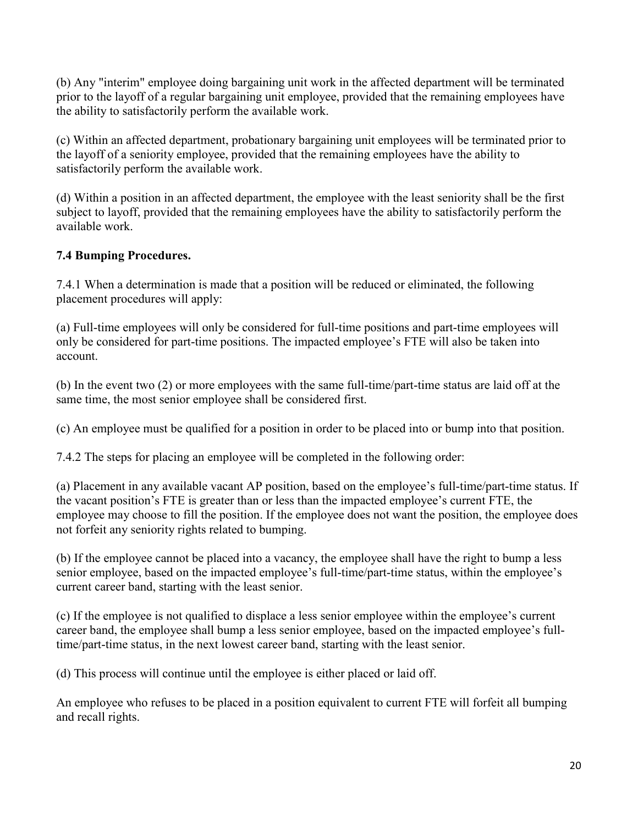(b) Any "interim" employee doing bargaining unit work in the affected department will be terminated prior to the layoff of a regular bargaining unit employee, provided that the remaining employees have the ability to satisfactorily perform the available work.

(c) Within an affected department, probationary bargaining unit employees will be terminated prior to the layoff of a seniority employee, provided that the remaining employees have the ability to satisfactorily perform the available work.

(d) Within a position in an affected department, the employee with the least seniority shall be the first subject to layoff, provided that the remaining employees have the ability to satisfactorily perform the available work.

# **7.4 Bumping Procedures.**

7.4.1 When a determination is made that a position will be reduced or eliminated, the following placement procedures will apply:

(a) Full-time employees will only be considered for full-time positions and part-time employees will only be considered for part-time positions. The impacted employee's FTE will also be taken into account.

(b) In the event two (2) or more employees with the same full-time/part-time status are laid off at the same time, the most senior employee shall be considered first.

(c) An employee must be qualified for a position in order to be placed into or bump into that position.

7.4.2 The steps for placing an employee will be completed in the following order:

(a) Placement in any available vacant AP position, based on the employee's full-time/part-time status. If the vacant position's FTE is greater than or less than the impacted employee's current FTE, the employee may choose to fill the position. If the employee does not want the position, the employee does not forfeit any seniority rights related to bumping.

(b) If the employee cannot be placed into a vacancy, the employee shall have the right to bump a less senior employee, based on the impacted employee's full-time/part-time status, within the employee's current career band, starting with the least senior.

(c) If the employee is not qualified to displace a less senior employee within the employee's current career band, the employee shall bump a less senior employee, based on the impacted employee's fulltime/part-time status, in the next lowest career band, starting with the least senior.

(d) This process will continue until the employee is either placed or laid off.

An employee who refuses to be placed in a position equivalent to current FTE will forfeit all bumping and recall rights.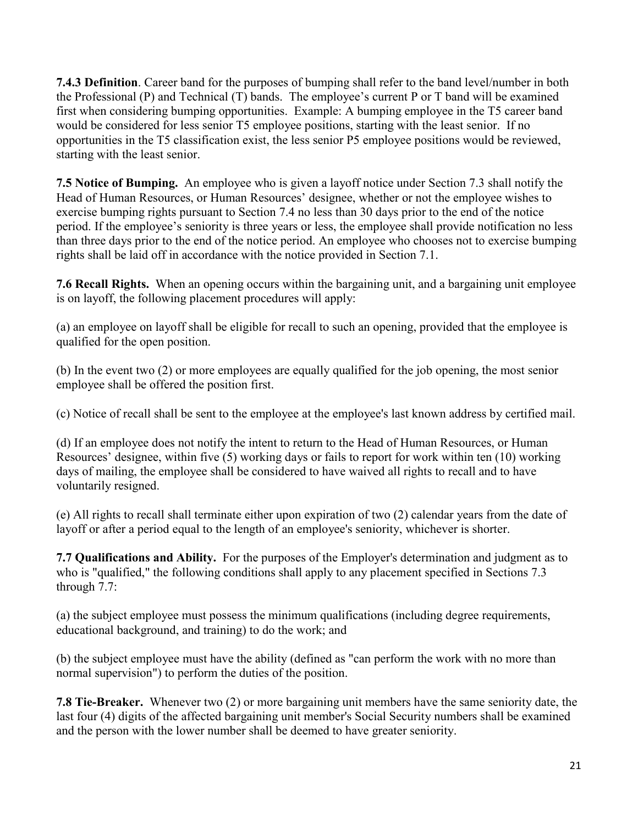**7.4.3 Definition**. Career band for the purposes of bumping shall refer to the band level/number in both the Professional (P) and Technical (T) bands. The employee's current P or T band will be examined first when considering bumping opportunities. Example: A bumping employee in the T5 career band would be considered for less senior T5 employee positions, starting with the least senior. If no opportunities in the T5 classification exist, the less senior P5 employee positions would be reviewed, starting with the least senior.

**7.5 Notice of Bumping.** An employee who is given a layoff notice under Section 7.3 shall notify the Head of Human Resources, or Human Resources' designee, whether or not the employee wishes to exercise bumping rights pursuant to Section 7.4 no less than 30 days prior to the end of the notice period. If the employee's seniority is three years or less, the employee shall provide notification no less than three days prior to the end of the notice period. An employee who chooses not to exercise bumping rights shall be laid off in accordance with the notice provided in Section 7.1.

**7.6 Recall Rights.** When an opening occurs within the bargaining unit, and a bargaining unit employee is on layoff, the following placement procedures will apply:

(a) an employee on layoff shall be eligible for recall to such an opening, provided that the employee is qualified for the open position.

(b) In the event two (2) or more employees are equally qualified for the job opening, the most senior employee shall be offered the position first.

(c) Notice of recall shall be sent to the employee at the employee's last known address by certified mail.

(d) If an employee does not notify the intent to return to the Head of Human Resources, or Human Resources' designee, within five (5) working days or fails to report for work within ten (10) working days of mailing, the employee shall be considered to have waived all rights to recall and to have voluntarily resigned.

(e) All rights to recall shall terminate either upon expiration of two (2) calendar years from the date of layoff or after a period equal to the length of an employee's seniority, whichever is shorter.

**7.7 Qualifications and Ability.** For the purposes of the Employer's determination and judgment as to who is "qualified," the following conditions shall apply to any placement specified in Sections 7.3 through 7.7:

(a) the subject employee must possess the minimum qualifications (including degree requirements, educational background, and training) to do the work; and

(b) the subject employee must have the ability (defined as "can perform the work with no more than normal supervision") to perform the duties of the position.

**7.8 Tie-Breaker.** Whenever two (2) or more bargaining unit members have the same seniority date, the last four (4) digits of the affected bargaining unit member's Social Security numbers shall be examined and the person with the lower number shall be deemed to have greater seniority.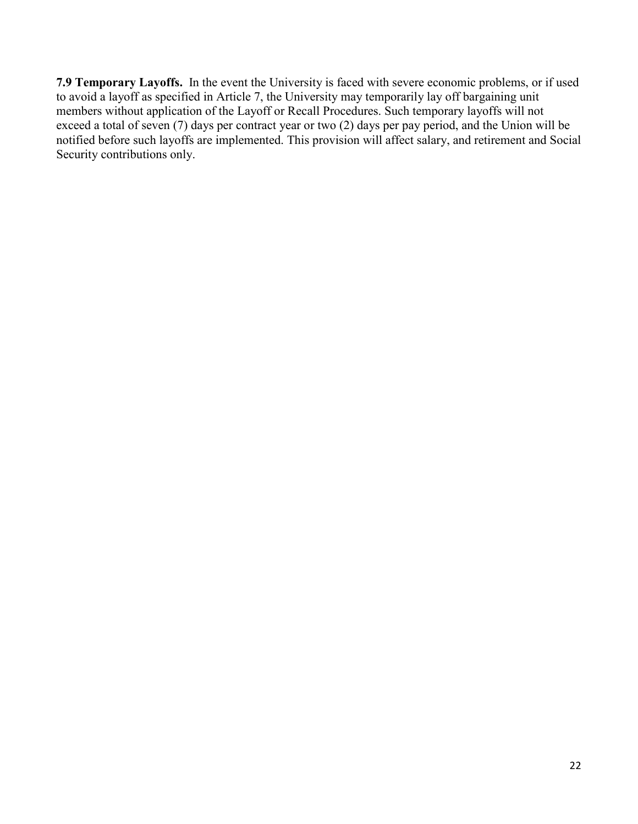**7.9 Temporary Layoffs.** In the event the University is faced with severe economic problems, or if used to avoid a layoff as specified in Article 7, the University may temporarily lay off bargaining unit members without application of the Layoff or Recall Procedures. Such temporary layoffs will not exceed a total of seven (7) days per contract year or two (2) days per pay period, and the Union will be notified before such layoffs are implemented. This provision will affect salary, and retirement and Social Security contributions only.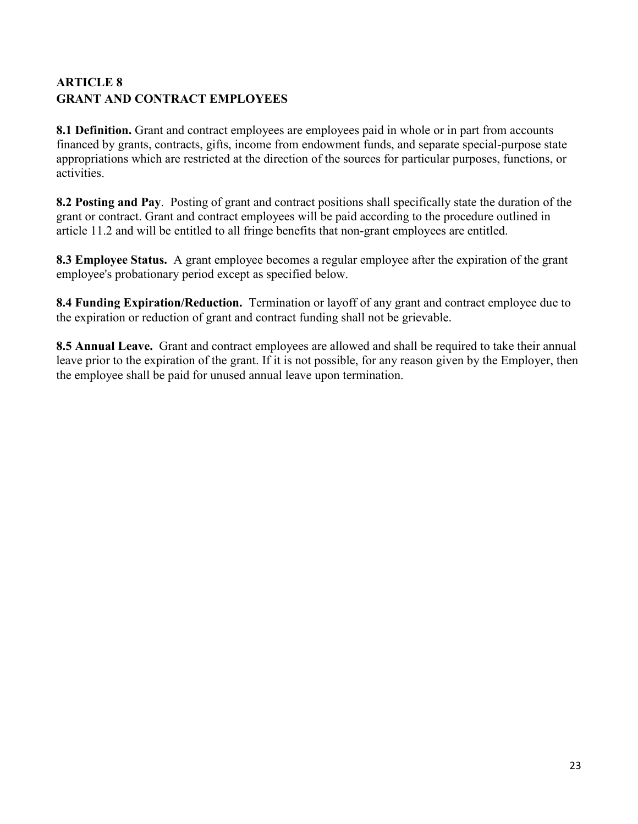# <span id="page-22-0"></span>**ARTICLE 8 GRANT AND CONTRACT EMPLOYEES**

**8.1 Definition.** Grant and contract employees are employees paid in whole or in part from accounts financed by grants, contracts, gifts, income from endowment funds, and separate special-purpose state appropriations which are restricted at the direction of the sources for particular purposes, functions, or activities.

**8.2 Posting and Pay**. Posting of grant and contract positions shall specifically state the duration of the grant or contract. Grant and contract employees will be paid according to the procedure outlined in article 11.2 and will be entitled to all fringe benefits that non-grant employees are entitled.

**8.3 Employee Status.** A grant employee becomes a regular employee after the expiration of the grant employee's probationary period except as specified below.

**8.4 Funding Expiration/Reduction.** Termination or layoff of any grant and contract employee due to the expiration or reduction of grant and contract funding shall not be grievable.

**8.5 Annual Leave.** Grant and contract employees are allowed and shall be required to take their annual leave prior to the expiration of the grant. If it is not possible, for any reason given by the Employer, then the employee shall be paid for unused annual leave upon termination.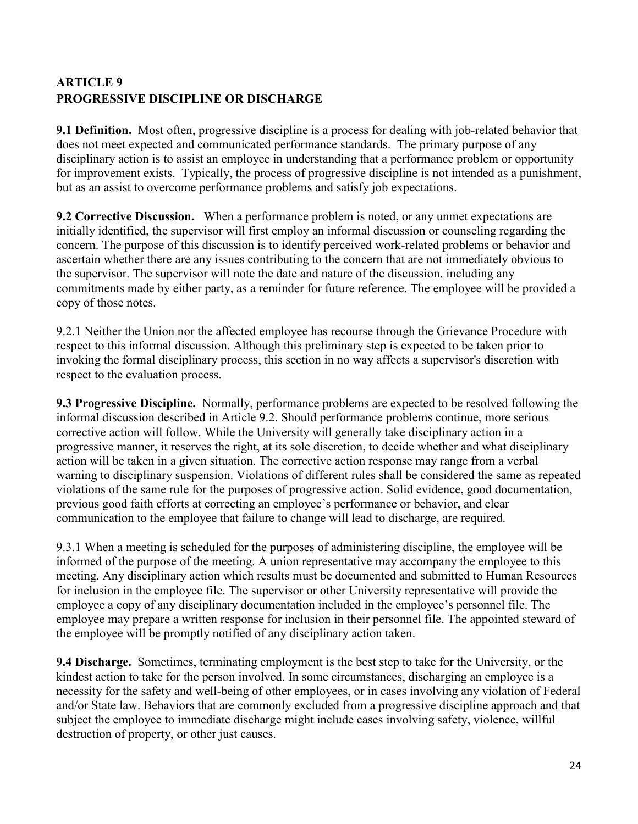# <span id="page-23-0"></span>**ARTICLE 9 PROGRESSIVE DISCIPLINE OR DISCHARGE**

**9.1 Definition.** Most often, progressive discipline is a process for dealing with job-related behavior that does not meet expected and communicated performance standards. The primary purpose of any disciplinary action is to assist an employee in understanding that a performance problem or opportunity for improvement exists. Typically, the process of progressive discipline is not intended as a punishment, but as an assist to overcome performance problems and satisfy job expectations.

**9.2 Corrective Discussion.** When a performance problem is noted, or any unmet expectations are initially identified, the supervisor will first employ an informal discussion or counseling regarding the concern. The purpose of this discussion is to identify perceived work-related problems or behavior and ascertain whether there are any issues contributing to the concern that are not immediately obvious to the supervisor. The supervisor will note the date and nature of the discussion, including any commitments made by either party, as a reminder for future reference. The employee will be provided a copy of those notes.

9.2.1 Neither the Union nor the affected employee has recourse through the Grievance Procedure with respect to this informal discussion. Although this preliminary step is expected to be taken prior to invoking the formal disciplinary process, this section in no way affects a supervisor's discretion with respect to the evaluation process.

**9.3 Progressive Discipline.** Normally, performance problems are expected to be resolved following the informal discussion described in Article 9.2. Should performance problems continue, more serious corrective action will follow. While the University will generally take disciplinary action in a progressive manner, it reserves the right, at its sole discretion, to decide whether and what disciplinary action will be taken in a given situation. The corrective action response may range from a verbal warning to disciplinary suspension. Violations of different rules shall be considered the same as repeated violations of the same rule for the purposes of progressive action. Solid evidence, good documentation, previous good faith efforts at correcting an employee's performance or behavior, and clear communication to the employee that failure to change will lead to discharge, are required.

9.3.1 When a meeting is scheduled for the purposes of administering discipline, the employee will be informed of the purpose of the meeting. A union representative may accompany the employee to this meeting. Any disciplinary action which results must be documented and submitted to Human Resources for inclusion in the employee file. The supervisor or other University representative will provide the employee a copy of any disciplinary documentation included in the employee's personnel file. The employee may prepare a written response for inclusion in their personnel file. The appointed steward of the employee will be promptly notified of any disciplinary action taken.

**9.4 Discharge.** Sometimes, terminating employment is the best step to take for the University, or the kindest action to take for the person involved. In some circumstances, discharging an employee is a necessity for the safety and well-being of other employees, or in cases involving any violation of Federal and/or State law. Behaviors that are commonly excluded from a progressive discipline approach and that subject the employee to immediate discharge might include cases involving safety, violence, willful destruction of property, or other just causes.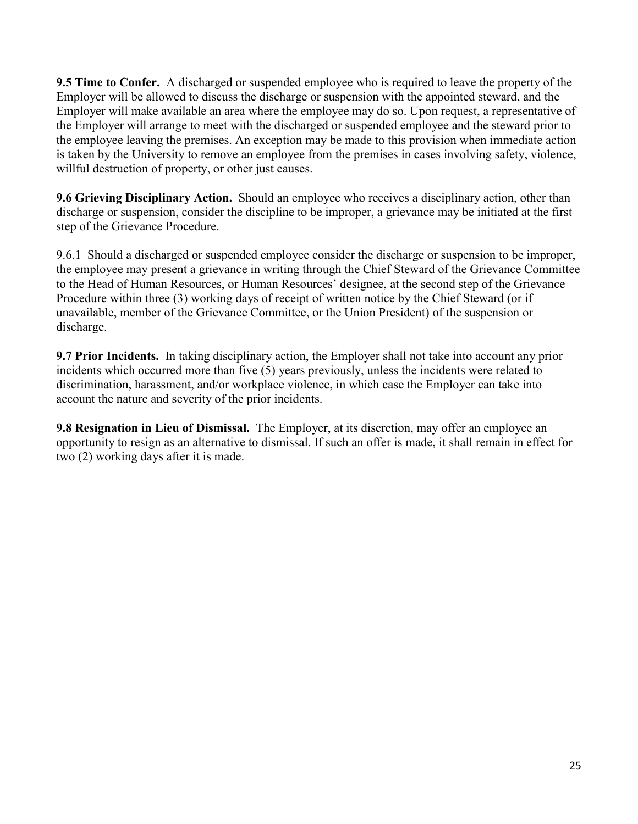**9.5 Time to Confer.** A discharged or suspended employee who is required to leave the property of the Employer will be allowed to discuss the discharge or suspension with the appointed steward, and the Employer will make available an area where the employee may do so. Upon request, a representative of the Employer will arrange to meet with the discharged or suspended employee and the steward prior to the employee leaving the premises. An exception may be made to this provision when immediate action is taken by the University to remove an employee from the premises in cases involving safety, violence, willful destruction of property, or other just causes.

**9.6 Grieving Disciplinary Action.** Should an employee who receives a disciplinary action, other than discharge or suspension, consider the discipline to be improper, a grievance may be initiated at the first step of the Grievance Procedure.

9.6.1 Should a discharged or suspended employee consider the discharge or suspension to be improper, the employee may present a grievance in writing through the Chief Steward of the Grievance Committee to the Head of Human Resources, or Human Resources' designee, at the second step of the Grievance Procedure within three (3) working days of receipt of written notice by the Chief Steward (or if unavailable, member of the Grievance Committee, or the Union President) of the suspension or discharge.

**9.7 Prior Incidents.** In taking disciplinary action, the Employer shall not take into account any prior incidents which occurred more than five (5) years previously, unless the incidents were related to discrimination, harassment, and/or workplace violence, in which case the Employer can take into account the nature and severity of the prior incidents.

**9.8 Resignation in Lieu of Dismissal.** The Employer, at its discretion, may offer an employee an opportunity to resign as an alternative to dismissal. If such an offer is made, it shall remain in effect for two (2) working days after it is made.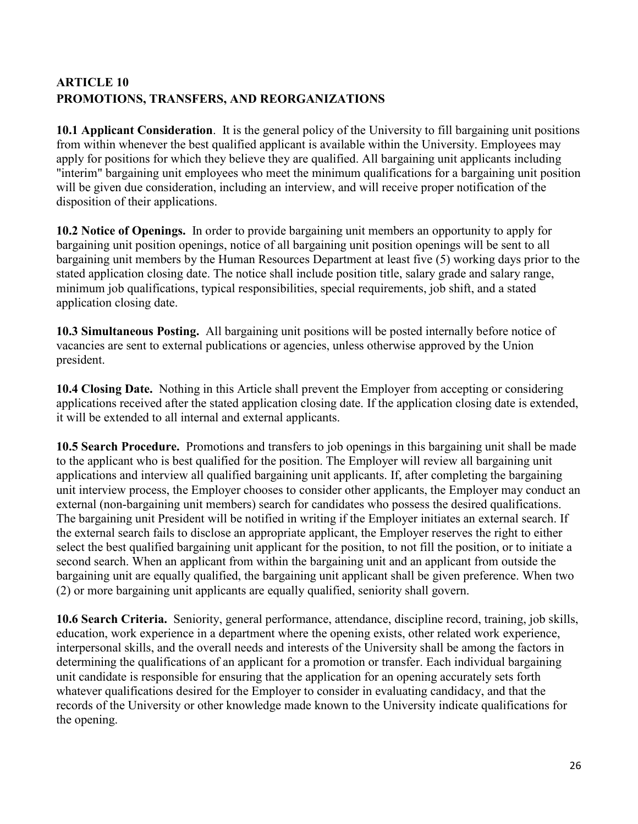# <span id="page-25-0"></span>**ARTICLE 10 PROMOTIONS, TRANSFERS, AND REORGANIZATIONS**

**10.1 Applicant Consideration**. It is the general policy of the University to fill bargaining unit positions from within whenever the best qualified applicant is available within the University. Employees may apply for positions for which they believe they are qualified. All bargaining unit applicants including "interim" bargaining unit employees who meet the minimum qualifications for a bargaining unit position will be given due consideration, including an interview, and will receive proper notification of the disposition of their applications.

**10.2 Notice of Openings.** In order to provide bargaining unit members an opportunity to apply for bargaining unit position openings, notice of all bargaining unit position openings will be sent to all bargaining unit members by the Human Resources Department at least five (5) working days prior to the stated application closing date. The notice shall include position title, salary grade and salary range, minimum job qualifications, typical responsibilities, special requirements, job shift, and a stated application closing date.

**10.3 Simultaneous Posting.** All bargaining unit positions will be posted internally before notice of vacancies are sent to external publications or agencies, unless otherwise approved by the Union president.

**10.4 Closing Date.** Nothing in this Article shall prevent the Employer from accepting or considering applications received after the stated application closing date. If the application closing date is extended, it will be extended to all internal and external applicants.

**10.5 Search Procedure.** Promotions and transfers to job openings in this bargaining unit shall be made to the applicant who is best qualified for the position. The Employer will review all bargaining unit applications and interview all qualified bargaining unit applicants. If, after completing the bargaining unit interview process, the Employer chooses to consider other applicants, the Employer may conduct an external (non-bargaining unit members) search for candidates who possess the desired qualifications. The bargaining unit President will be notified in writing if the Employer initiates an external search. If the external search fails to disclose an appropriate applicant, the Employer reserves the right to either select the best qualified bargaining unit applicant for the position, to not fill the position, or to initiate a second search. When an applicant from within the bargaining unit and an applicant from outside the bargaining unit are equally qualified, the bargaining unit applicant shall be given preference. When two (2) or more bargaining unit applicants are equally qualified, seniority shall govern.

**10.6 Search Criteria.** Seniority, general performance, attendance, discipline record, training, job skills, education, work experience in a department where the opening exists, other related work experience, interpersonal skills, and the overall needs and interests of the University shall be among the factors in determining the qualifications of an applicant for a promotion or transfer. Each individual bargaining unit candidate is responsible for ensuring that the application for an opening accurately sets forth whatever qualifications desired for the Employer to consider in evaluating candidacy, and that the records of the University or other knowledge made known to the University indicate qualifications for the opening.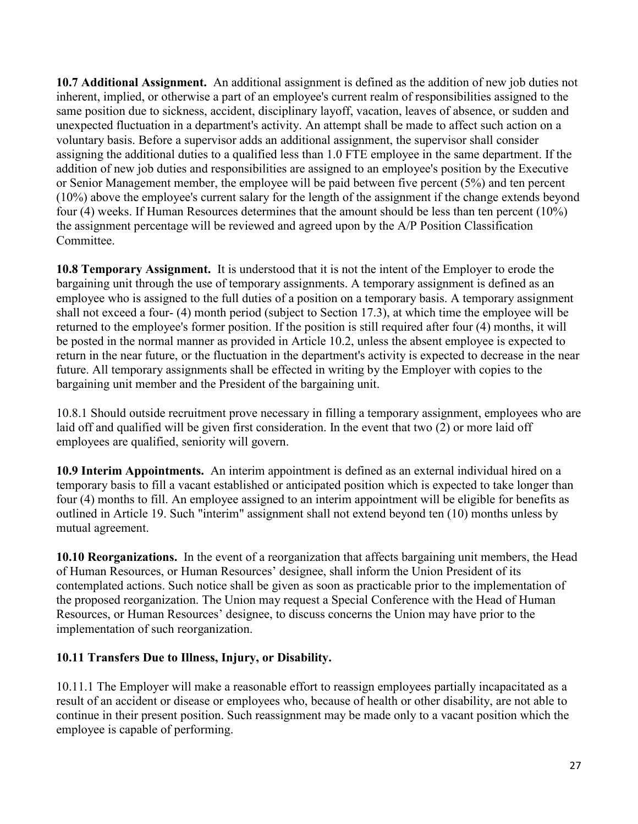**10.7 Additional Assignment.** An additional assignment is defined as the addition of new job duties not inherent, implied, or otherwise a part of an employee's current realm of responsibilities assigned to the same position due to sickness, accident, disciplinary layoff, vacation, leaves of absence, or sudden and unexpected fluctuation in a department's activity. An attempt shall be made to affect such action on a voluntary basis. Before a supervisor adds an additional assignment, the supervisor shall consider assigning the additional duties to a qualified less than 1.0 FTE employee in the same department. If the addition of new job duties and responsibilities are assigned to an employee's position by the Executive or Senior Management member, the employee will be paid between five percent (5%) and ten percent (10%) above the employee's current salary for the length of the assignment if the change extends beyond four (4) weeks. If Human Resources determines that the amount should be less than ten percent (10%) the assignment percentage will be reviewed and agreed upon by the A/P Position Classification Committee.

**10.8 Temporary Assignment.** It is understood that it is not the intent of the Employer to erode the bargaining unit through the use of temporary assignments. A temporary assignment is defined as an employee who is assigned to the full duties of a position on a temporary basis. A temporary assignment shall not exceed a four- (4) month period (subject to Section 17.3), at which time the employee will be returned to the employee's former position. If the position is still required after four (4) months, it will be posted in the normal manner as provided in Article 10.2, unless the absent employee is expected to return in the near future, or the fluctuation in the department's activity is expected to decrease in the near future. All temporary assignments shall be effected in writing by the Employer with copies to the bargaining unit member and the President of the bargaining unit.

10.8.1 Should outside recruitment prove necessary in filling a temporary assignment, employees who are laid off and qualified will be given first consideration. In the event that two (2) or more laid off employees are qualified, seniority will govern.

**10.9 Interim Appointments.** An interim appointment is defined as an external individual hired on a temporary basis to fill a vacant established or anticipated position which is expected to take longer than four (4) months to fill. An employee assigned to an interim appointment will be eligible for benefits as outlined in Article 19. Such "interim" assignment shall not extend beyond ten (10) months unless by mutual agreement.

**10.10 Reorganizations.** In the event of a reorganization that affects bargaining unit members, the Head of Human Resources, or Human Resources' designee, shall inform the Union President of its contemplated actions. Such notice shall be given as soon as practicable prior to the implementation of the proposed reorganization. The Union may request a Special Conference with the Head of Human Resources, or Human Resources' designee, to discuss concerns the Union may have prior to the implementation of such reorganization.

### **10.11 Transfers Due to Illness, Injury, or Disability.**

10.11.1 The Employer will make a reasonable effort to reassign employees partially incapacitated as a result of an accident or disease or employees who, because of health or other disability, are not able to continue in their present position. Such reassignment may be made only to a vacant position which the employee is capable of performing.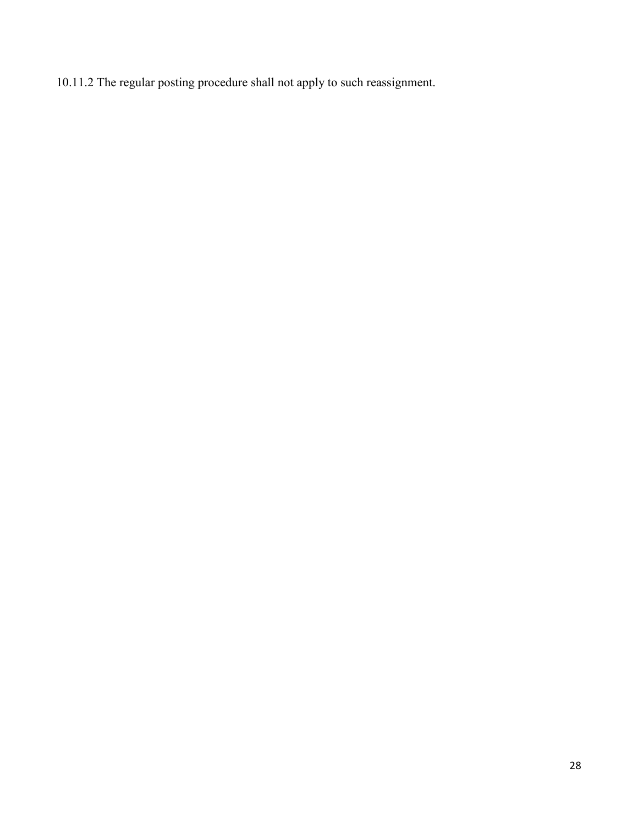10.11.2 The regular posting procedure shall not apply to such reassignment.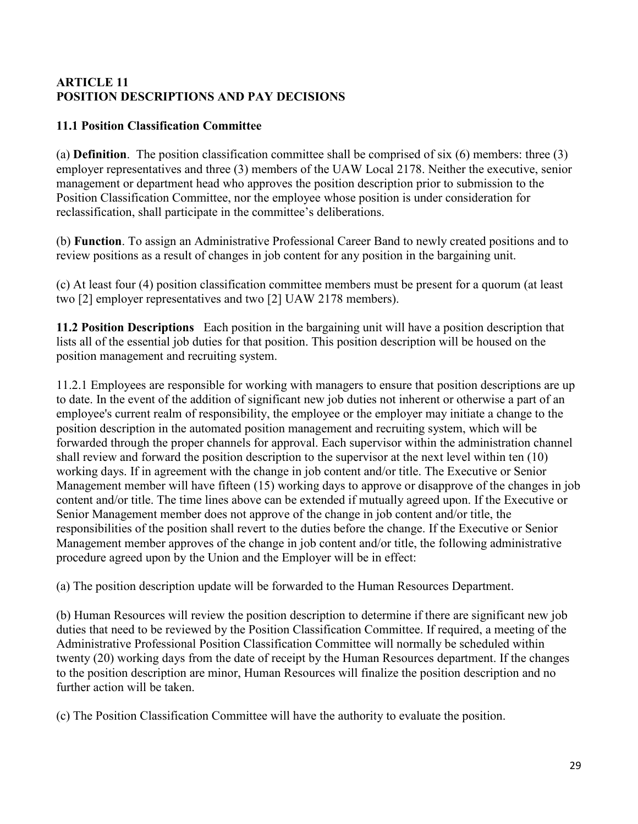### <span id="page-28-0"></span>**ARTICLE 11 POSITION DESCRIPTIONS AND PAY DECISIONS**

## **11.1 Position Classification Committee**

(a) **Definition**. The position classification committee shall be comprised of six (6) members: three (3) employer representatives and three (3) members of the UAW Local 2178. Neither the executive, senior management or department head who approves the position description prior to submission to the Position Classification Committee, nor the employee whose position is under consideration for reclassification, shall participate in the committee's deliberations.

(b) **Function**. To assign an Administrative Professional Career Band to newly created positions and to review positions as a result of changes in job content for any position in the bargaining unit.

(c) At least four (4) position classification committee members must be present for a quorum (at least two [2] employer representatives and two [2] UAW 2178 members).

**11.2 Position Descriptions** Each position in the bargaining unit will have a position description that lists all of the essential job duties for that position. This position description will be housed on the position management and recruiting system.

11.2.1 Employees are responsible for working with managers to ensure that position descriptions are up to date. In the event of the addition of significant new job duties not inherent or otherwise a part of an employee's current realm of responsibility, the employee or the employer may initiate a change to the position description in the automated position management and recruiting system, which will be forwarded through the proper channels for approval. Each supervisor within the administration channel shall review and forward the position description to the supervisor at the next level within ten (10) working days. If in agreement with the change in job content and/or title. The Executive or Senior Management member will have fifteen (15) working days to approve or disapprove of the changes in job content and/or title. The time lines above can be extended if mutually agreed upon. If the Executive or Senior Management member does not approve of the change in job content and/or title, the responsibilities of the position shall revert to the duties before the change. If the Executive or Senior Management member approves of the change in job content and/or title, the following administrative procedure agreed upon by the Union and the Employer will be in effect:

(a) The position description update will be forwarded to the Human Resources Department.

(b) Human Resources will review the position description to determine if there are significant new job duties that need to be reviewed by the Position Classification Committee. If required, a meeting of the Administrative Professional Position Classification Committee will normally be scheduled within twenty (20) working days from the date of receipt by the Human Resources department. If the changes to the position description are minor, Human Resources will finalize the position description and no further action will be taken.

(c) The Position Classification Committee will have the authority to evaluate the position.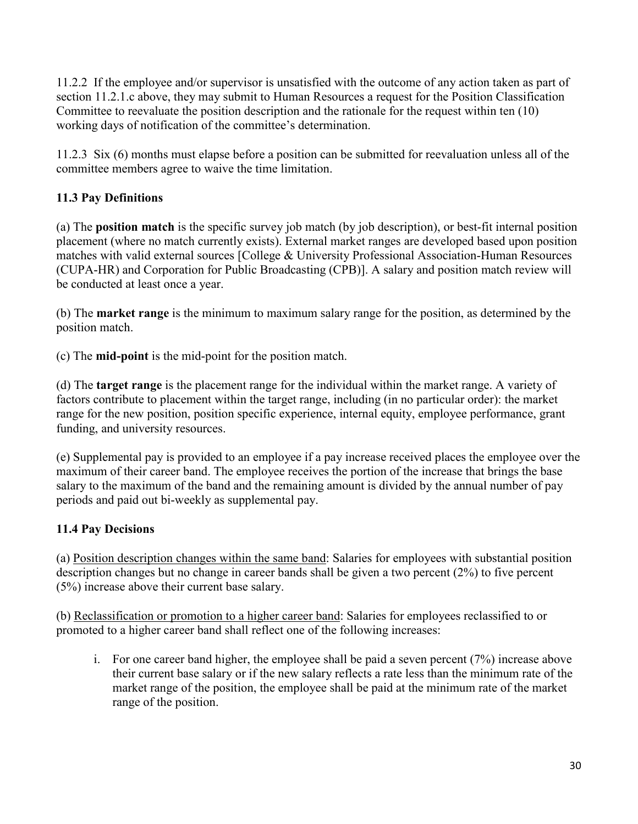11.2.2 If the employee and/or supervisor is unsatisfied with the outcome of any action taken as part of section 11.2.1.c above, they may submit to Human Resources a request for the Position Classification Committee to reevaluate the position description and the rationale for the request within ten (10) working days of notification of the committee's determination.

11.2.3 Six (6) months must elapse before a position can be submitted for reevaluation unless all of the committee members agree to waive the time limitation.

# **11.3 Pay Definitions**

(a) The **position match** is the specific survey job match (by job description), or best-fit internal position placement (where no match currently exists). External market ranges are developed based upon position matches with valid external sources [College & University Professional Association-Human Resources (CUPA-HR) and Corporation for Public Broadcasting (CPB)]. A salary and position match review will be conducted at least once a year.

(b) The **market range** is the minimum to maximum salary range for the position, as determined by the position match.

(c) The **mid-point** is the mid-point for the position match.

(d) The **target range** is the placement range for the individual within the market range. A variety of factors contribute to placement within the target range, including (in no particular order): the market range for the new position, position specific experience, internal equity, employee performance, grant funding, and university resources.

(e) Supplemental pay is provided to an employee if a pay increase received places the employee over the maximum of their career band. The employee receives the portion of the increase that brings the base salary to the maximum of the band and the remaining amount is divided by the annual number of pay periods and paid out bi-weekly as supplemental pay.

# **11.4 Pay Decisions**

(a) Position description changes within the same band: Salaries for employees with substantial position description changes but no change in career bands shall be given a two percent (2%) to five percent (5%) increase above their current base salary.

(b) Reclassification or promotion to a higher career band: Salaries for employees reclassified to or promoted to a higher career band shall reflect one of the following increases:

i. For one career band higher, the employee shall be paid a seven percent (7%) increase above their current base salary or if the new salary reflects a rate less than the minimum rate of the market range of the position, the employee shall be paid at the minimum rate of the market range of the position.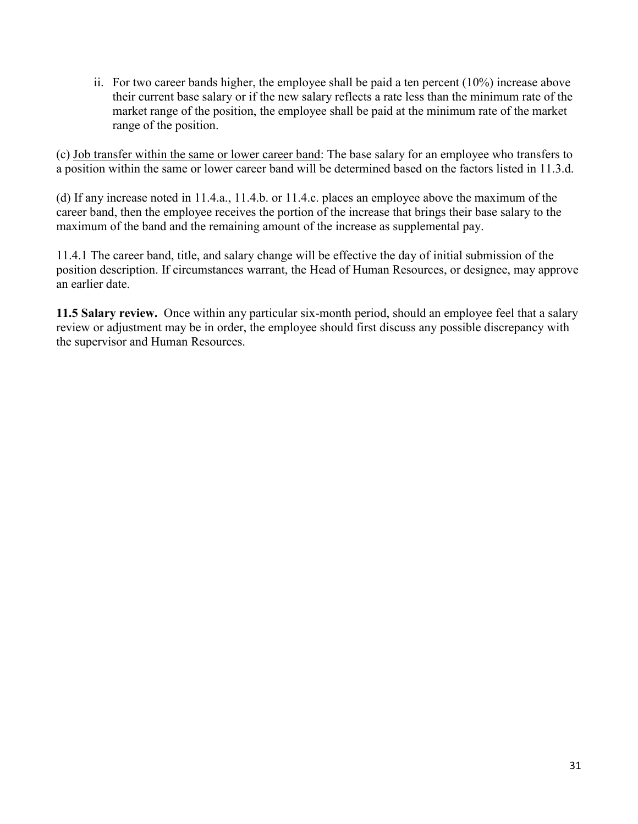ii. For two career bands higher, the employee shall be paid a ten percent (10%) increase above their current base salary or if the new salary reflects a rate less than the minimum rate of the market range of the position, the employee shall be paid at the minimum rate of the market range of the position.

(c) Job transfer within the same or lower career band: The base salary for an employee who transfers to a position within the same or lower career band will be determined based on the factors listed in 11.3.d.

(d) If any increase noted in 11.4.a., 11.4.b. or 11.4.c. places an employee above the maximum of the career band, then the employee receives the portion of the increase that brings their base salary to the maximum of the band and the remaining amount of the increase as supplemental pay.

11.4.1 The career band, title, and salary change will be effective the day of initial submission of the position description. If circumstances warrant, the Head of Human Resources, or designee, may approve an earlier date.

**11.5 Salary review.** Once within any particular six-month period, should an employee feel that a salary review or adjustment may be in order, the employee should first discuss any possible discrepancy with the supervisor and Human Resources.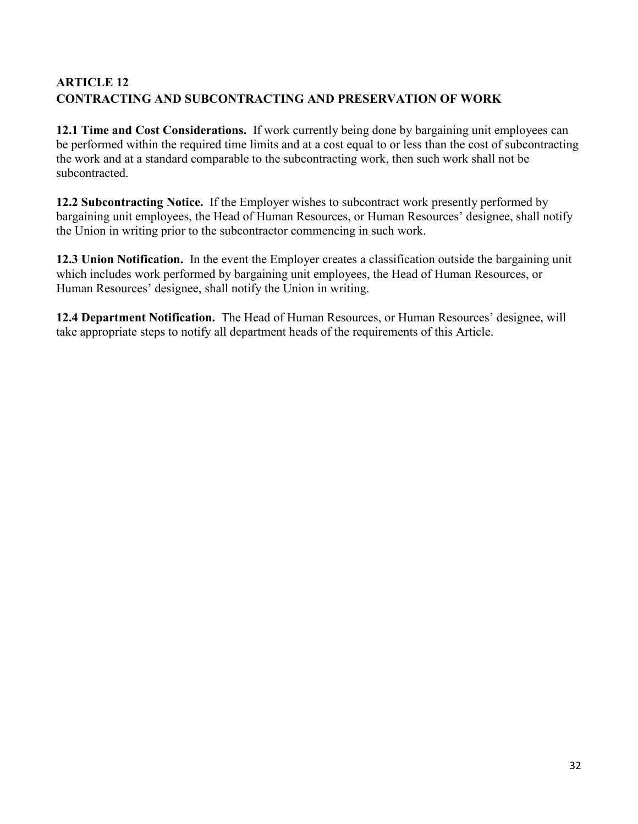# <span id="page-31-0"></span>**ARTICLE 12 CONTRACTING AND SUBCONTRACTING AND PRESERVATION OF WORK**

**12.1 Time and Cost Considerations.** If work currently being done by bargaining unit employees can be performed within the required time limits and at a cost equal to or less than the cost of subcontracting the work and at a standard comparable to the subcontracting work, then such work shall not be subcontracted.

**12.2 Subcontracting Notice.** If the Employer wishes to subcontract work presently performed by bargaining unit employees, the Head of Human Resources, or Human Resources' designee, shall notify the Union in writing prior to the subcontractor commencing in such work.

**12.3 Union Notification.** In the event the Employer creates a classification outside the bargaining unit which includes work performed by bargaining unit employees, the Head of Human Resources, or Human Resources' designee, shall notify the Union in writing.

**12.4 Department Notification.** The Head of Human Resources, or Human Resources' designee, will take appropriate steps to notify all department heads of the requirements of this Article.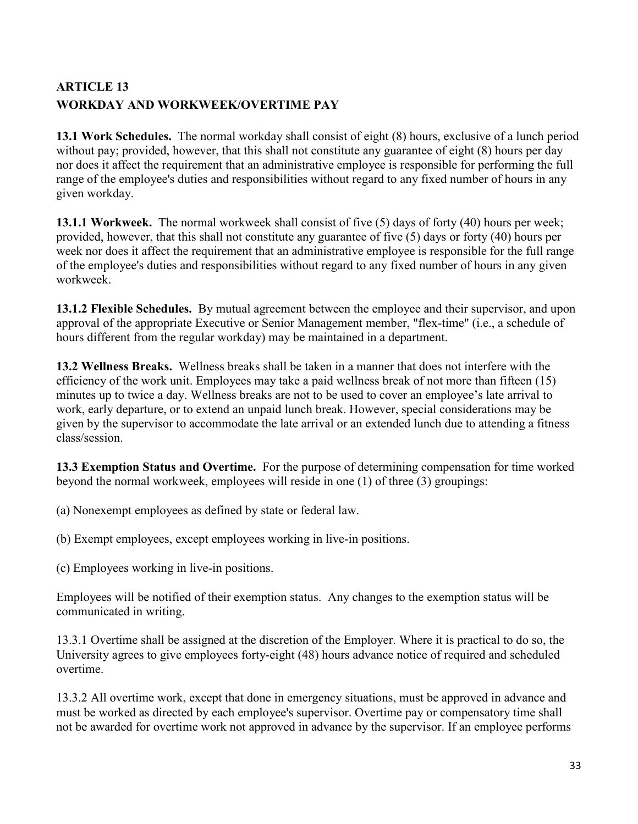# <span id="page-32-0"></span>**ARTICLE 13 WORKDAY AND WORKWEEK/OVERTIME PAY**

**13.1 Work Schedules.** The normal workday shall consist of eight (8) hours, exclusive of a lunch period without pay; provided, however, that this shall not constitute any guarantee of eight (8) hours per day nor does it affect the requirement that an administrative employee is responsible for performing the full range of the employee's duties and responsibilities without regard to any fixed number of hours in any given workday.

**13.1.1 Workweek.** The normal workweek shall consist of five (5) days of forty (40) hours per week; provided, however, that this shall not constitute any guarantee of five (5) days or forty (40) hours per week nor does it affect the requirement that an administrative employee is responsible for the full range of the employee's duties and responsibilities without regard to any fixed number of hours in any given workweek.

**13.1.2 Flexible Schedules.** By mutual agreement between the employee and their supervisor, and upon approval of the appropriate Executive or Senior Management member, "flex-time" (i.e., a schedule of hours different from the regular workday) may be maintained in a department.

**13.2 Wellness Breaks.** Wellness breaks shall be taken in a manner that does not interfere with the efficiency of the work unit. Employees may take a paid wellness break of not more than fifteen (15) minutes up to twice a day. Wellness breaks are not to be used to cover an employee's late arrival to work, early departure, or to extend an unpaid lunch break. However, special considerations may be given by the supervisor to accommodate the late arrival or an extended lunch due to attending a fitness class/session.

**13.3 Exemption Status and Overtime.** For the purpose of determining compensation for time worked beyond the normal workweek, employees will reside in one (1) of three (3) groupings:

(a) Nonexempt employees as defined by state or federal law.

(b) Exempt employees, except employees working in live-in positions.

(c) Employees working in live-in positions.

Employees will be notified of their exemption status. Any changes to the exemption status will be communicated in writing.

13.3.1 Overtime shall be assigned at the discretion of the Employer. Where it is practical to do so, the University agrees to give employees forty-eight (48) hours advance notice of required and scheduled overtime.

13.3.2 All overtime work, except that done in emergency situations, must be approved in advance and must be worked as directed by each employee's supervisor. Overtime pay or compensatory time shall not be awarded for overtime work not approved in advance by the supervisor. If an employee performs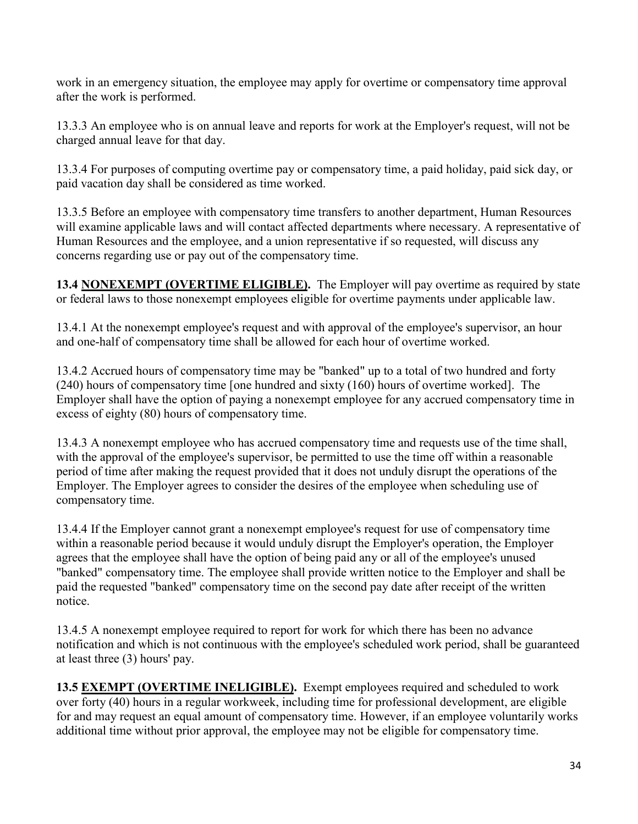work in an emergency situation, the employee may apply for overtime or compensatory time approval after the work is performed.

13.3.3 An employee who is on annual leave and reports for work at the Employer's request, will not be charged annual leave for that day.

13.3.4 For purposes of computing overtime pay or compensatory time, a paid holiday, paid sick day, or paid vacation day shall be considered as time worked.

13.3.5 Before an employee with compensatory time transfers to another department, Human Resources will examine applicable laws and will contact affected departments where necessary. A representative of Human Resources and the employee, and a union representative if so requested, will discuss any concerns regarding use or pay out of the compensatory time.

**13.4 NONEXEMPT (OVERTIME ELIGIBLE).** The Employer will pay overtime as required by state or federal laws to those nonexempt employees eligible for overtime payments under applicable law.

13.4.1 At the nonexempt employee's request and with approval of the employee's supervisor, an hour and one-half of compensatory time shall be allowed for each hour of overtime worked.

13.4.2 Accrued hours of compensatory time may be "banked" up to a total of two hundred and forty (240) hours of compensatory time [one hundred and sixty (160) hours of overtime worked]. The Employer shall have the option of paying a nonexempt employee for any accrued compensatory time in excess of eighty (80) hours of compensatory time.

13.4.3 A nonexempt employee who has accrued compensatory time and requests use of the time shall, with the approval of the employee's supervisor, be permitted to use the time off within a reasonable period of time after making the request provided that it does not unduly disrupt the operations of the Employer. The Employer agrees to consider the desires of the employee when scheduling use of compensatory time.

13.4.4 If the Employer cannot grant a nonexempt employee's request for use of compensatory time within a reasonable period because it would unduly disrupt the Employer's operation, the Employer agrees that the employee shall have the option of being paid any or all of the employee's unused "banked" compensatory time. The employee shall provide written notice to the Employer and shall be paid the requested "banked" compensatory time on the second pay date after receipt of the written notice.

13.4.5 A nonexempt employee required to report for work for which there has been no advance notification and which is not continuous with the employee's scheduled work period, shall be guaranteed at least three (3) hours' pay.

**13.5 EXEMPT (OVERTIME INELIGIBLE).** Exempt employees required and scheduled to work over forty (40) hours in a regular workweek, including time for professional development, are eligible for and may request an equal amount of compensatory time. However, if an employee voluntarily works additional time without prior approval, the employee may not be eligible for compensatory time.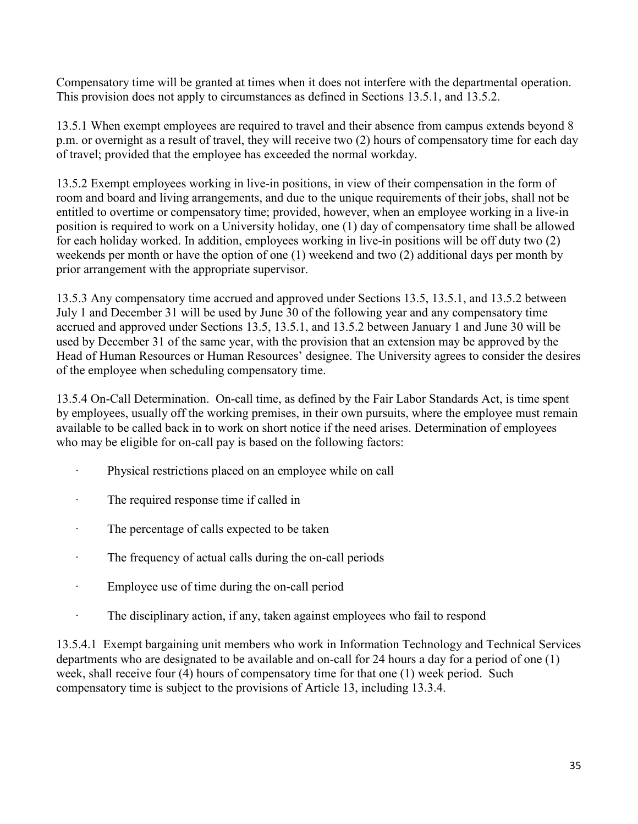Compensatory time will be granted at times when it does not interfere with the departmental operation. This provision does not apply to circumstances as defined in Sections 13.5.1, and 13.5.2.

13.5.1 When exempt employees are required to travel and their absence from campus extends beyond 8 p.m. or overnight as a result of travel, they will receive two (2) hours of compensatory time for each day of travel; provided that the employee has exceeded the normal workday.

13.5.2 Exempt employees working in live-in positions, in view of their compensation in the form of room and board and living arrangements, and due to the unique requirements of their jobs, shall not be entitled to overtime or compensatory time; provided, however, when an employee working in a live-in position is required to work on a University holiday, one (1) day of compensatory time shall be allowed for each holiday worked. In addition, employees working in live-in positions will be off duty two (2) weekends per month or have the option of one (1) weekend and two (2) additional days per month by prior arrangement with the appropriate supervisor.

13.5.3 Any compensatory time accrued and approved under Sections 13.5, 13.5.1, and 13.5.2 between July 1 and December 31 will be used by June 30 of the following year and any compensatory time accrued and approved under Sections 13.5, 13.5.1, and 13.5.2 between January 1 and June 30 will be used by December 31 of the same year, with the provision that an extension may be approved by the Head of Human Resources or Human Resources' designee. The University agrees to consider the desires of the employee when scheduling compensatory time.

13.5.4 On-Call Determination. On-call time, as defined by the Fair Labor Standards Act, is time spent by employees, usually off the working premises, in their own pursuits, where the employee must remain available to be called back in to work on short notice if the need arises. Determination of employees who may be eligible for on-call pay is based on the following factors:

- Physical restrictions placed on an employee while on call
- · The required response time if called in
- · The percentage of calls expected to be taken
- · The frequency of actual calls during the on-call periods
- · Employee use of time during the on-call period
- The disciplinary action, if any, taken against employees who fail to respond

13.5.4.1 Exempt bargaining unit members who work in Information Technology and Technical Services departments who are designated to be available and on-call for 24 hours a day for a period of one (1) week, shall receive four (4) hours of compensatory time for that one (1) week period. Such compensatory time is subject to the provisions of Article 13, including 13.3.4.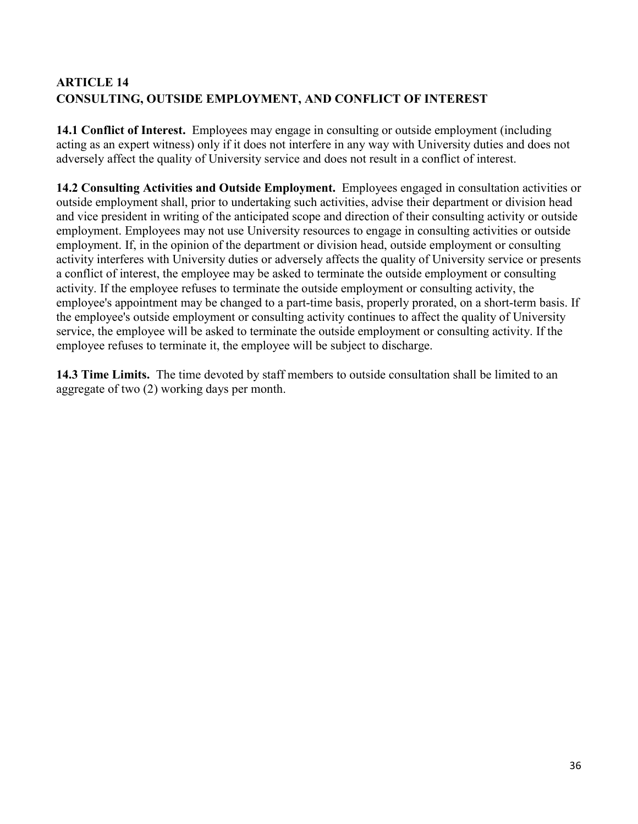# <span id="page-35-0"></span>**ARTICLE 14 CONSULTING, OUTSIDE EMPLOYMENT, AND CONFLICT OF INTEREST**

**14.1 Conflict of Interest.** Employees may engage in consulting or outside employment (including acting as an expert witness) only if it does not interfere in any way with University duties and does not adversely affect the quality of University service and does not result in a conflict of interest.

**14.2 Consulting Activities and Outside Employment.** Employees engaged in consultation activities or outside employment shall, prior to undertaking such activities, advise their department or division head and vice president in writing of the anticipated scope and direction of their consulting activity or outside employment. Employees may not use University resources to engage in consulting activities or outside employment. If, in the opinion of the department or division head, outside employment or consulting activity interferes with University duties or adversely affects the quality of University service or presents a conflict of interest, the employee may be asked to terminate the outside employment or consulting activity. If the employee refuses to terminate the outside employment or consulting activity, the employee's appointment may be changed to a part-time basis, properly prorated, on a short-term basis. If the employee's outside employment or consulting activity continues to affect the quality of University service, the employee will be asked to terminate the outside employment or consulting activity. If the employee refuses to terminate it, the employee will be subject to discharge.

**14.3 Time Limits.** The time devoted by staff members to outside consultation shall be limited to an aggregate of two (2) working days per month.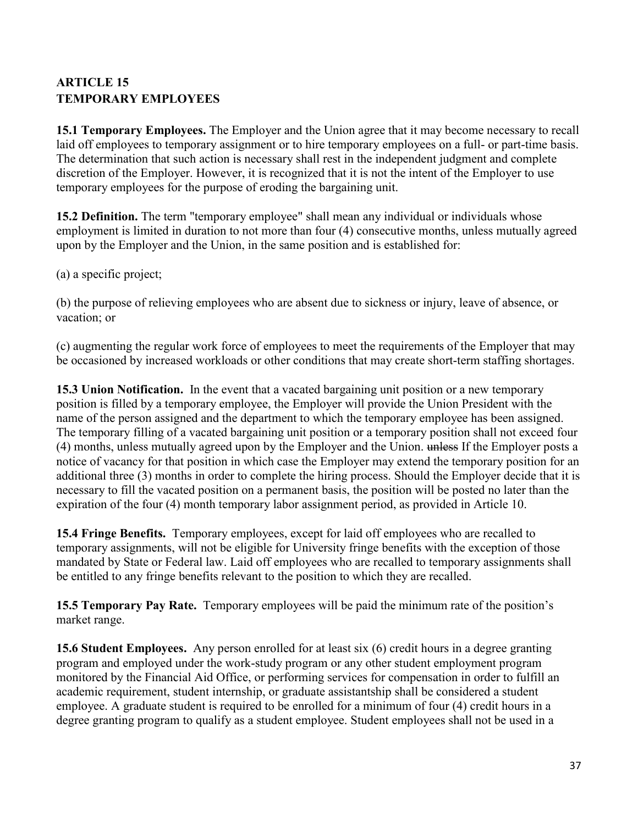# <span id="page-36-0"></span>**ARTICLE 15 TEMPORARY EMPLOYEES**

**15.1 Temporary Employees.** The Employer and the Union agree that it may become necessary to recall laid off employees to temporary assignment or to hire temporary employees on a full- or part-time basis. The determination that such action is necessary shall rest in the independent judgment and complete discretion of the Employer. However, it is recognized that it is not the intent of the Employer to use temporary employees for the purpose of eroding the bargaining unit.

**15.2 Definition.** The term "temporary employee" shall mean any individual or individuals whose employment is limited in duration to not more than four (4) consecutive months, unless mutually agreed upon by the Employer and the Union, in the same position and is established for:

(a) a specific project;

(b) the purpose of relieving employees who are absent due to sickness or injury, leave of absence, or vacation; or

(c) augmenting the regular work force of employees to meet the requirements of the Employer that may be occasioned by increased workloads or other conditions that may create short-term staffing shortages.

**15.3 Union Notification.** In the event that a vacated bargaining unit position or a new temporary position is filled by a temporary employee, the Employer will provide the Union President with the name of the person assigned and the department to which the temporary employee has been assigned. The temporary filling of a vacated bargaining unit position or a temporary position shall not exceed four (4) months, unless mutually agreed upon by the Employer and the Union. unless If the Employer posts a notice of vacancy for that position in which case the Employer may extend the temporary position for an additional three (3) months in order to complete the hiring process. Should the Employer decide that it is necessary to fill the vacated position on a permanent basis, the position will be posted no later than the expiration of the four (4) month temporary labor assignment period, as provided in Article 10.

**15.4 Fringe Benefits.** Temporary employees, except for laid off employees who are recalled to temporary assignments, will not be eligible for University fringe benefits with the exception of those mandated by State or Federal law. Laid off employees who are recalled to temporary assignments shall be entitled to any fringe benefits relevant to the position to which they are recalled.

**15.5 Temporary Pay Rate.** Temporary employees will be paid the minimum rate of the position's market range.

**15.6 Student Employees.** Any person enrolled for at least six (6) credit hours in a degree granting program and employed under the work-study program or any other student employment program monitored by the Financial Aid Office, or performing services for compensation in order to fulfill an academic requirement, student internship, or graduate assistantship shall be considered a student employee. A graduate student is required to be enrolled for a minimum of four (4) credit hours in a degree granting program to qualify as a student employee. Student employees shall not be used in a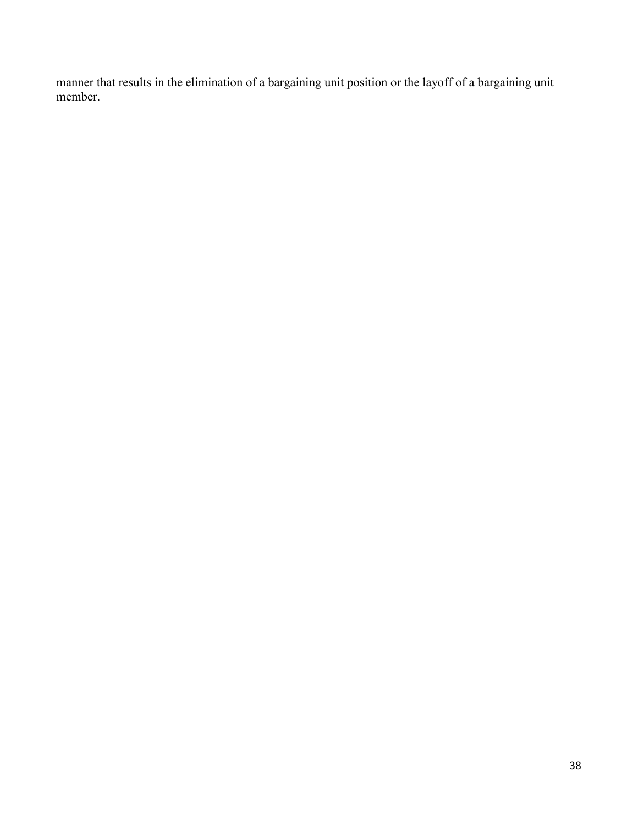manner that results in the elimination of a bargaining unit position or the layoff of a bargaining unit member.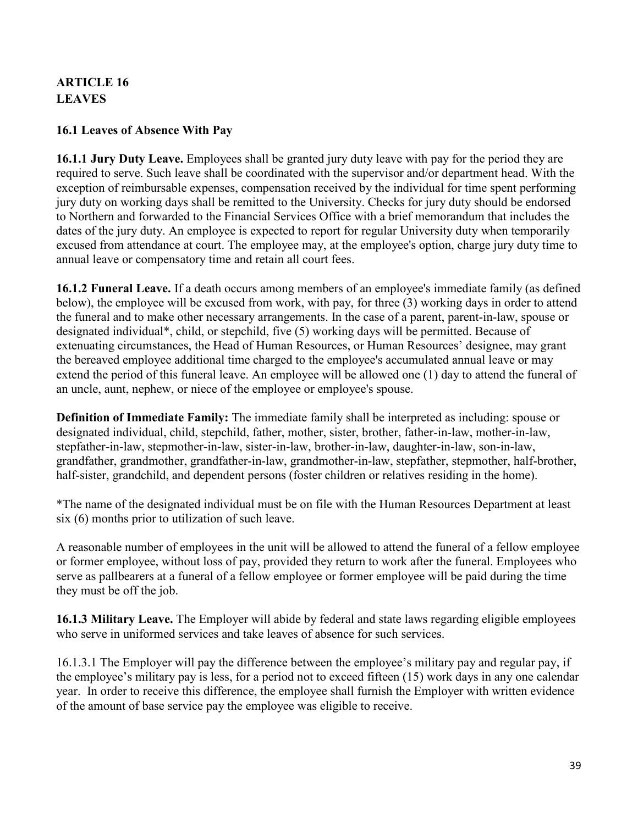# <span id="page-38-0"></span>**ARTICLE 16 LEAVES**

### **16.1 Leaves of Absence With Pay**

**16.1.1 Jury Duty Leave.** Employees shall be granted jury duty leave with pay for the period they are required to serve. Such leave shall be coordinated with the supervisor and/or department head. With the exception of reimbursable expenses, compensation received by the individual for time spent performing jury duty on working days shall be remitted to the University. Checks for jury duty should be endorsed to Northern and forwarded to the Financial Services Office with a brief memorandum that includes the dates of the jury duty. An employee is expected to report for regular University duty when temporarily excused from attendance at court. The employee may, at the employee's option, charge jury duty time to annual leave or compensatory time and retain all court fees.

**16.1.2 Funeral Leave.** If a death occurs among members of an employee's immediate family (as defined below), the employee will be excused from work, with pay, for three (3) working days in order to attend the funeral and to make other necessary arrangements. In the case of a parent, parent-in-law, spouse or designated individual\*, child, or stepchild, five (5) working days will be permitted. Because of extenuating circumstances, the Head of Human Resources, or Human Resources' designee, may grant the bereaved employee additional time charged to the employee's accumulated annual leave or may extend the period of this funeral leave. An employee will be allowed one (1) day to attend the funeral of an uncle, aunt, nephew, or niece of the employee or employee's spouse.

**Definition of Immediate Family:** The immediate family shall be interpreted as including: spouse or designated individual, child, stepchild, father, mother, sister, brother, father-in-law, mother-in-law, stepfather-in-law, stepmother-in-law, sister-in-law, brother-in-law, daughter-in-law, son-in-law, grandfather, grandmother, grandfather-in-law, grandmother-in-law, stepfather, stepmother, half-brother, half-sister, grandchild, and dependent persons (foster children or relatives residing in the home).

\*The name of the designated individual must be on file with the Human Resources Department at least six (6) months prior to utilization of such leave.

A reasonable number of employees in the unit will be allowed to attend the funeral of a fellow employee or former employee, without loss of pay, provided they return to work after the funeral. Employees who serve as pallbearers at a funeral of a fellow employee or former employee will be paid during the time they must be off the job.

**16.1.3 Military Leave.** The Employer will abide by federal and state laws regarding eligible employees who serve in uniformed services and take leaves of absence for such services.

16.1.3.1 The Employer will pay the difference between the employee's military pay and regular pay, if the employee's military pay is less, for a period not to exceed fifteen (15) work days in any one calendar year. In order to receive this difference, the employee shall furnish the Employer with written evidence of the amount of base service pay the employee was eligible to receive.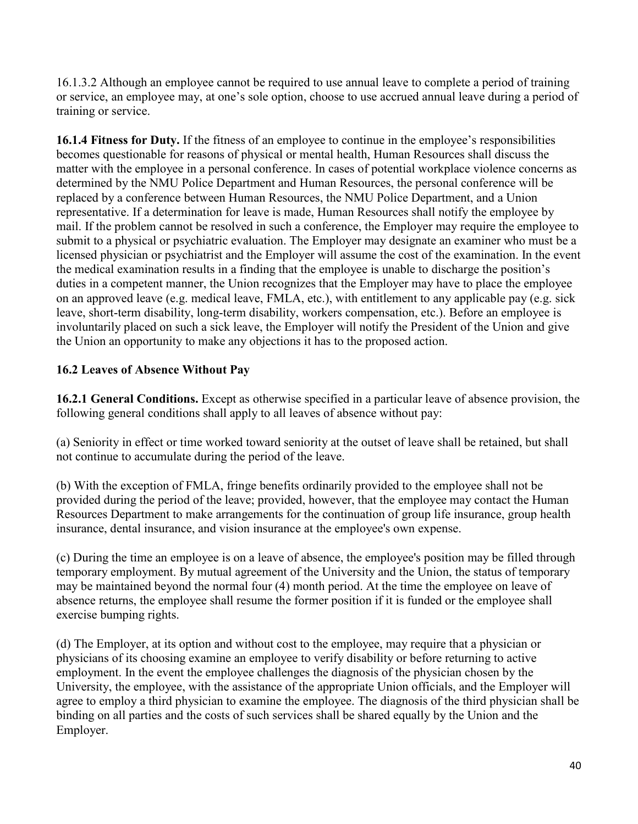16.1.3.2 Although an employee cannot be required to use annual leave to complete a period of training or service, an employee may, at one's sole option, choose to use accrued annual leave during a period of training or service.

**16.1.4 Fitness for Duty.** If the fitness of an employee to continue in the employee's responsibilities becomes questionable for reasons of physical or mental health, Human Resources shall discuss the matter with the employee in a personal conference. In cases of potential workplace violence concerns as determined by the NMU Police Department and Human Resources, the personal conference will be replaced by a conference between Human Resources, the NMU Police Department, and a Union representative. If a determination for leave is made, Human Resources shall notify the employee by mail. If the problem cannot be resolved in such a conference, the Employer may require the employee to submit to a physical or psychiatric evaluation. The Employer may designate an examiner who must be a licensed physician or psychiatrist and the Employer will assume the cost of the examination. In the event the medical examination results in a finding that the employee is unable to discharge the position's duties in a competent manner, the Union recognizes that the Employer may have to place the employee on an approved leave (e.g. medical leave, FMLA, etc.), with entitlement to any applicable pay (e.g. sick leave, short-term disability, long-term disability, workers compensation, etc.). Before an employee is involuntarily placed on such a sick leave, the Employer will notify the President of the Union and give the Union an opportunity to make any objections it has to the proposed action.

# **16.2 Leaves of Absence Without Pay**

**16.2.1 General Conditions.** Except as otherwise specified in a particular leave of absence provision, the following general conditions shall apply to all leaves of absence without pay:

(a) Seniority in effect or time worked toward seniority at the outset of leave shall be retained, but shall not continue to accumulate during the period of the leave.

(b) With the exception of FMLA, fringe benefits ordinarily provided to the employee shall not be provided during the period of the leave; provided, however, that the employee may contact the Human Resources Department to make arrangements for the continuation of group life insurance, group health insurance, dental insurance, and vision insurance at the employee's own expense.

(c) During the time an employee is on a leave of absence, the employee's position may be filled through temporary employment. By mutual agreement of the University and the Union, the status of temporary may be maintained beyond the normal four (4) month period. At the time the employee on leave of absence returns, the employee shall resume the former position if it is funded or the employee shall exercise bumping rights.

(d) The Employer, at its option and without cost to the employee, may require that a physician or physicians of its choosing examine an employee to verify disability or before returning to active employment. In the event the employee challenges the diagnosis of the physician chosen by the University, the employee, with the assistance of the appropriate Union officials, and the Employer will agree to employ a third physician to examine the employee. The diagnosis of the third physician shall be binding on all parties and the costs of such services shall be shared equally by the Union and the Employer.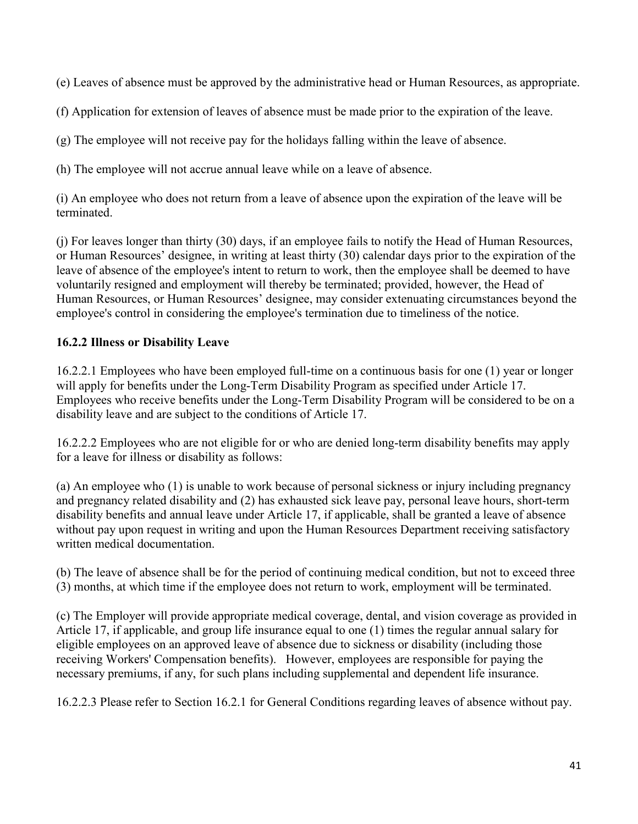(e) Leaves of absence must be approved by the administrative head or Human Resources, as appropriate.

(f) Application for extension of leaves of absence must be made prior to the expiration of the leave.

(g) The employee will not receive pay for the holidays falling within the leave of absence.

(h) The employee will not accrue annual leave while on a leave of absence.

(i) An employee who does not return from a leave of absence upon the expiration of the leave will be terminated.

(j) For leaves longer than thirty (30) days, if an employee fails to notify the Head of Human Resources, or Human Resources' designee, in writing at least thirty (30) calendar days prior to the expiration of the leave of absence of the employee's intent to return to work, then the employee shall be deemed to have voluntarily resigned and employment will thereby be terminated; provided, however, the Head of Human Resources, or Human Resources' designee, may consider extenuating circumstances beyond the employee's control in considering the employee's termination due to timeliness of the notice.

## **16.2.2 Illness or Disability Leave**

16.2.2.1 Employees who have been employed full-time on a continuous basis for one (1) year or longer will apply for benefits under the Long-Term Disability Program as specified under Article 17. Employees who receive benefits under the Long-Term Disability Program will be considered to be on a disability leave and are subject to the conditions of Article 17.

16.2.2.2 Employees who are not eligible for or who are denied long-term disability benefits may apply for a leave for illness or disability as follows:

(a) An employee who (1) is unable to work because of personal sickness or injury including pregnancy and pregnancy related disability and (2) has exhausted sick leave pay, personal leave hours, short-term disability benefits and annual leave under Article 17, if applicable, shall be granted a leave of absence without pay upon request in writing and upon the Human Resources Department receiving satisfactory written medical documentation.

(b) The leave of absence shall be for the period of continuing medical condition, but not to exceed three (3) months, at which time if the employee does not return to work, employment will be terminated.

(c) The Employer will provide appropriate medical coverage, dental, and vision coverage as provided in Article 17, if applicable, and group life insurance equal to one (1) times the regular annual salary for eligible employees on an approved leave of absence due to sickness or disability (including those receiving Workers' Compensation benefits). However, employees are responsible for paying the necessary premiums, if any, for such plans including supplemental and dependent life insurance.

16.2.2.3 Please refer to Section 16.2.1 for General Conditions regarding leaves of absence without pay.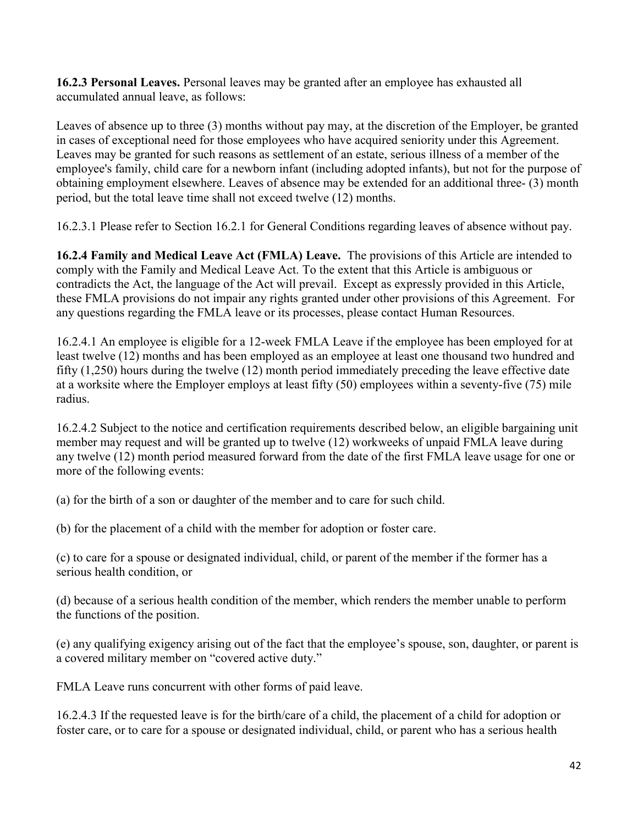**16.2.3 Personal Leaves.** Personal leaves may be granted after an employee has exhausted all accumulated annual leave, as follows:

Leaves of absence up to three (3) months without pay may, at the discretion of the Employer, be granted in cases of exceptional need for those employees who have acquired seniority under this Agreement. Leaves may be granted for such reasons as settlement of an estate, serious illness of a member of the employee's family, child care for a newborn infant (including adopted infants), but not for the purpose of obtaining employment elsewhere. Leaves of absence may be extended for an additional three- (3) month period, but the total leave time shall not exceed twelve (12) months.

16.2.3.1 Please refer to Section 16.2.1 for General Conditions regarding leaves of absence without pay.

**16.2.4 Family and Medical Leave Act (FMLA) Leave.** The provisions of this Article are intended to comply with the Family and Medical Leave Act. To the extent that this Article is ambiguous or contradicts the Act, the language of the Act will prevail. Except as expressly provided in this Article, these FMLA provisions do not impair any rights granted under other provisions of this Agreement. For any questions regarding the FMLA leave or its processes, please contact Human Resources.

16.2.4.1 An employee is eligible for a 12-week FMLA Leave if the employee has been employed for at least twelve (12) months and has been employed as an employee at least one thousand two hundred and fifty (1,250) hours during the twelve (12) month period immediately preceding the leave effective date at a worksite where the Employer employs at least fifty (50) employees within a seventy-five (75) mile radius.

16.2.4.2 Subject to the notice and certification requirements described below, an eligible bargaining unit member may request and will be granted up to twelve (12) workweeks of unpaid FMLA leave during any twelve (12) month period measured forward from the date of the first FMLA leave usage for one or more of the following events:

(a) for the birth of a son or daughter of the member and to care for such child.

(b) for the placement of a child with the member for adoption or foster care.

(c) to care for a spouse or designated individual, child, or parent of the member if the former has a serious health condition, or

(d) because of a serious health condition of the member, which renders the member unable to perform the functions of the position.

(e) any qualifying exigency arising out of the fact that the employee's spouse, son, daughter, or parent is a covered military member on "covered active duty."

FMLA Leave runs concurrent with other forms of paid leave.

16.2.4.3 If the requested leave is for the birth/care of a child, the placement of a child for adoption or foster care, or to care for a spouse or designated individual, child, or parent who has a serious health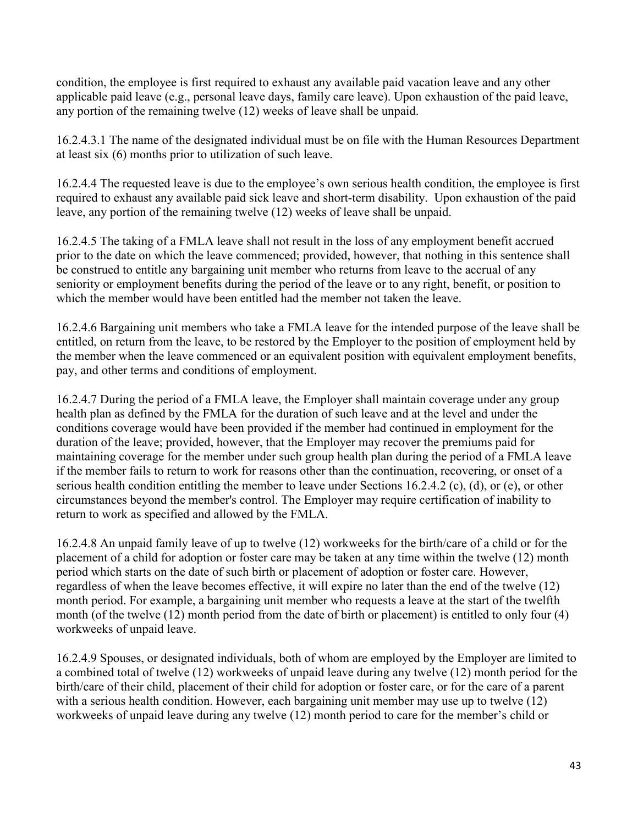condition, the employee is first required to exhaust any available paid vacation leave and any other applicable paid leave (e.g., personal leave days, family care leave). Upon exhaustion of the paid leave, any portion of the remaining twelve (12) weeks of leave shall be unpaid.

16.2.4.3.1 The name of the designated individual must be on file with the Human Resources Department at least six (6) months prior to utilization of such leave.

16.2.4.4 The requested leave is due to the employee's own serious health condition, the employee is first required to exhaust any available paid sick leave and short-term disability. Upon exhaustion of the paid leave, any portion of the remaining twelve (12) weeks of leave shall be unpaid.

16.2.4.5 The taking of a FMLA leave shall not result in the loss of any employment benefit accrued prior to the date on which the leave commenced; provided, however, that nothing in this sentence shall be construed to entitle any bargaining unit member who returns from leave to the accrual of any seniority or employment benefits during the period of the leave or to any right, benefit, or position to which the member would have been entitled had the member not taken the leave.

16.2.4.6 Bargaining unit members who take a FMLA leave for the intended purpose of the leave shall be entitled, on return from the leave, to be restored by the Employer to the position of employment held by the member when the leave commenced or an equivalent position with equivalent employment benefits, pay, and other terms and conditions of employment.

16.2.4.7 During the period of a FMLA leave, the Employer shall maintain coverage under any group health plan as defined by the FMLA for the duration of such leave and at the level and under the conditions coverage would have been provided if the member had continued in employment for the duration of the leave; provided, however, that the Employer may recover the premiums paid for maintaining coverage for the member under such group health plan during the period of a FMLA leave if the member fails to return to work for reasons other than the continuation, recovering, or onset of a serious health condition entitling the member to leave under Sections 16.2.4.2 (c), (d), or (e), or other circumstances beyond the member's control. The Employer may require certification of inability to return to work as specified and allowed by the FMLA.

16.2.4.8 An unpaid family leave of up to twelve (12) workweeks for the birth/care of a child or for the placement of a child for adoption or foster care may be taken at any time within the twelve (12) month period which starts on the date of such birth or placement of adoption or foster care. However, regardless of when the leave becomes effective, it will expire no later than the end of the twelve (12) month period. For example, a bargaining unit member who requests a leave at the start of the twelfth month (of the twelve (12) month period from the date of birth or placement) is entitled to only four (4) workweeks of unpaid leave.

16.2.4.9 Spouses, or designated individuals, both of whom are employed by the Employer are limited to a combined total of twelve (12) workweeks of unpaid leave during any twelve (12) month period for the birth/care of their child, placement of their child for adoption or foster care, or for the care of a parent with a serious health condition. However, each bargaining unit member may use up to twelve (12) workweeks of unpaid leave during any twelve (12) month period to care for the member's child or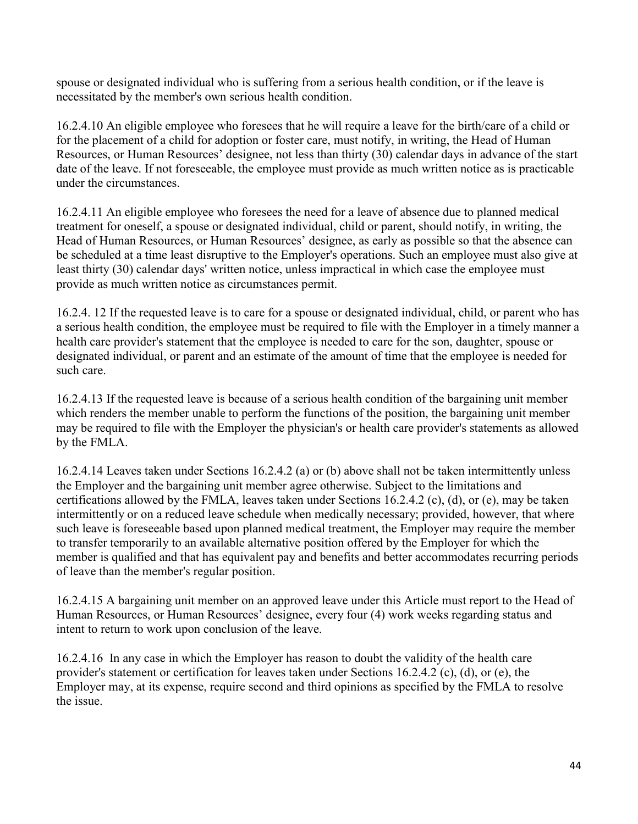spouse or designated individual who is suffering from a serious health condition, or if the leave is necessitated by the member's own serious health condition.

16.2.4.10 An eligible employee who foresees that he will require a leave for the birth/care of a child or for the placement of a child for adoption or foster care, must notify, in writing, the Head of Human Resources, or Human Resources' designee, not less than thirty (30) calendar days in advance of the start date of the leave. If not foreseeable, the employee must provide as much written notice as is practicable under the circumstances.

16.2.4.11 An eligible employee who foresees the need for a leave of absence due to planned medical treatment for oneself, a spouse or designated individual, child or parent, should notify, in writing, the Head of Human Resources, or Human Resources' designee, as early as possible so that the absence can be scheduled at a time least disruptive to the Employer's operations. Such an employee must also give at least thirty (30) calendar days' written notice, unless impractical in which case the employee must provide as much written notice as circumstances permit.

16.2.4. 12 If the requested leave is to care for a spouse or designated individual, child, or parent who has a serious health condition, the employee must be required to file with the Employer in a timely manner a health care provider's statement that the employee is needed to care for the son, daughter, spouse or designated individual, or parent and an estimate of the amount of time that the employee is needed for such care.

16.2.4.13 If the requested leave is because of a serious health condition of the bargaining unit member which renders the member unable to perform the functions of the position, the bargaining unit member may be required to file with the Employer the physician's or health care provider's statements as allowed by the FMLA.

16.2.4.14 Leaves taken under Sections 16.2.4.2 (a) or (b) above shall not be taken intermittently unless the Employer and the bargaining unit member agree otherwise. Subject to the limitations and certifications allowed by the FMLA, leaves taken under Sections 16.2.4.2 (c), (d), or (e), may be taken intermittently or on a reduced leave schedule when medically necessary; provided, however, that where such leave is foreseeable based upon planned medical treatment, the Employer may require the member to transfer temporarily to an available alternative position offered by the Employer for which the member is qualified and that has equivalent pay and benefits and better accommodates recurring periods of leave than the member's regular position.

16.2.4.15 A bargaining unit member on an approved leave under this Article must report to the Head of Human Resources, or Human Resources' designee, every four (4) work weeks regarding status and intent to return to work upon conclusion of the leave.

16.2.4.16 In any case in which the Employer has reason to doubt the validity of the health care provider's statement or certification for leaves taken under Sections 16.2.4.2 (c), (d), or (e), the Employer may, at its expense, require second and third opinions as specified by the FMLA to resolve the issue.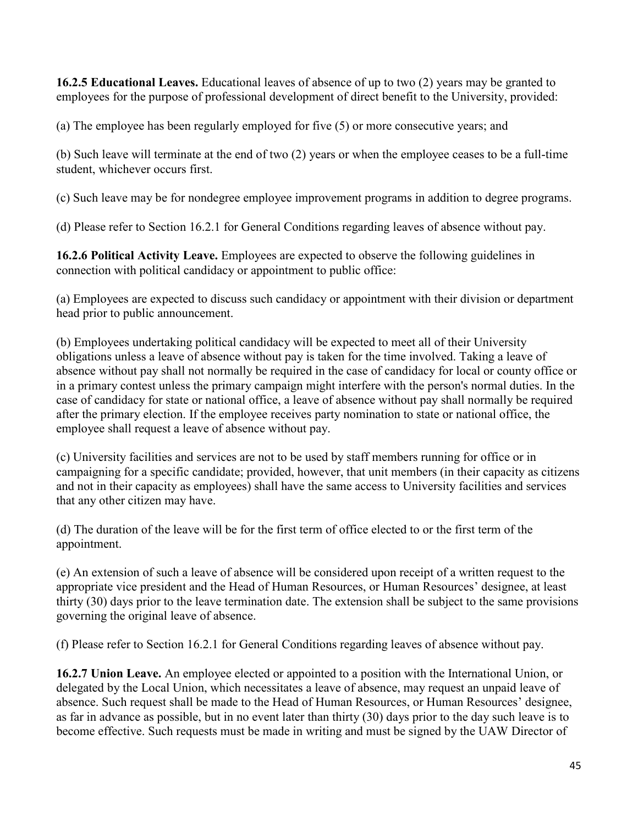**16.2.5 Educational Leaves.** Educational leaves of absence of up to two (2) years may be granted to employees for the purpose of professional development of direct benefit to the University, provided:

(a) The employee has been regularly employed for five (5) or more consecutive years; and

(b) Such leave will terminate at the end of two (2) years or when the employee ceases to be a full-time student, whichever occurs first.

(c) Such leave may be for nondegree employee improvement programs in addition to degree programs.

(d) Please refer to Section 16.2.1 for General Conditions regarding leaves of absence without pay.

**16.2.6 Political Activity Leave.** Employees are expected to observe the following guidelines in connection with political candidacy or appointment to public office:

(a) Employees are expected to discuss such candidacy or appointment with their division or department head prior to public announcement.

(b) Employees undertaking political candidacy will be expected to meet all of their University obligations unless a leave of absence without pay is taken for the time involved. Taking a leave of absence without pay shall not normally be required in the case of candidacy for local or county office or in a primary contest unless the primary campaign might interfere with the person's normal duties. In the case of candidacy for state or national office, a leave of absence without pay shall normally be required after the primary election. If the employee receives party nomination to state or national office, the employee shall request a leave of absence without pay.

(c) University facilities and services are not to be used by staff members running for office or in campaigning for a specific candidate; provided, however, that unit members (in their capacity as citizens and not in their capacity as employees) shall have the same access to University facilities and services that any other citizen may have.

(d) The duration of the leave will be for the first term of office elected to or the first term of the appointment.

(e) An extension of such a leave of absence will be considered upon receipt of a written request to the appropriate vice president and the Head of Human Resources, or Human Resources' designee, at least thirty (30) days prior to the leave termination date. The extension shall be subject to the same provisions governing the original leave of absence.

(f) Please refer to Section 16.2.1 for General Conditions regarding leaves of absence without pay.

**16.2.7 Union Leave.** An employee elected or appointed to a position with the International Union, or delegated by the Local Union, which necessitates a leave of absence, may request an unpaid leave of absence. Such request shall be made to the Head of Human Resources, or Human Resources' designee, as far in advance as possible, but in no event later than thirty (30) days prior to the day such leave is to become effective. Such requests must be made in writing and must be signed by the UAW Director of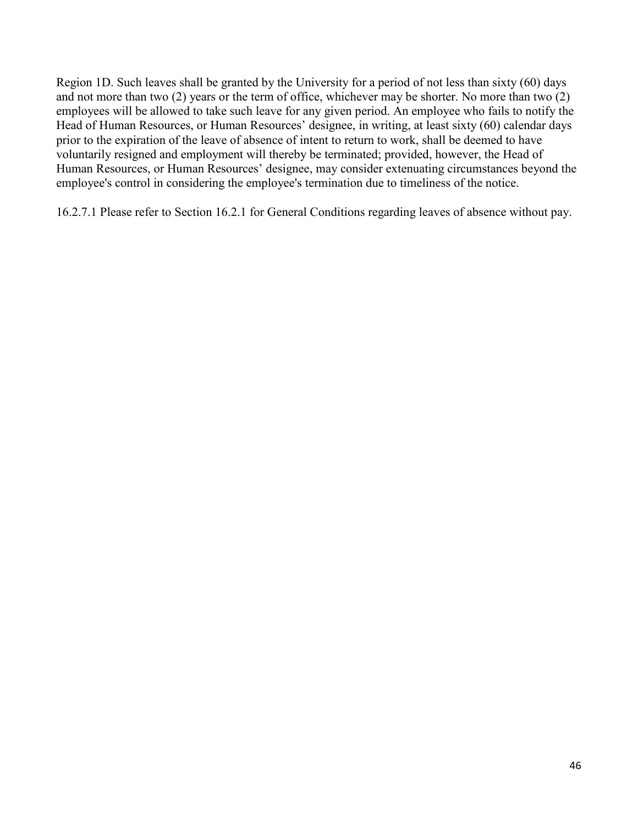Region 1D. Such leaves shall be granted by the University for a period of not less than sixty (60) days and not more than two (2) years or the term of office, whichever may be shorter. No more than two (2) employees will be allowed to take such leave for any given period. An employee who fails to notify the Head of Human Resources, or Human Resources' designee, in writing, at least sixty (60) calendar days prior to the expiration of the leave of absence of intent to return to work, shall be deemed to have voluntarily resigned and employment will thereby be terminated; provided, however, the Head of Human Resources, or Human Resources' designee, may consider extenuating circumstances beyond the employee's control in considering the employee's termination due to timeliness of the notice.

16.2.7.1 Please refer to Section 16.2.1 for General Conditions regarding leaves of absence without pay.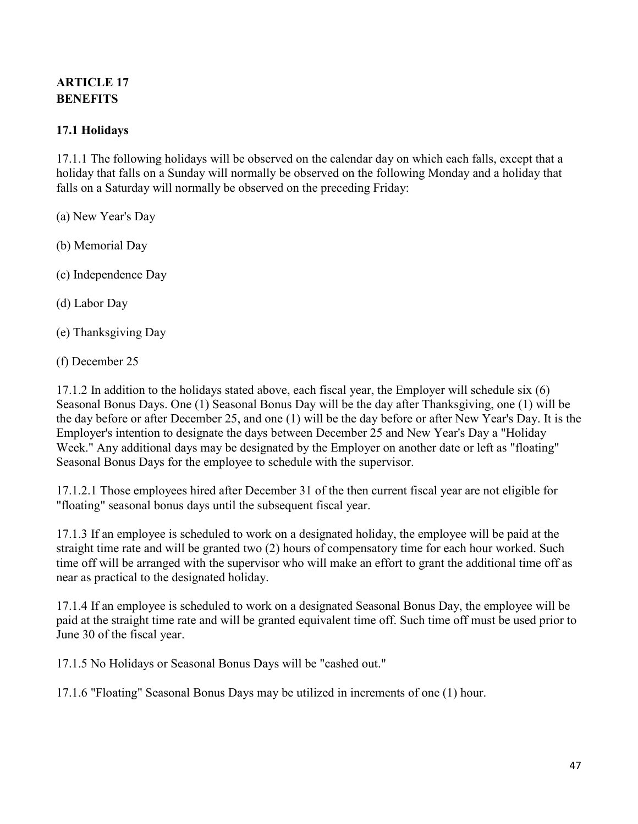# <span id="page-46-0"></span>**ARTICLE 17 BENEFITS**

# **17.1 Holidays**

17.1.1 The following holidays will be observed on the calendar day on which each falls, except that a holiday that falls on a Sunday will normally be observed on the following Monday and a holiday that falls on a Saturday will normally be observed on the preceding Friday:

- (a) New Year's Day
- (b) Memorial Day
- (c) Independence Day
- (d) Labor Day
- (e) Thanksgiving Day
- (f) December 25

17.1.2 In addition to the holidays stated above, each fiscal year, the Employer will schedule six (6) Seasonal Bonus Days. One (1) Seasonal Bonus Day will be the day after Thanksgiving, one (1) will be the day before or after December 25, and one (1) will be the day before or after New Year's Day. It is the Employer's intention to designate the days between December 25 and New Year's Day a "Holiday Week." Any additional days may be designated by the Employer on another date or left as "floating" Seasonal Bonus Days for the employee to schedule with the supervisor.

17.1.2.1 Those employees hired after December 31 of the then current fiscal year are not eligible for "floating" seasonal bonus days until the subsequent fiscal year.

17.1.3 If an employee is scheduled to work on a designated holiday, the employee will be paid at the straight time rate and will be granted two (2) hours of compensatory time for each hour worked. Such time off will be arranged with the supervisor who will make an effort to grant the additional time off as near as practical to the designated holiday.

17.1.4 If an employee is scheduled to work on a designated Seasonal Bonus Day, the employee will be paid at the straight time rate and will be granted equivalent time off. Such time off must be used prior to June 30 of the fiscal year.

17.1.5 No Holidays or Seasonal Bonus Days will be "cashed out."

17.1.6 "Floating" Seasonal Bonus Days may be utilized in increments of one (1) hour.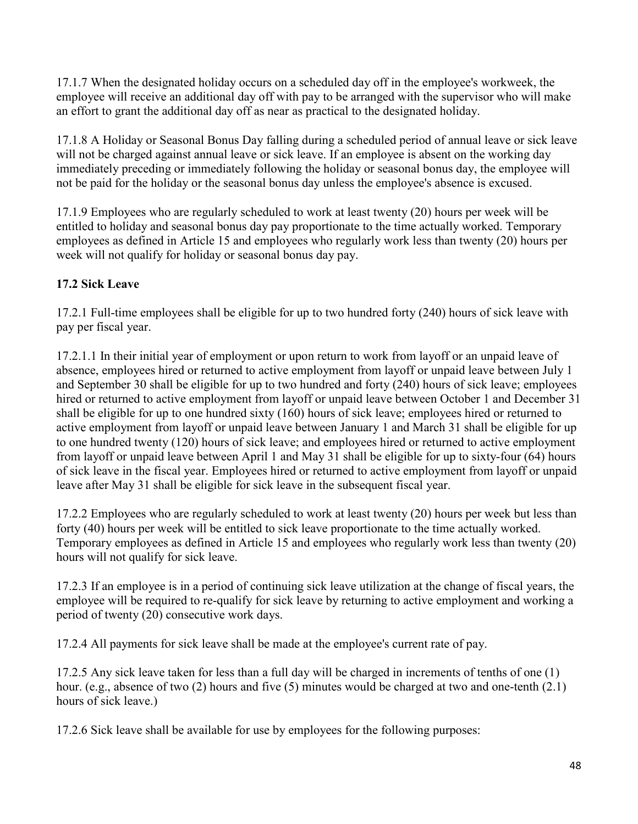17.1.7 When the designated holiday occurs on a scheduled day off in the employee's workweek, the employee will receive an additional day off with pay to be arranged with the supervisor who will make an effort to grant the additional day off as near as practical to the designated holiday.

17.1.8 A Holiday or Seasonal Bonus Day falling during a scheduled period of annual leave or sick leave will not be charged against annual leave or sick leave. If an employee is absent on the working day immediately preceding or immediately following the holiday or seasonal bonus day, the employee will not be paid for the holiday or the seasonal bonus day unless the employee's absence is excused.

17.1.9 Employees who are regularly scheduled to work at least twenty (20) hours per week will be entitled to holiday and seasonal bonus day pay proportionate to the time actually worked. Temporary employees as defined in Article 15 and employees who regularly work less than twenty (20) hours per week will not qualify for holiday or seasonal bonus day pay.

# **17.2 Sick Leave**

17.2.1 Full-time employees shall be eligible for up to two hundred forty (240) hours of sick leave with pay per fiscal year.

17.2.1.1 In their initial year of employment or upon return to work from layoff or an unpaid leave of absence, employees hired or returned to active employment from layoff or unpaid leave between July 1 and September 30 shall be eligible for up to two hundred and forty (240) hours of sick leave; employees hired or returned to active employment from layoff or unpaid leave between October 1 and December 31 shall be eligible for up to one hundred sixty (160) hours of sick leave; employees hired or returned to active employment from layoff or unpaid leave between January 1 and March 31 shall be eligible for up to one hundred twenty (120) hours of sick leave; and employees hired or returned to active employment from layoff or unpaid leave between April 1 and May 31 shall be eligible for up to sixty-four (64) hours of sick leave in the fiscal year. Employees hired or returned to active employment from layoff or unpaid leave after May 31 shall be eligible for sick leave in the subsequent fiscal year.

17.2.2 Employees who are regularly scheduled to work at least twenty (20) hours per week but less than forty (40) hours per week will be entitled to sick leave proportionate to the time actually worked. Temporary employees as defined in Article 15 and employees who regularly work less than twenty (20) hours will not qualify for sick leave.

17.2.3 If an employee is in a period of continuing sick leave utilization at the change of fiscal years, the employee will be required to re-qualify for sick leave by returning to active employment and working a period of twenty (20) consecutive work days.

17.2.4 All payments for sick leave shall be made at the employee's current rate of pay.

17.2.5 Any sick leave taken for less than a full day will be charged in increments of tenths of one (1) hour. (e.g., absence of two (2) hours and five (5) minutes would be charged at two and one-tenth (2.1) hours of sick leave.)

17.2.6 Sick leave shall be available for use by employees for the following purposes: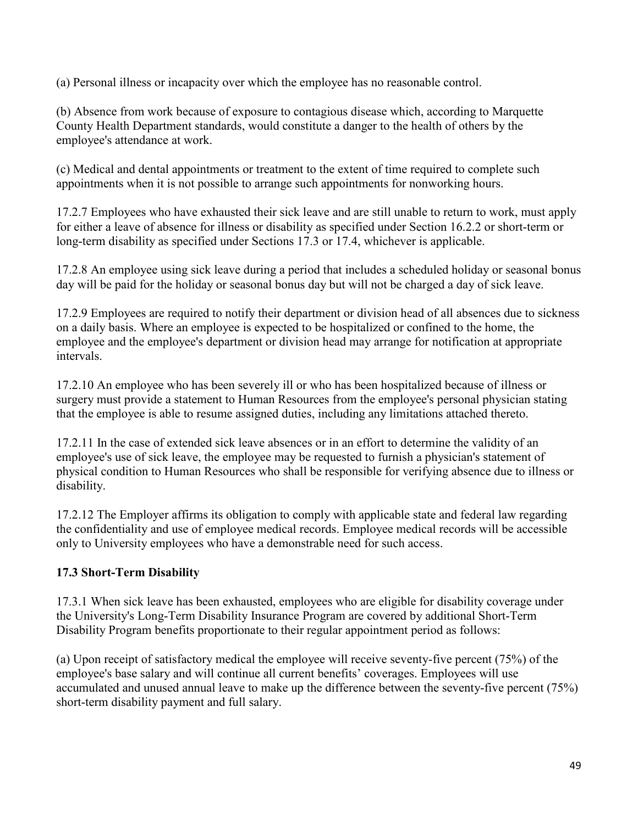(a) Personal illness or incapacity over which the employee has no reasonable control.

(b) Absence from work because of exposure to contagious disease which, according to Marquette County Health Department standards, would constitute a danger to the health of others by the employee's attendance at work.

(c) Medical and dental appointments or treatment to the extent of time required to complete such appointments when it is not possible to arrange such appointments for nonworking hours.

17.2.7 Employees who have exhausted their sick leave and are still unable to return to work, must apply for either a leave of absence for illness or disability as specified under Section 16.2.2 or short-term or long-term disability as specified under Sections 17.3 or 17.4, whichever is applicable.

17.2.8 An employee using sick leave during a period that includes a scheduled holiday or seasonal bonus day will be paid for the holiday or seasonal bonus day but will not be charged a day of sick leave.

17.2.9 Employees are required to notify their department or division head of all absences due to sickness on a daily basis. Where an employee is expected to be hospitalized or confined to the home, the employee and the employee's department or division head may arrange for notification at appropriate intervals.

17.2.10 An employee who has been severely ill or who has been hospitalized because of illness or surgery must provide a statement to Human Resources from the employee's personal physician stating that the employee is able to resume assigned duties, including any limitations attached thereto.

17.2.11 In the case of extended sick leave absences or in an effort to determine the validity of an employee's use of sick leave, the employee may be requested to furnish a physician's statement of physical condition to Human Resources who shall be responsible for verifying absence due to illness or disability.

17.2.12 The Employer affirms its obligation to comply with applicable state and federal law regarding the confidentiality and use of employee medical records. Employee medical records will be accessible only to University employees who have a demonstrable need for such access.

## **17.3 Short-Term Disability**

17.3.1 When sick leave has been exhausted, employees who are eligible for disability coverage under the University's Long-Term Disability Insurance Program are covered by additional Short-Term Disability Program benefits proportionate to their regular appointment period as follows:

(a) Upon receipt of satisfactory medical the employee will receive seventy-five percent (75%) of the employee's base salary and will continue all current benefits' coverages. Employees will use accumulated and unused annual leave to make up the difference between the seventy-five percent (75%) short-term disability payment and full salary.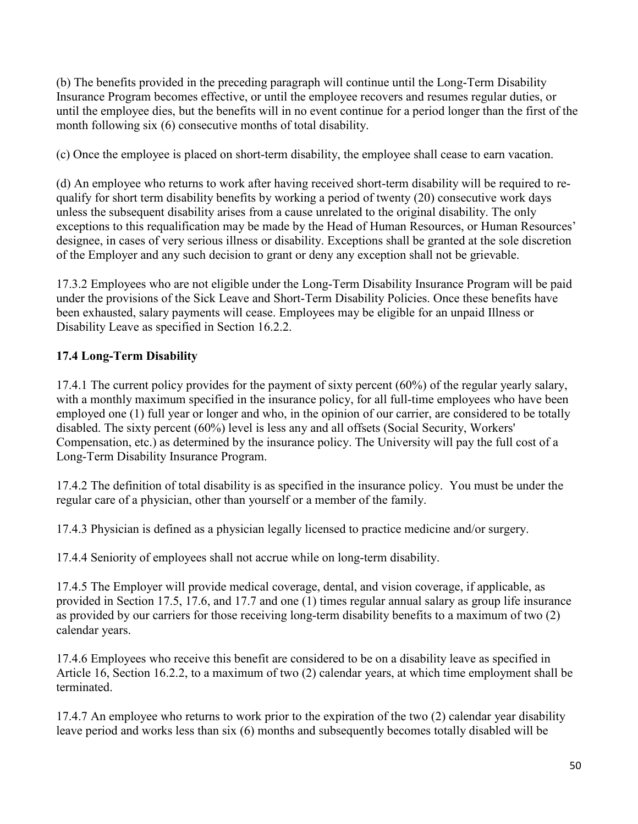(b) The benefits provided in the preceding paragraph will continue until the Long-Term Disability Insurance Program becomes effective, or until the employee recovers and resumes regular duties, or until the employee dies, but the benefits will in no event continue for a period longer than the first of the month following six (6) consecutive months of total disability.

(c) Once the employee is placed on short-term disability, the employee shall cease to earn vacation.

(d) An employee who returns to work after having received short-term disability will be required to requalify for short term disability benefits by working a period of twenty (20) consecutive work days unless the subsequent disability arises from a cause unrelated to the original disability. The only exceptions to this requalification may be made by the Head of Human Resources, or Human Resources' designee, in cases of very serious illness or disability. Exceptions shall be granted at the sole discretion of the Employer and any such decision to grant or deny any exception shall not be grievable.

17.3.2 Employees who are not eligible under the Long-Term Disability Insurance Program will be paid under the provisions of the Sick Leave and Short-Term Disability Policies. Once these benefits have been exhausted, salary payments will cease. Employees may be eligible for an unpaid Illness or Disability Leave as specified in Section 16.2.2.

# **17.4 Long-Term Disability**

17.4.1 The current policy provides for the payment of sixty percent (60%) of the regular yearly salary, with a monthly maximum specified in the insurance policy, for all full-time employees who have been employed one (1) full year or longer and who, in the opinion of our carrier, are considered to be totally disabled. The sixty percent (60%) level is less any and all offsets (Social Security, Workers' Compensation, etc.) as determined by the insurance policy. The University will pay the full cost of a Long-Term Disability Insurance Program.

17.4.2 The definition of total disability is as specified in the insurance policy. You must be under the regular care of a physician, other than yourself or a member of the family.

17.4.3 Physician is defined as a physician legally licensed to practice medicine and/or surgery.

17.4.4 Seniority of employees shall not accrue while on long-term disability.

17.4.5 The Employer will provide medical coverage, dental, and vision coverage, if applicable, as provided in Section 17.5, 17.6, and 17.7 and one (1) times regular annual salary as group life insurance as provided by our carriers for those receiving long-term disability benefits to a maximum of two (2) calendar years.

17.4.6 Employees who receive this benefit are considered to be on a disability leave as specified in Article 16, Section 16.2.2, to a maximum of two (2) calendar years, at which time employment shall be terminated.

17.4.7 An employee who returns to work prior to the expiration of the two (2) calendar year disability leave period and works less than six (6) months and subsequently becomes totally disabled will be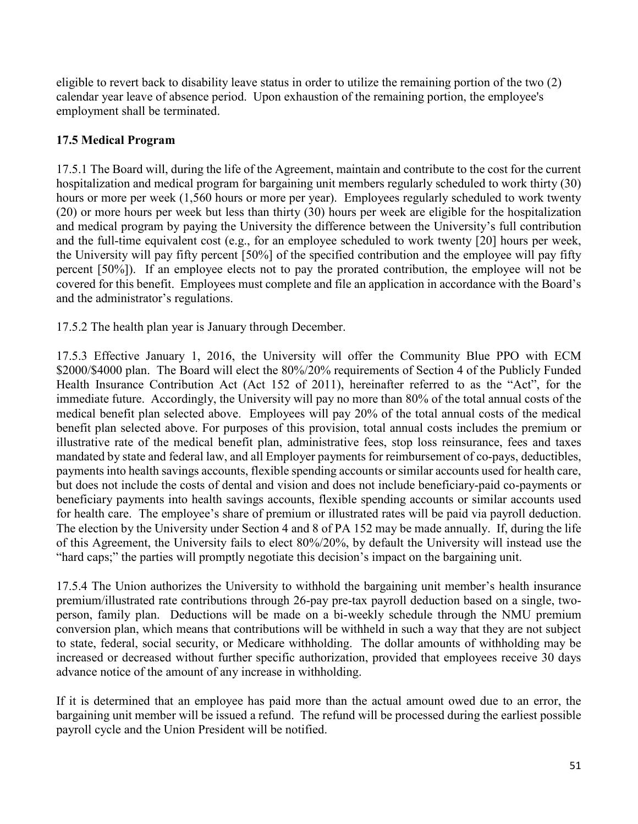eligible to revert back to disability leave status in order to utilize the remaining portion of the two (2) calendar year leave of absence period. Upon exhaustion of the remaining portion, the employee's employment shall be terminated.

## **17.5 Medical Program**

17.5.1 The Board will, during the life of the Agreement, maintain and contribute to the cost for the current hospitalization and medical program for bargaining unit members regularly scheduled to work thirty (30) hours or more per week (1,560 hours or more per year). Employees regularly scheduled to work twenty (20) or more hours per week but less than thirty (30) hours per week are eligible for the hospitalization and medical program by paying the University the difference between the University's full contribution and the full-time equivalent cost (e.g., for an employee scheduled to work twenty [20] hours per week, the University will pay fifty percent [50%] of the specified contribution and the employee will pay fifty percent [50%]). If an employee elects not to pay the prorated contribution, the employee will not be covered for this benefit. Employees must complete and file an application in accordance with the Board's and the administrator's regulations.

17.5.2 The health plan year is January through December.

17.5.3 Effective January 1, 2016, the University will offer the Community Blue PPO with ECM \$2000/\$4000 plan. The Board will elect the 80%/20% requirements of Section 4 of the Publicly Funded Health Insurance Contribution Act (Act 152 of 2011), hereinafter referred to as the "Act", for the immediate future. Accordingly, the University will pay no more than 80% of the total annual costs of the medical benefit plan selected above. Employees will pay 20% of the total annual costs of the medical benefit plan selected above. For purposes of this provision, total annual costs includes the premium or illustrative rate of the medical benefit plan, administrative fees, stop loss reinsurance, fees and taxes mandated by state and federal law, and all Employer payments for reimbursement of co-pays, deductibles, payments into health savings accounts, flexible spending accounts or similar accounts used for health care, but does not include the costs of dental and vision and does not include beneficiary-paid co-payments or beneficiary payments into health savings accounts, flexible spending accounts or similar accounts used for health care. The employee's share of premium or illustrated rates will be paid via payroll deduction. The election by the University under Section 4 and 8 of PA 152 may be made annually. If, during the life of this Agreement, the University fails to elect 80%/20%, by default the University will instead use the "hard caps;" the parties will promptly negotiate this decision's impact on the bargaining unit.

17.5.4 The Union authorizes the University to withhold the bargaining unit member's health insurance premium/illustrated rate contributions through 26-pay pre-tax payroll deduction based on a single, twoperson, family plan. Deductions will be made on a bi-weekly schedule through the NMU premium conversion plan, which means that contributions will be withheld in such a way that they are not subject to state, federal, social security, or Medicare withholding. The dollar amounts of withholding may be increased or decreased without further specific authorization, provided that employees receive 30 days advance notice of the amount of any increase in withholding.

If it is determined that an employee has paid more than the actual amount owed due to an error, the bargaining unit member will be issued a refund. The refund will be processed during the earliest possible payroll cycle and the Union President will be notified.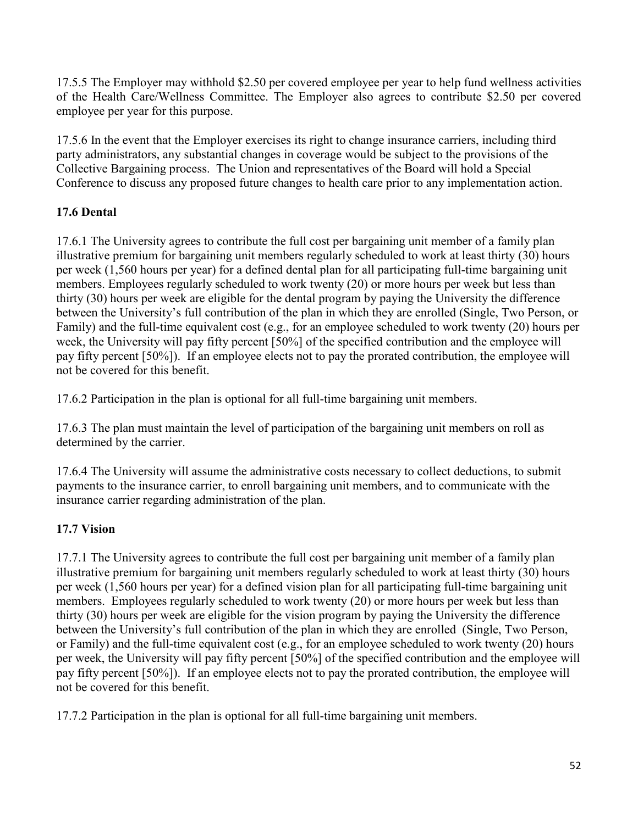17.5.5 The Employer may withhold \$2.50 per covered employee per year to help fund wellness activities of the Health Care/Wellness Committee. The Employer also agrees to contribute \$2.50 per covered employee per year for this purpose.

17.5.6 In the event that the Employer exercises its right to change insurance carriers, including third party administrators, any substantial changes in coverage would be subject to the provisions of the Collective Bargaining process. The Union and representatives of the Board will hold a Special Conference to discuss any proposed future changes to health care prior to any implementation action.

# **17.6 Dental**

17.6.1 The University agrees to contribute the full cost per bargaining unit member of a family plan illustrative premium for bargaining unit members regularly scheduled to work at least thirty (30) hours per week (1,560 hours per year) for a defined dental plan for all participating full-time bargaining unit members. Employees regularly scheduled to work twenty (20) or more hours per week but less than thirty (30) hours per week are eligible for the dental program by paying the University the difference between the University's full contribution of the plan in which they are enrolled (Single, Two Person, or Family) and the full-time equivalent cost (e.g., for an employee scheduled to work twenty (20) hours per week, the University will pay fifty percent [50%] of the specified contribution and the employee will pay fifty percent [50%]). If an employee elects not to pay the prorated contribution, the employee will not be covered for this benefit.

17.6.2 Participation in the plan is optional for all full-time bargaining unit members.

17.6.3 The plan must maintain the level of participation of the bargaining unit members on roll as determined by the carrier.

17.6.4 The University will assume the administrative costs necessary to collect deductions, to submit payments to the insurance carrier, to enroll bargaining unit members, and to communicate with the insurance carrier regarding administration of the plan.

# **17.7 Vision**

17.7.1 The University agrees to contribute the full cost per bargaining unit member of a family plan illustrative premium for bargaining unit members regularly scheduled to work at least thirty (30) hours per week (1,560 hours per year) for a defined vision plan for all participating full-time bargaining unit members. Employees regularly scheduled to work twenty (20) or more hours per week but less than thirty (30) hours per week are eligible for the vision program by paying the University the difference between the University's full contribution of the plan in which they are enrolled (Single, Two Person, or Family) and the full-time equivalent cost (e.g., for an employee scheduled to work twenty (20) hours per week, the University will pay fifty percent [50%] of the specified contribution and the employee will pay fifty percent [50%]). If an employee elects not to pay the prorated contribution, the employee will not be covered for this benefit.

17.7.2 Participation in the plan is optional for all full-time bargaining unit members.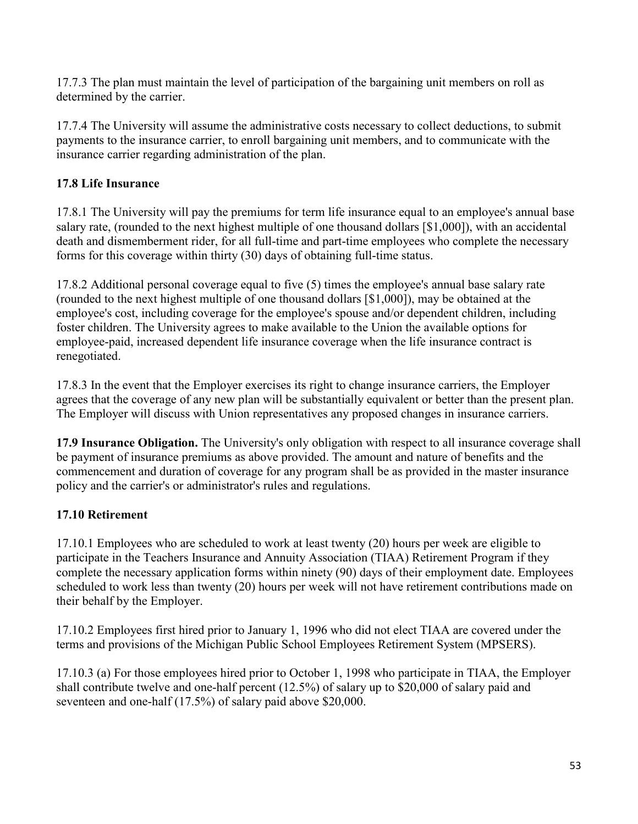17.7.3 The plan must maintain the level of participation of the bargaining unit members on roll as determined by the carrier.

17.7.4 The University will assume the administrative costs necessary to collect deductions, to submit payments to the insurance carrier, to enroll bargaining unit members, and to communicate with the insurance carrier regarding administration of the plan.

# **17.8 Life Insurance**

17.8.1 The University will pay the premiums for term life insurance equal to an employee's annual base salary rate, (rounded to the next highest multiple of one thousand dollars [\$1,000]), with an accidental death and dismemberment rider, for all full-time and part-time employees who complete the necessary forms for this coverage within thirty (30) days of obtaining full-time status.

17.8.2 Additional personal coverage equal to five (5) times the employee's annual base salary rate (rounded to the next highest multiple of one thousand dollars [\$1,000]), may be obtained at the employee's cost, including coverage for the employee's spouse and/or dependent children, including foster children. The University agrees to make available to the Union the available options for employee-paid, increased dependent life insurance coverage when the life insurance contract is renegotiated.

17.8.3 In the event that the Employer exercises its right to change insurance carriers, the Employer agrees that the coverage of any new plan will be substantially equivalent or better than the present plan. The Employer will discuss with Union representatives any proposed changes in insurance carriers.

**17.9 Insurance Obligation.** The University's only obligation with respect to all insurance coverage shall be payment of insurance premiums as above provided. The amount and nature of benefits and the commencement and duration of coverage for any program shall be as provided in the master insurance policy and the carrier's or administrator's rules and regulations.

# **17.10 Retirement**

17.10.1 Employees who are scheduled to work at least twenty (20) hours per week are eligible to participate in the Teachers Insurance and Annuity Association (TIAA) Retirement Program if they complete the necessary application forms within ninety (90) days of their employment date. Employees scheduled to work less than twenty (20) hours per week will not have retirement contributions made on their behalf by the Employer.

17.10.2 Employees first hired prior to January 1, 1996 who did not elect TIAA are covered under the terms and provisions of the Michigan Public School Employees Retirement System (MPSERS).

17.10.3 (a) For those employees hired prior to October 1, 1998 who participate in TIAA, the Employer shall contribute twelve and one-half percent (12.5%) of salary up to \$20,000 of salary paid and seventeen and one-half (17.5%) of salary paid above \$20,000.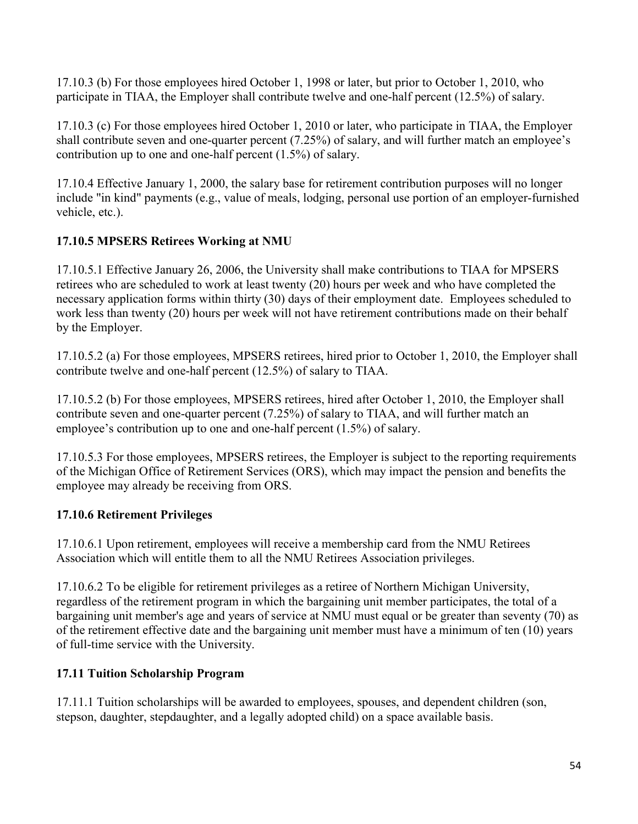17.10.3 (b) For those employees hired October 1, 1998 or later, but prior to October 1, 2010, who participate in TIAA, the Employer shall contribute twelve and one-half percent (12.5%) of salary.

17.10.3 (c) For those employees hired October 1, 2010 or later, who participate in TIAA, the Employer shall contribute seven and one-quarter percent (7.25%) of salary, and will further match an employee's contribution up to one and one-half percent (1.5%) of salary.

17.10.4 Effective January 1, 2000, the salary base for retirement contribution purposes will no longer include "in kind" payments (e.g., value of meals, lodging, personal use portion of an employer-furnished vehicle, etc.).

# **17.10.5 MPSERS Retirees Working at NMU**

17.10.5.1 Effective January 26, 2006, the University shall make contributions to TIAA for MPSERS retirees who are scheduled to work at least twenty (20) hours per week and who have completed the necessary application forms within thirty (30) days of their employment date. Employees scheduled to work less than twenty (20) hours per week will not have retirement contributions made on their behalf by the Employer.

17.10.5.2 (a) For those employees, MPSERS retirees, hired prior to October 1, 2010, the Employer shall contribute twelve and one-half percent (12.5%) of salary to TIAA.

17.10.5.2 (b) For those employees, MPSERS retirees, hired after October 1, 2010, the Employer shall contribute seven and one-quarter percent (7.25%) of salary to TIAA, and will further match an employee's contribution up to one and one-half percent (1.5%) of salary.

17.10.5.3 For those employees, MPSERS retirees, the Employer is subject to the reporting requirements of the Michigan Office of Retirement Services (ORS), which may impact the pension and benefits the employee may already be receiving from ORS.

# **17.10.6 Retirement Privileges**

17.10.6.1 Upon retirement, employees will receive a membership card from the NMU Retirees Association which will entitle them to all the NMU Retirees Association privileges.

17.10.6.2 To be eligible for retirement privileges as a retiree of Northern Michigan University, regardless of the retirement program in which the bargaining unit member participates, the total of a bargaining unit member's age and years of service at NMU must equal or be greater than seventy (70) as of the retirement effective date and the bargaining unit member must have a minimum of ten (10) years of full-time service with the University.

# **17.11 Tuition Scholarship Program**

17.11.1 Tuition scholarships will be awarded to employees, spouses, and dependent children (son, stepson, daughter, stepdaughter, and a legally adopted child) on a space available basis.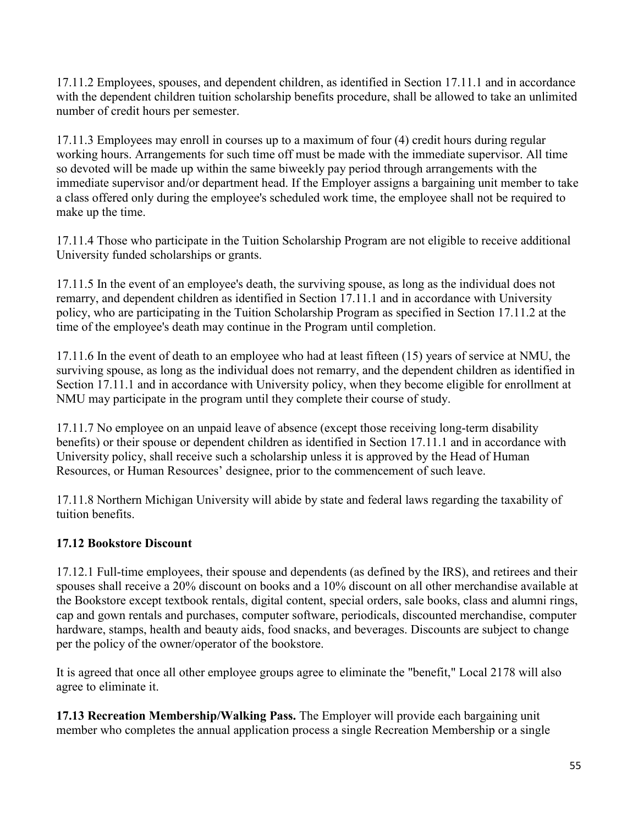17.11.2 Employees, spouses, and dependent children, as identified in Section 17.11.1 and in accordance with the dependent children tuition scholarship benefits procedure, shall be allowed to take an unlimited number of credit hours per semester.

17.11.3 Employees may enroll in courses up to a maximum of four (4) credit hours during regular working hours. Arrangements for such time off must be made with the immediate supervisor. All time so devoted will be made up within the same biweekly pay period through arrangements with the immediate supervisor and/or department head. If the Employer assigns a bargaining unit member to take a class offered only during the employee's scheduled work time, the employee shall not be required to make up the time.

17.11.4 Those who participate in the Tuition Scholarship Program are not eligible to receive additional University funded scholarships or grants.

17.11.5 In the event of an employee's death, the surviving spouse, as long as the individual does not remarry, and dependent children as identified in Section 17.11.1 and in accordance with University policy, who are participating in the Tuition Scholarship Program as specified in Section 17.11.2 at the time of the employee's death may continue in the Program until completion.

17.11.6 In the event of death to an employee who had at least fifteen (15) years of service at NMU, the surviving spouse, as long as the individual does not remarry, and the dependent children as identified in Section 17.11.1 and in accordance with University policy, when they become eligible for enrollment at NMU may participate in the program until they complete their course of study.

17.11.7 No employee on an unpaid leave of absence (except those receiving long-term disability benefits) or their spouse or dependent children as identified in Section 17.11.1 and in accordance with University policy, shall receive such a scholarship unless it is approved by the Head of Human Resources, or Human Resources' designee, prior to the commencement of such leave.

17.11.8 Northern Michigan University will abide by state and federal laws regarding the taxability of tuition benefits.

## **17.12 Bookstore Discount**

17.12.1 Full-time employees, their spouse and dependents (as defined by the IRS), and retirees and their spouses shall receive a 20% discount on books and a 10% discount on all other merchandise available at the Bookstore except textbook rentals, digital content, special orders, sale books, class and alumni rings, cap and gown rentals and purchases, computer software, periodicals, discounted merchandise, computer hardware, stamps, health and beauty aids, food snacks, and beverages. Discounts are subject to change per the policy of the owner/operator of the bookstore.

It is agreed that once all other employee groups agree to eliminate the "benefit," Local 2178 will also agree to eliminate it.

**17.13 Recreation Membership/Walking Pass.** The Employer will provide each bargaining unit member who completes the annual application process a single Recreation Membership or a single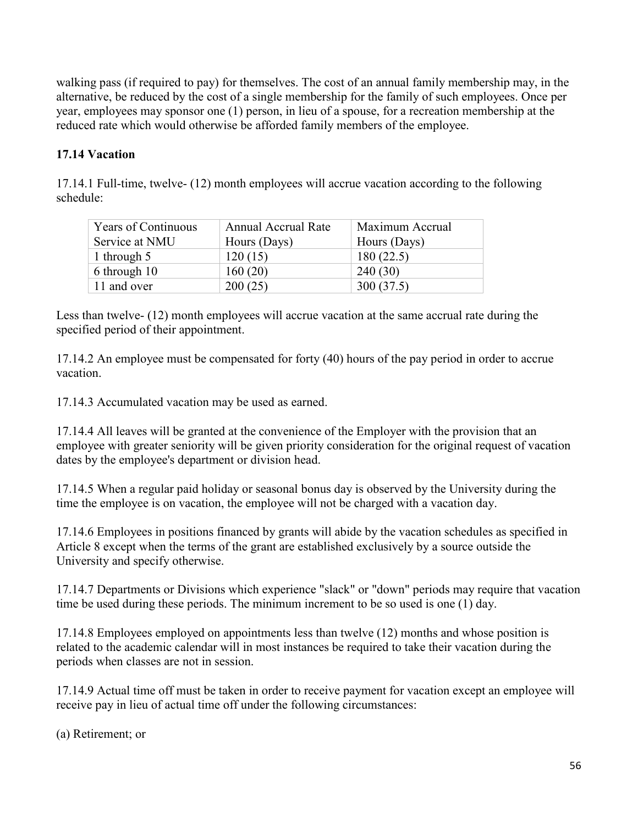walking pass (if required to pay) for themselves. The cost of an annual family membership may, in the alternative, be reduced by the cost of a single membership for the family of such employees. Once per year, employees may sponsor one (1) person, in lieu of a spouse, for a recreation membership at the reduced rate which would otherwise be afforded family members of the employee.

# **17.14 Vacation**

17.14.1 Full-time, twelve- (12) month employees will accrue vacation according to the following schedule:

| <b>Years of Continuous</b> | <b>Annual Accrual Rate</b> | Maximum Accrual |
|----------------------------|----------------------------|-----------------|
| Service at NMU             | Hours (Days)               | Hours (Days)    |
| 1 through $5$              | 120(15)                    | 180(22.5)       |
| 6 through 10               | 160(20)                    | 240(30)         |
| 11 and over                | 200(25)                    | 300(37.5)       |

Less than twelve- (12) month employees will accrue vacation at the same accrual rate during the specified period of their appointment.

17.14.2 An employee must be compensated for forty (40) hours of the pay period in order to accrue vacation.

17.14.3 Accumulated vacation may be used as earned.

17.14.4 All leaves will be granted at the convenience of the Employer with the provision that an employee with greater seniority will be given priority consideration for the original request of vacation dates by the employee's department or division head.

17.14.5 When a regular paid holiday or seasonal bonus day is observed by the University during the time the employee is on vacation, the employee will not be charged with a vacation day.

17.14.6 Employees in positions financed by grants will abide by the vacation schedules as specified in Article 8 except when the terms of the grant are established exclusively by a source outside the University and specify otherwise.

17.14.7 Departments or Divisions which experience "slack" or "down" periods may require that vacation time be used during these periods. The minimum increment to be so used is one (1) day.

17.14.8 Employees employed on appointments less than twelve (12) months and whose position is related to the academic calendar will in most instances be required to take their vacation during the periods when classes are not in session.

17.14.9 Actual time off must be taken in order to receive payment for vacation except an employee will receive pay in lieu of actual time off under the following circumstances:

```
(a) Retirement; or
```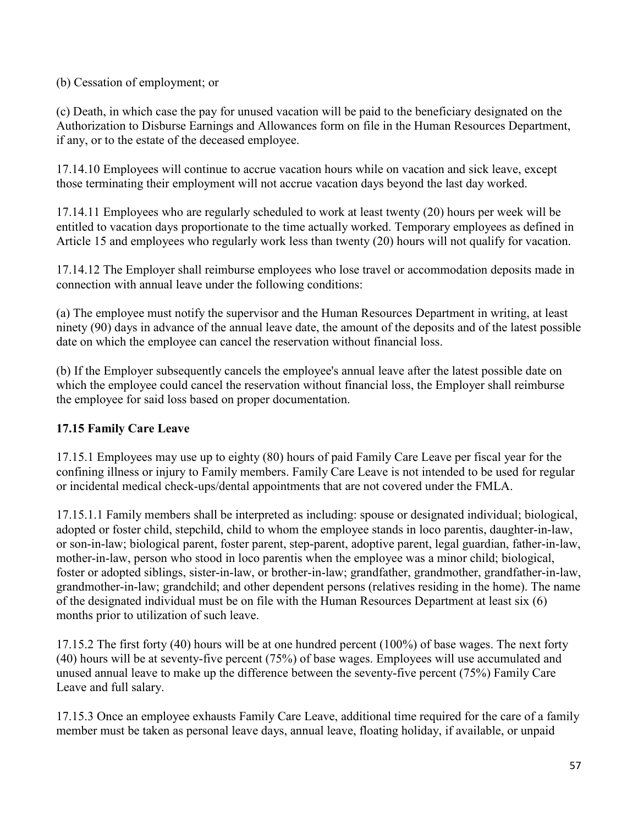(b) Cessation of employment; or

(c) Death, in which case the pay for unused vacation will be paid to the beneficiary designated on the Authorization to Disburse Earnings and Allowances form on file in the Human Resources Department, if any, or to the estate of the deceased employee.

17.14.10 Employees will continue to accrue vacation hours while on vacation and sick leave, except those terminating their employment will not accrue vacation days beyond the last day worked.

17.14.11 Employees who are regularly scheduled to work at least twenty (20) hours per week will be entitled to vacation days proportionate to the time actually worked. Temporary employees as defined in Article 15 and employees who regularly work less than twenty (20) hours will not qualify for vacation.

17.14.12 The Employer shall reimburse employees who lose travel or accommodation deposits made in connection with annual leave under the following conditions:

(a) The employee must notify the supervisor and the Human Resources Department in writing, at least ninety (90) days in advance of the annual leave date, the amount of the deposits and of the latest possible date on which the employee can cancel the reservation without financial loss.

(b) If the Employer subsequently cancels the employee's annual leave after the latest possible date on which the employee could cancel the reservation without financial loss, the Employer shall reimburse the employee for said loss based on proper documentation.

# **17.15 Family Care Leave**

17.15.1 Employees may use up to eighty (80) hours of paid Family Care Leave per fiscal year for the confining illness or injury to Family members. Family Care Leave is not intended to be used for regular or incidental medical check-ups/dental appointments that are not covered under the FMLA.

17.15.1.1 Family members shall be interpreted as including: spouse or designated individual; biological, adopted or foster child, stepchild, child to whom the employee stands in loco parentis, daughter-in-law, or son-in-law; biological parent, foster parent, step-parent, adoptive parent, legal guardian, father-in-law, mother-in-law, person who stood in loco parentis when the employee was a minor child; biological, foster or adopted siblings, sister-in-law, or brother-in-law; grandfather, grandmother, grandfather-in-law, grandmother-in-law; grandchild; and other dependent persons (relatives residing in the home). The name of the designated individual must be on file with the Human Resources Department at least six (6) months prior to utilization of such leave.

17.15.2 The first forty (40) hours will be at one hundred percent (100%) of base wages. The next forty (40) hours will be at seventy-five percent (75%) of base wages. Employees will use accumulated and unused annual leave to make up the difference between the seventy-five percent (75%) Family Care Leave and full salary.

17.15.3 Once an employee exhausts Family Care Leave, additional time required for the care of a family member must be taken as personal leave days, annual leave, floating holiday, if available, or unpaid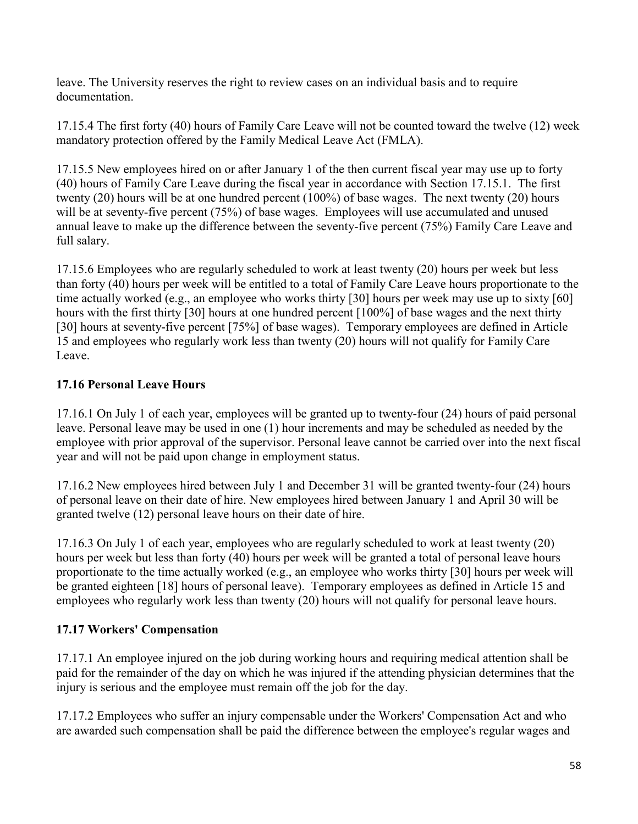leave. The University reserves the right to review cases on an individual basis and to require documentation.

17.15.4 The first forty (40) hours of Family Care Leave will not be counted toward the twelve (12) week mandatory protection offered by the Family Medical Leave Act (FMLA).

17.15.5 New employees hired on or after January 1 of the then current fiscal year may use up to forty (40) hours of Family Care Leave during the fiscal year in accordance with Section 17.15.1. The first twenty (20) hours will be at one hundred percent (100%) of base wages. The next twenty (20) hours will be at seventy-five percent (75%) of base wages. Employees will use accumulated and unused annual leave to make up the difference between the seventy-five percent (75%) Family Care Leave and full salary.

17.15.6 Employees who are regularly scheduled to work at least twenty (20) hours per week but less than forty (40) hours per week will be entitled to a total of Family Care Leave hours proportionate to the time actually worked (e.g., an employee who works thirty [30] hours per week may use up to sixty [60] hours with the first thirty [30] hours at one hundred percent [100%] of base wages and the next thirty [30] hours at seventy-five percent [75%] of base wages). Temporary employees are defined in Article 15 and employees who regularly work less than twenty (20) hours will not qualify for Family Care Leave.

# **17.16 Personal Leave Hours**

17.16.1 On July 1 of each year, employees will be granted up to twenty-four (24) hours of paid personal leave. Personal leave may be used in one (1) hour increments and may be scheduled as needed by the employee with prior approval of the supervisor. Personal leave cannot be carried over into the next fiscal year and will not be paid upon change in employment status.

17.16.2 New employees hired between July 1 and December 31 will be granted twenty-four (24) hours of personal leave on their date of hire. New employees hired between January 1 and April 30 will be granted twelve (12) personal leave hours on their date of hire.

17.16.3 On July 1 of each year, employees who are regularly scheduled to work at least twenty (20) hours per week but less than forty (40) hours per week will be granted a total of personal leave hours proportionate to the time actually worked (e.g., an employee who works thirty [30] hours per week will be granted eighteen [18] hours of personal leave). Temporary employees as defined in Article 15 and employees who regularly work less than twenty (20) hours will not qualify for personal leave hours.

## **17.17 Workers' Compensation**

17.17.1 An employee injured on the job during working hours and requiring medical attention shall be paid for the remainder of the day on which he was injured if the attending physician determines that the injury is serious and the employee must remain off the job for the day.

17.17.2 Employees who suffer an injury compensable under the Workers' Compensation Act and who are awarded such compensation shall be paid the difference between the employee's regular wages and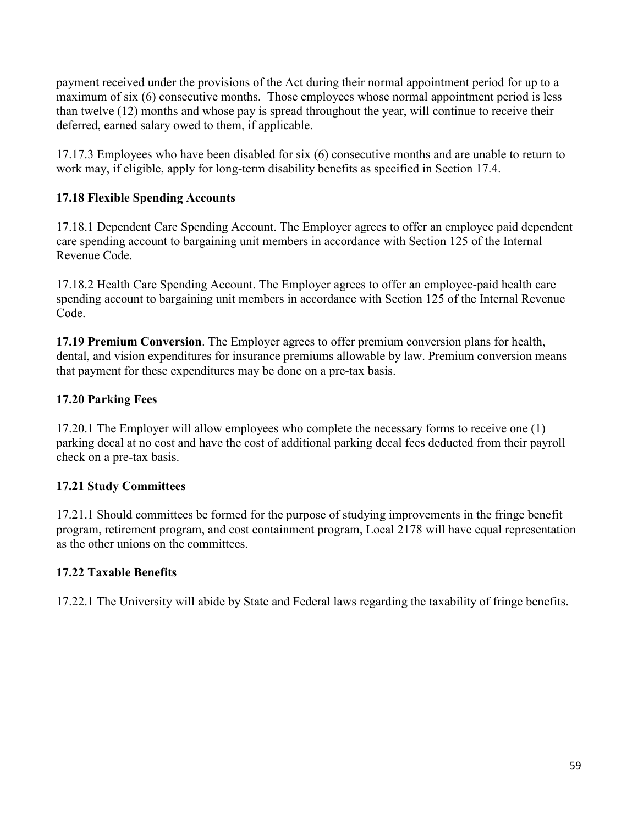payment received under the provisions of the Act during their normal appointment period for up to a maximum of six (6) consecutive months. Those employees whose normal appointment period is less than twelve (12) months and whose pay is spread throughout the year, will continue to receive their deferred, earned salary owed to them, if applicable.

17.17.3 Employees who have been disabled for six (6) consecutive months and are unable to return to work may, if eligible, apply for long-term disability benefits as specified in Section 17.4.

## **17.18 Flexible Spending Accounts**

17.18.1 Dependent Care Spending Account. The Employer agrees to offer an employee paid dependent care spending account to bargaining unit members in accordance with Section 125 of the Internal Revenue Code.

17.18.2 Health Care Spending Account. The Employer agrees to offer an employee-paid health care spending account to bargaining unit members in accordance with Section 125 of the Internal Revenue Code.

**17.19 Premium Conversion**. The Employer agrees to offer premium conversion plans for health, dental, and vision expenditures for insurance premiums allowable by law. Premium conversion means that payment for these expenditures may be done on a pre-tax basis.

### **17.20 Parking Fees**

17.20.1 The Employer will allow employees who complete the necessary forms to receive one (1) parking decal at no cost and have the cost of additional parking decal fees deducted from their payroll check on a pre-tax basis.

### **17.21 Study Committees**

17.21.1 Should committees be formed for the purpose of studying improvements in the fringe benefit program, retirement program, and cost containment program, Local 2178 will have equal representation as the other unions on the committees.

### **17.22 Taxable Benefits**

17.22.1 The University will abide by State and Federal laws regarding the taxability of fringe benefits.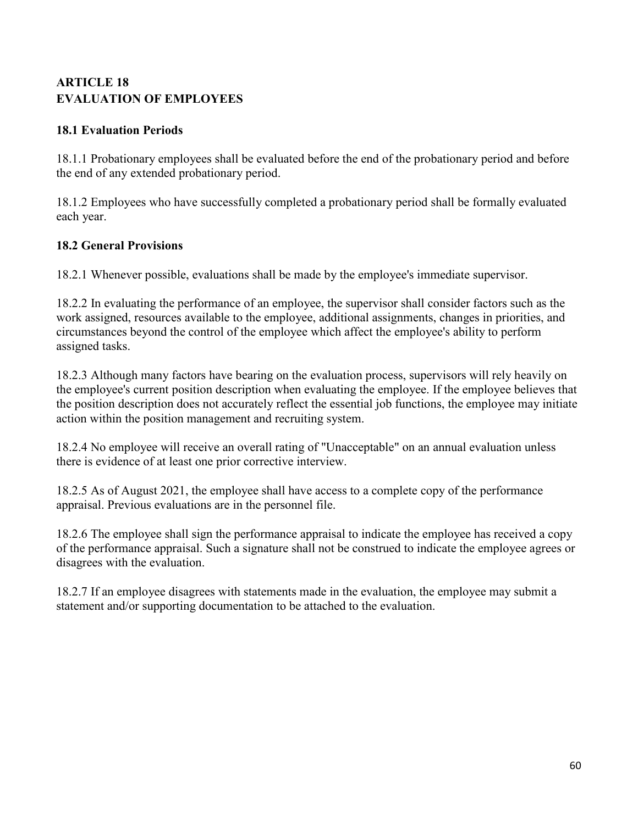# <span id="page-59-0"></span>**ARTICLE 18 EVALUATION OF EMPLOYEES**

## **18.1 Evaluation Periods**

18.1.1 Probationary employees shall be evaluated before the end of the probationary period and before the end of any extended probationary period.

18.1.2 Employees who have successfully completed a probationary period shall be formally evaluated each year.

## **18.2 General Provisions**

18.2.1 Whenever possible, evaluations shall be made by the employee's immediate supervisor.

18.2.2 In evaluating the performance of an employee, the supervisor shall consider factors such as the work assigned, resources available to the employee, additional assignments, changes in priorities, and circumstances beyond the control of the employee which affect the employee's ability to perform assigned tasks.

18.2.3 Although many factors have bearing on the evaluation process, supervisors will rely heavily on the employee's current position description when evaluating the employee. If the employee believes that the position description does not accurately reflect the essential job functions, the employee may initiate action within the position management and recruiting system.

18.2.4 No employee will receive an overall rating of "Unacceptable" on an annual evaluation unless there is evidence of at least one prior corrective interview.

18.2.5 As of August 2021, the employee shall have access to a complete copy of the performance appraisal. Previous evaluations are in the personnel file.

18.2.6 The employee shall sign the performance appraisal to indicate the employee has received a copy of the performance appraisal. Such a signature shall not be construed to indicate the employee agrees or disagrees with the evaluation.

18.2.7 If an employee disagrees with statements made in the evaluation, the employee may submit a statement and/or supporting documentation to be attached to the evaluation.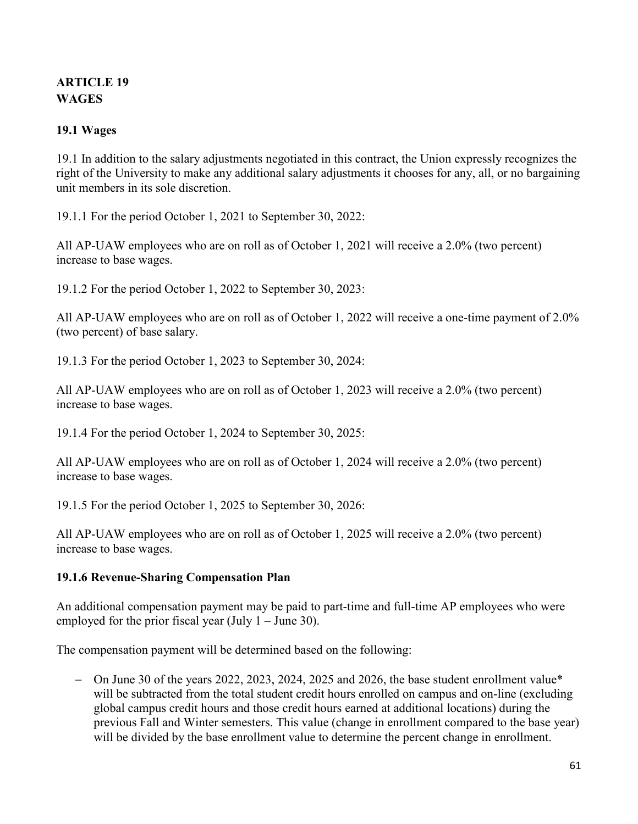# <span id="page-60-0"></span>**ARTICLE 19 WAGES**

### **19.1 Wages**

19.1 In addition to the salary adjustments negotiated in this contract, the Union expressly recognizes the right of the University to make any additional salary adjustments it chooses for any, all, or no bargaining unit members in its sole discretion.

19.1.1 For the period October 1, 2021 to September 30, 2022:

All AP-UAW employees who are on roll as of October 1, 2021 will receive a 2.0% (two percent) increase to base wages.

19.1.2 For the period October 1, 2022 to September 30, 2023:

All AP-UAW employees who are on roll as of October 1, 2022 will receive a one-time payment of 2.0% (two percent) of base salary.

19.1.3 For the period October 1, 2023 to September 30, 2024:

All AP-UAW employees who are on roll as of October 1, 2023 will receive a 2.0% (two percent) increase to base wages.

19.1.4 For the period October 1, 2024 to September 30, 2025:

All AP-UAW employees who are on roll as of October 1, 2024 will receive a 2.0% (two percent) increase to base wages.

19.1.5 For the period October 1, 2025 to September 30, 2026:

All AP-UAW employees who are on roll as of October 1, 2025 will receive a 2.0% (two percent) increase to base wages.

### **19.1.6 Revenue-Sharing Compensation Plan**

An additional compensation payment may be paid to part-time and full-time AP employees who were employed for the prior fiscal year (July  $1 -$  June 30).

The compensation payment will be determined based on the following:

− On June 30 of the years 2022, 2023, 2024, 2025 and 2026, the base student enrollment value\* will be subtracted from the total student credit hours enrolled on campus and on-line (excluding global campus credit hours and those credit hours earned at additional locations) during the previous Fall and Winter semesters. This value (change in enrollment compared to the base year) will be divided by the base enrollment value to determine the percent change in enrollment.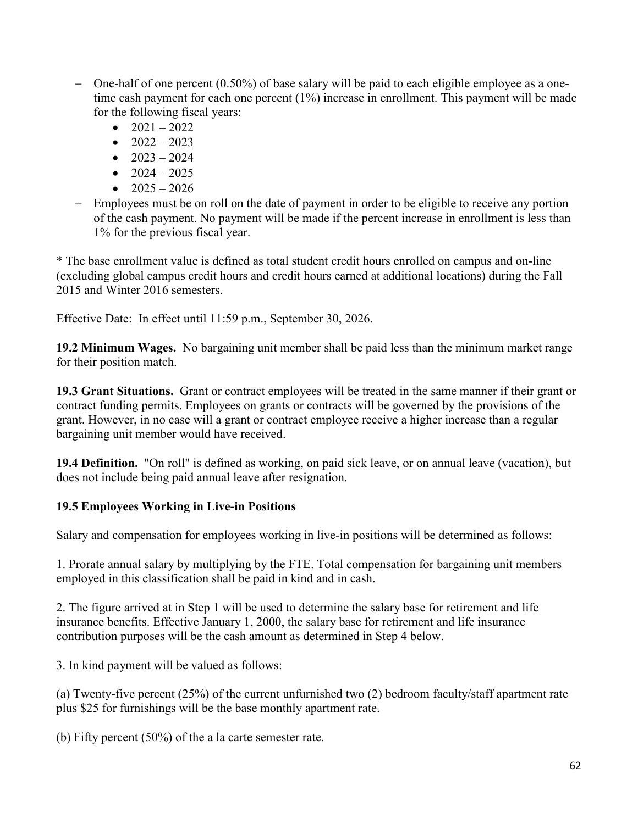- − One-half of one percent (0.50%) of base salary will be paid to each eligible employee as a onetime cash payment for each one percent (1%) increase in enrollment. This payment will be made for the following fiscal years:
	- $2021 2022$
	- $2022 2023$
	- $2023 2024$
	- $2024 2025$
	- $2025 2026$
- − Employees must be on roll on the date of payment in order to be eligible to receive any portion of the cash payment. No payment will be made if the percent increase in enrollment is less than 1% for the previous fiscal year.

\* The base enrollment value is defined as total student credit hours enrolled on campus and on-line (excluding global campus credit hours and credit hours earned at additional locations) during the Fall 2015 and Winter 2016 semesters.

Effective Date: In effect until 11:59 p.m., September 30, 2026.

**19.2 Minimum Wages.** No bargaining unit member shall be paid less than the minimum market range for their position match.

**19.3 Grant Situations.** Grant or contract employees will be treated in the same manner if their grant or contract funding permits. Employees on grants or contracts will be governed by the provisions of the grant. However, in no case will a grant or contract employee receive a higher increase than a regular bargaining unit member would have received.

**19.4 Definition.** "On roll" is defined as working, on paid sick leave, or on annual leave (vacation), but does not include being paid annual leave after resignation.

## **19.5 Employees Working in Live-in Positions**

Salary and compensation for employees working in live-in positions will be determined as follows:

1. Prorate annual salary by multiplying by the FTE. Total compensation for bargaining unit members employed in this classification shall be paid in kind and in cash.

2. The figure arrived at in Step 1 will be used to determine the salary base for retirement and life insurance benefits. Effective January 1, 2000, the salary base for retirement and life insurance contribution purposes will be the cash amount as determined in Step 4 below.

3. In kind payment will be valued as follows:

(a) Twenty-five percent (25%) of the current unfurnished two (2) bedroom faculty/staff apartment rate plus \$25 for furnishings will be the base monthly apartment rate.

(b) Fifty percent (50%) of the a la carte semester rate.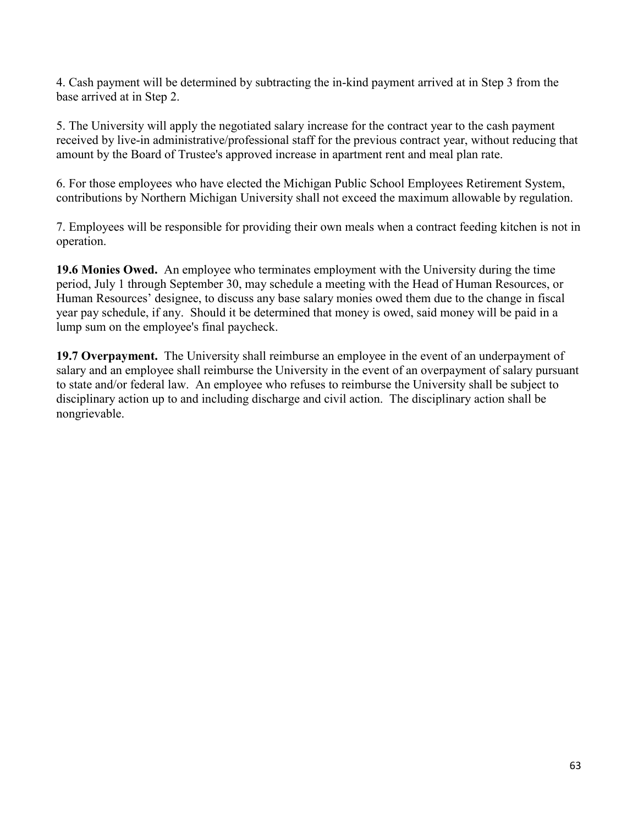4. Cash payment will be determined by subtracting the in-kind payment arrived at in Step 3 from the base arrived at in Step 2.

5. The University will apply the negotiated salary increase for the contract year to the cash payment received by live-in administrative/professional staff for the previous contract year, without reducing that amount by the Board of Trustee's approved increase in apartment rent and meal plan rate.

6. For those employees who have elected the Michigan Public School Employees Retirement System, contributions by Northern Michigan University shall not exceed the maximum allowable by regulation.

7. Employees will be responsible for providing their own meals when a contract feeding kitchen is not in operation.

**19.6 Monies Owed.** An employee who terminates employment with the University during the time period, July 1 through September 30, may schedule a meeting with the Head of Human Resources, or Human Resources' designee, to discuss any base salary monies owed them due to the change in fiscal year pay schedule, if any. Should it be determined that money is owed, said money will be paid in a lump sum on the employee's final paycheck.

**19.7 Overpayment.** The University shall reimburse an employee in the event of an underpayment of salary and an employee shall reimburse the University in the event of an overpayment of salary pursuant to state and/or federal law. An employee who refuses to reimburse the University shall be subject to disciplinary action up to and including discharge and civil action. The disciplinary action shall be nongrievable.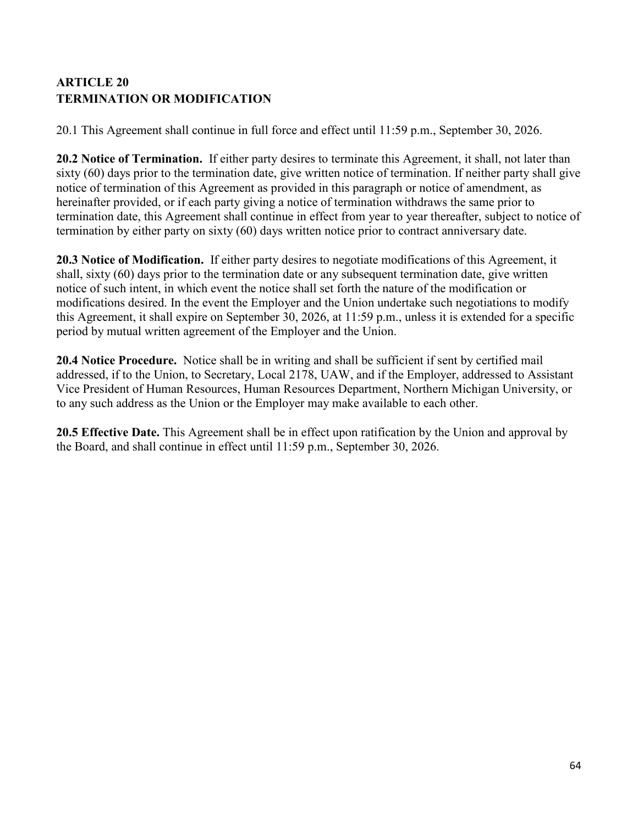# <span id="page-63-0"></span>**ARTICLE 20 TERMINATION OR MODIFICATION**

20.1 This Agreement shall continue in full force and effect until 11:59 p.m., September 30, 2026.

**20.2 Notice of Termination.** If either party desires to terminate this Agreement, it shall, not later than sixty (60) days prior to the termination date, give written notice of termination. If neither party shall give notice of termination of this Agreement as provided in this paragraph or notice of amendment, as hereinafter provided, or if each party giving a notice of termination withdraws the same prior to termination date, this Agreement shall continue in effect from year to year thereafter, subject to notice of termination by either party on sixty (60) days written notice prior to contract anniversary date.

**20.3 Notice of Modification.** If either party desires to negotiate modifications of this Agreement, it shall, sixty (60) days prior to the termination date or any subsequent termination date, give written notice of such intent, in which event the notice shall set forth the nature of the modification or modifications desired. In the event the Employer and the Union undertake such negotiations to modify this Agreement, it shall expire on September 30, 2026, at 11:59 p.m., unless it is extended for a specific period by mutual written agreement of the Employer and the Union.

**20.4 Notice Procedure.** Notice shall be in writing and shall be sufficient if sent by certified mail addressed, if to the Union, to Secretary, Local 2178, UAW, and if the Employer, addressed to Assistant Vice President of Human Resources, Human Resources Department, Northern Michigan University, or to any such address as the Union or the Employer may make available to each other.

**20.5 Effective Date.** This Agreement shall be in effect upon ratification by the Union and approval by the Board, and shall continue in effect until 11:59 p.m., September 30, 2026.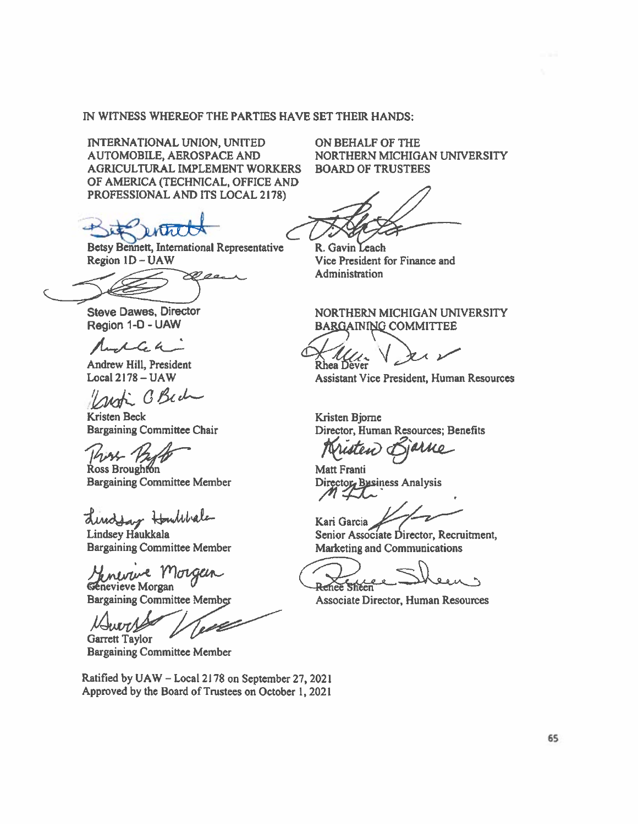#### IN WITNESS WHEREOF THE PARTIES HAVE SET THEIR HANDS:

INTERNATIONAL UNION, UNITED **AUTOMOBILE, AEROSPACE AND** AGRICULTURAL IMPLEMENT WORKERS OF AMERICA (TECHNICAL, OFFICE AND PROFESSIONAL AND ITS LOCAL 2178)

Betsy Bennett, International Representative Region 1D - UAW

**Steve Dawes, Director** Region 1-D - UAW

elen

Andrew Hill, President Local  $2178 - UAW$ 

C. Bech

**Kristen Beck Bargaining Committee Chair** 

Ross Broughton **Bargaining Committee Member** 

directory Houlibale

Lindsey Haukkala **Bargaining Committee Member** 

Génevieve Morgan

**Bargaining Committee Member** 

**Juin Garrett Taylor** 

**Bargaining Committee Member** 

Ratified by UAW - Local 2178 on September 27, 2021 Approved by the Board of Trustees on October 1, 2021

ON BEHALF OF THE NORTHERN MICHIGAN UNIVERSITY **BOARD OF TRUSTEES** 

R. Gavin Leach Vice President for Finance and Administration

NORTHERN MICHIGAN UNIVERSITY **BARGAINING COMMITTEE** 

**Assistant Vice President, Human Resources** 

Kristen Bjorne Director, Human Resources: Benefits

**Matt Franti** Directory Business Analysis

Kari Garcia

Senior Associate Director, Recruitment, **Marketing and Communications** 

Renee Sheen

Associate Director, Human Resources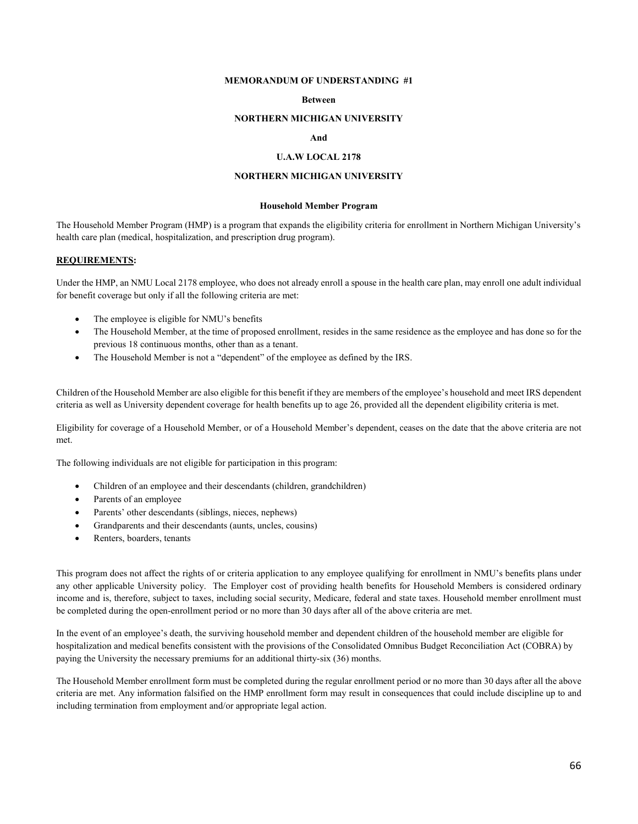#### **MEMORANDUM OF UNDERSTANDING #1**

#### **Between**

#### **NORTHERN MICHIGAN UNIVERSITY**

#### **And**

#### **U.A.W LOCAL 2178**

#### **NORTHERN MICHIGAN UNIVERSITY**

#### **Household Member Program**

The Household Member Program (HMP) is a program that expands the eligibility criteria for enrollment in Northern Michigan University's health care plan (medical, hospitalization, and prescription drug program).

#### **REQUIREMENTS:**

Under the HMP, an NMU Local 2178 employee, who does not already enroll a spouse in the health care plan, may enroll one adult individual for benefit coverage but only if all the following criteria are met:

- The employee is eligible for NMU's benefits
- The Household Member, at the time of proposed enrollment, resides in the same residence as the employee and has done so for the previous 18 continuous months, other than as a tenant.
- The Household Member is not a "dependent" of the employee as defined by the IRS.

Children of the Household Member are also eligible for this benefit if they are members of the employee's household and meet IRS dependent criteria as well as University dependent coverage for health benefits up to age 26, provided all the dependent eligibility criteria is met.

Eligibility for coverage of a Household Member, or of a Household Member's dependent, ceases on the date that the above criteria are not met.

The following individuals are not eligible for participation in this program:

- Children of an employee and their descendants (children, grandchildren)
- Parents of an employee
- Parents' other descendants (siblings, nieces, nephews)
- Grandparents and their descendants (aunts, uncles, cousins)
- Renters, boarders, tenants

This program does not affect the rights of or criteria application to any employee qualifying for enrollment in NMU's benefits plans under any other applicable University policy. The Employer cost of providing health benefits for Household Members is considered ordinary income and is, therefore, subject to taxes, including social security, Medicare, federal and state taxes. Household member enrollment must be completed during the open-enrollment period or no more than 30 days after all of the above criteria are met.

In the event of an employee's death, the surviving household member and dependent children of the household member are eligible for hospitalization and medical benefits consistent with the provisions of the Consolidated Omnibus Budget Reconciliation Act (COBRA) by paying the University the necessary premiums for an additional thirty-six (36) months.

The Household Member enrollment form must be completed during the regular enrollment period or no more than 30 days after all the above criteria are met. Any information falsified on the HMP enrollment form may result in consequences that could include discipline up to and including termination from employment and/or appropriate legal action.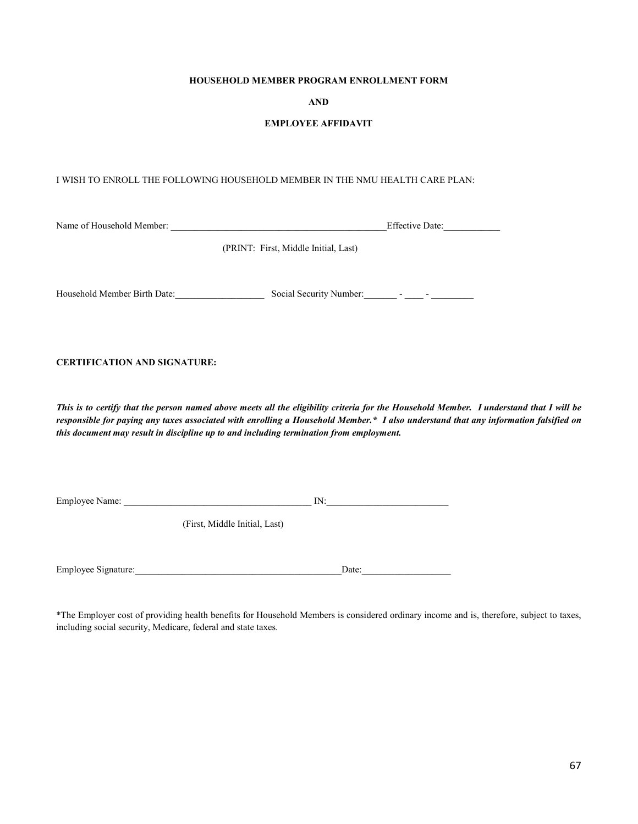#### **HOUSEHOLD MEMBER PROGRAM ENROLLMENT FORM**

#### **AND**

#### **EMPLOYEE AFFIDAVIT**

#### I WISH TO ENROLL THE FOLLOWING HOUSEHOLD MEMBER IN THE NMU HEALTH CARE PLAN:

| Name of Household Member: | $- \alpha$<br>Date: |  |
|---------------------------|---------------------|--|
|                           |                     |  |

(PRINT: First, Middle Initial, Last)

Household Member Birth Date:\_\_\_\_\_\_\_\_\_\_\_\_\_\_\_\_\_\_\_ Social Security Number:\_\_\_\_\_\_\_ - \_\_\_\_ - \_\_\_\_\_\_\_\_\_

#### **CERTIFICATION AND SIGNATURE:**

*This is to certify that the person named above meets all the eligibility criteria for the Household Member. I understand that I will be responsible for paying any taxes associated with enrolling a Household Member.\* I also understand that any information falsified on this document may result in discipline up to and including termination from employment.* 

Employee Name:  $\Box$ 

(First, Middle Initial, Last)

Employee Signature:\_\_\_\_\_\_\_\_\_\_\_\_\_\_\_\_\_\_\_\_\_\_\_\_\_\_\_\_\_\_\_\_\_\_\_\_\_\_\_\_\_\_\_\_Date:\_\_\_\_\_\_\_\_\_\_\_\_\_\_\_\_\_\_\_

\*The Employer cost of providing health benefits for Household Members is considered ordinary income and is, therefore, subject to taxes, including social security, Medicare, federal and state taxes.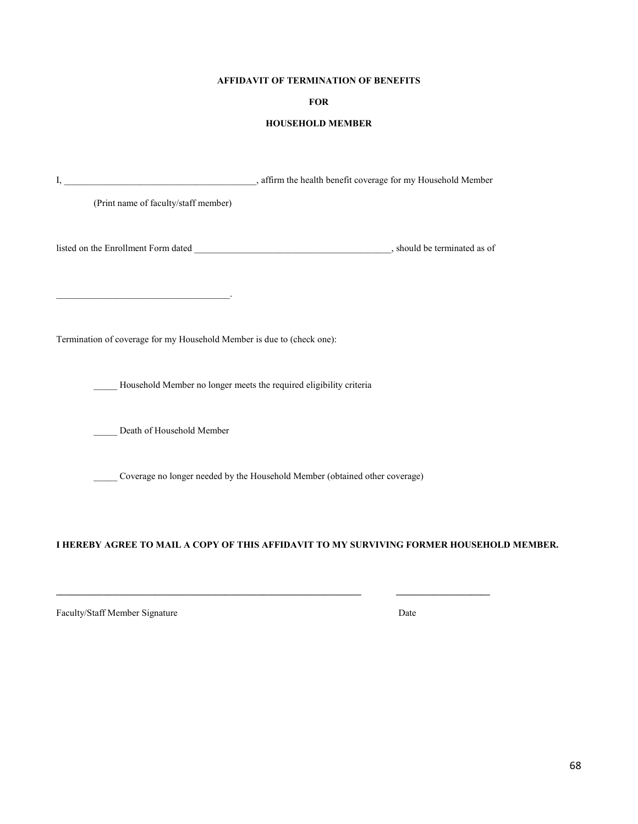#### **AFFIDAVIT OF TERMINATION OF BENEFITS**

#### **FOR**

#### **HOUSEHOLD MEMBER**

| (Print name of faculty/staff member)                                   |                                                                             |                                                                                          |
|------------------------------------------------------------------------|-----------------------------------------------------------------------------|------------------------------------------------------------------------------------------|
|                                                                        |                                                                             |                                                                                          |
|                                                                        |                                                                             |                                                                                          |
| Termination of coverage for my Household Member is due to (check one): |                                                                             |                                                                                          |
|                                                                        | Household Member no longer meets the required eligibility criteria          |                                                                                          |
| Death of Household Member                                              |                                                                             |                                                                                          |
|                                                                        | Coverage no longer needed by the Household Member (obtained other coverage) |                                                                                          |
|                                                                        |                                                                             |                                                                                          |
|                                                                        |                                                                             | I HEREBY AGREE TO MAIL A COPY OF THIS AFFIDAVIT TO MY SURVIVING FORMER HOUSEHOLD MEMBER. |

**\_\_\_\_\_\_\_\_\_\_\_\_\_\_\_\_\_\_\_\_\_\_\_\_\_\_\_\_\_\_\_\_\_\_\_\_\_\_\_\_\_\_\_\_\_\_\_\_\_\_\_\_\_\_\_\_\_\_\_\_\_\_\_\_\_ \_\_\_\_\_\_\_\_\_\_\_\_\_\_\_\_\_\_\_\_**

Faculty/Staff Member Signature Date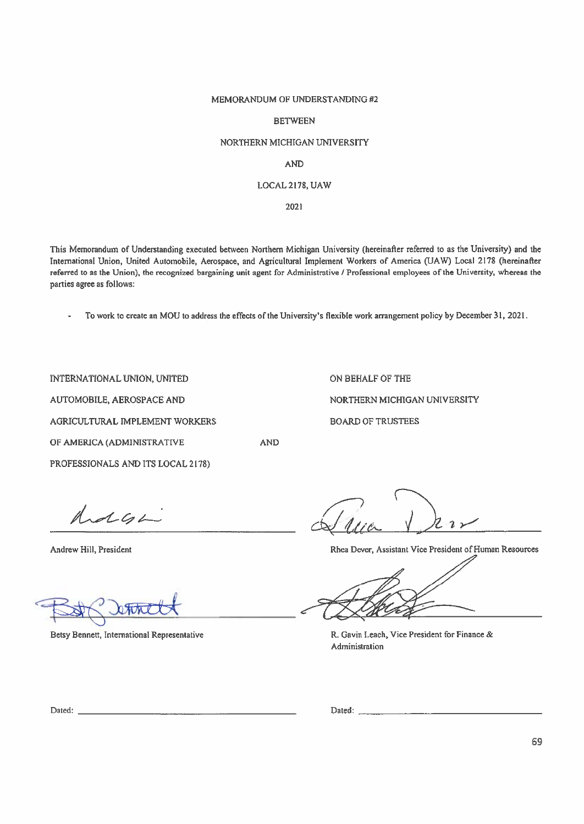#### MEMORANDUM OF UNDERSTANDING #2

#### **BETWEEN**

#### NORTHERN MICHIGAN UNIVERSITY

#### **AND**

#### LOCAL 2178, UAW

2021

This Memorandum of Understanding executed between Northern Michigan University (hereinafter referred to as the University) and the International Union, United Automobile, Aerospace, and Agricultural Implement Workers of America (UAW) Local 2178 (hereinafter referred to as the Union), the recognized bargaining unit agent for Administrative / Professional employees of the University, whereas the parties agree as follows:

To work to create an MOU to address the effects of the University's flexible work arrangement policy by December 31, 2021.

**AND** 

INTERNATIONAL UNION, UNITED AUTOMOBILE, AEROSPACE AND AGRICULTURAL IMPLEMENT WORKERS OF AMERICA (ADMINISTRATIVE

PROFESSIONALS AND ITS LOCAL 2178)

ON BEHALF OF THE NORTHERN MICHIGAN UNIVERSITY **BOARD OF TRUSTEES** 

holgh

Andrew Hill, President

anne

Betsy Bennett, International Representative

 $2.2\times$ 

Rhea Dever, Assistant Vice President of Human Resources

R. Gavin Leach, Vice President for Finance & Administration

Dated:

69